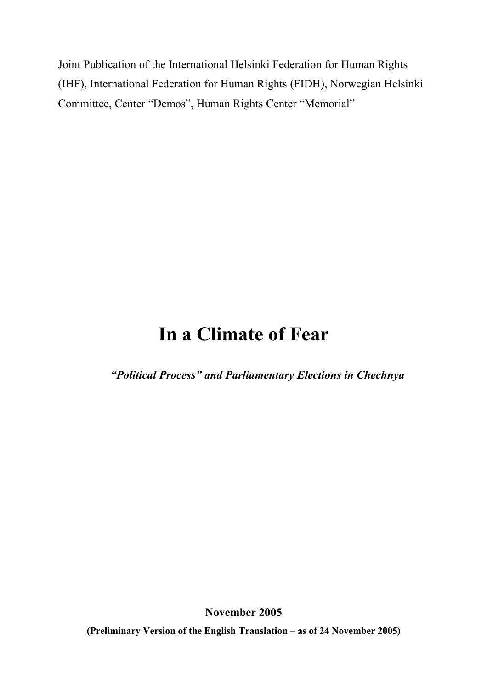Joint Publication of the International Helsinki Federation for Human Rights (IHF), International Federation for Human Rights (FIDH), Norwegian Helsinki Committee, Center "Demos", Human Rights Center "Memorial"

# **In a Climate of Fear**

*"Political Process" and Parliamentary Elections in Chechnya*

**November 2005**

**(Preliminary Version of the English Translation – as of 24 November 2005)**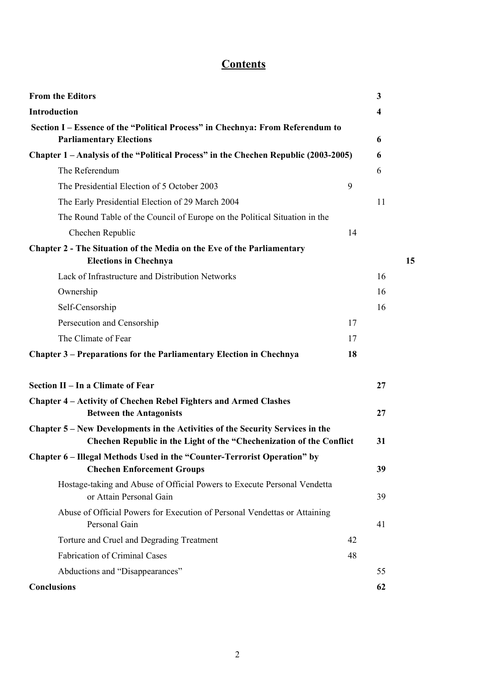# **Contents**

| <b>From the Editors</b>                                                                                                                                |    | $\mathbf{3}$            |    |
|--------------------------------------------------------------------------------------------------------------------------------------------------------|----|-------------------------|----|
| Introduction                                                                                                                                           |    | $\overline{\mathbf{4}}$ |    |
| Section I – Essence of the "Political Process" in Chechnya: From Referendum to<br><b>Parliamentary Elections</b>                                       |    | 6                       |    |
| Chapter 1 - Analysis of the "Political Process" in the Chechen Republic (2003-2005)                                                                    |    | 6                       |    |
| The Referendum                                                                                                                                         |    | 6                       |    |
| The Presidential Election of 5 October 2003                                                                                                            | 9  |                         |    |
| The Early Presidential Election of 29 March 2004                                                                                                       |    | 11                      |    |
| The Round Table of the Council of Europe on the Political Situation in the                                                                             |    |                         |    |
| Chechen Republic                                                                                                                                       | 14 |                         |    |
| Chapter 2 - The Situation of the Media on the Eve of the Parliamentary<br><b>Elections in Chechnya</b>                                                 |    |                         | 15 |
| Lack of Infrastructure and Distribution Networks                                                                                                       |    | 16                      |    |
| Ownership                                                                                                                                              |    | 16                      |    |
| Self-Censorship                                                                                                                                        |    | 16                      |    |
| Persecution and Censorship                                                                                                                             | 17 |                         |    |
| The Climate of Fear                                                                                                                                    | 17 |                         |    |
| Chapter 3 – Preparations for the Parliamentary Election in Chechnya                                                                                    | 18 |                         |    |
| Section II - In a Climate of Fear                                                                                                                      |    | 27                      |    |
| Chapter 4 - Activity of Chechen Rebel Fighters and Armed Clashes<br><b>Between the Antagonists</b>                                                     |    | 27                      |    |
| Chapter 5 – New Developments in the Activities of the Security Services in the<br>Chechen Republic in the Light of the "Chechenization of the Conflict |    | 31                      |    |
| Chapter 6 – Illegal Methods Used in the "Counter-Terrorist Operation" by<br><b>Chechen Enforcement Groups</b>                                          |    | 39                      |    |
| Hostage-taking and Abuse of Official Powers to Execute Personal Vendetta<br>or Attain Personal Gain                                                    |    | 39                      |    |
| Abuse of Official Powers for Execution of Personal Vendettas or Attaining<br>Personal Gain                                                             |    | 41                      |    |
| Torture and Cruel and Degrading Treatment                                                                                                              | 42 |                         |    |
| <b>Fabrication of Criminal Cases</b>                                                                                                                   | 48 |                         |    |
| Abductions and "Disappearances"                                                                                                                        |    | 55                      |    |
| <b>Conclusions</b>                                                                                                                                     |    | 62                      |    |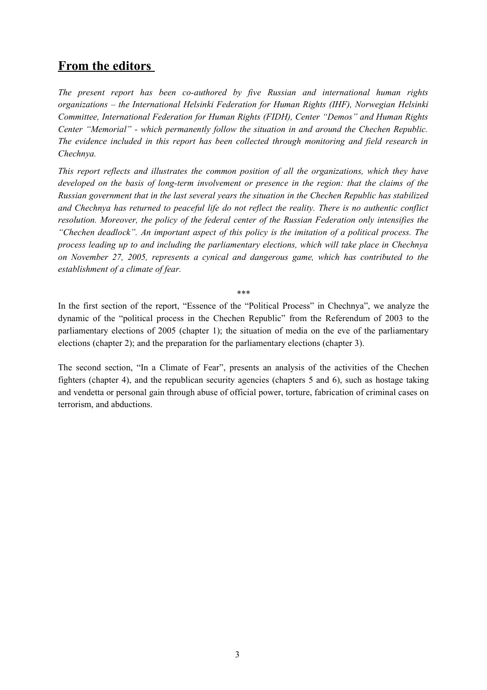# **From the editors**

*The present report has been co-authored by five Russian and international human rights organizations – the International Helsinki Federation for Human Rights (IHF), Norwegian Helsinki Committee, International Federation for Human Rights (FIDH), Center "Demos" and Human Rights Center "Memorial" - which permanently follow the situation in and around the Chechen Republic. The evidence included in this report has been collected through monitoring and field research in Chechnya.*

*This report reflects and illustrates the common position of all the organizations, which they have developed on the basis of long-term involvement or presence in the region: that the claims of the Russian government that in the last several years the situation in the Chechen Republic has stabilized and Chechnya has returned to peaceful life do not reflect the reality. There is no authentic conflict resolution. Moreover, the policy of the federal center of the Russian Federation only intensifies the "Chechen deadlock". An important aspect of this policy is the imitation of a political process. The process leading up to and including the parliamentary elections, which will take place in Chechnya on November 27, 2005, represents a cynical and dangerous game, which has contributed to the establishment of a climate of fear.*

\*\*\*

In the first section of the report, "Essence of the "Political Process" in Chechnya", we analyze the dynamic of the "political process in the Chechen Republic" from the Referendum of 2003 to the parliamentary elections of 2005 (chapter 1); the situation of media on the eve of the parliamentary elections (chapter 2); and the preparation for the parliamentary elections (chapter 3).

The second section, "In a Climate of Fear", presents an analysis of the activities of the Chechen fighters (chapter 4), and the republican security agencies (chapters 5 and 6), such as hostage taking and vendetta or personal gain through abuse of official power, torture, fabrication of criminal cases on terrorism, and abductions.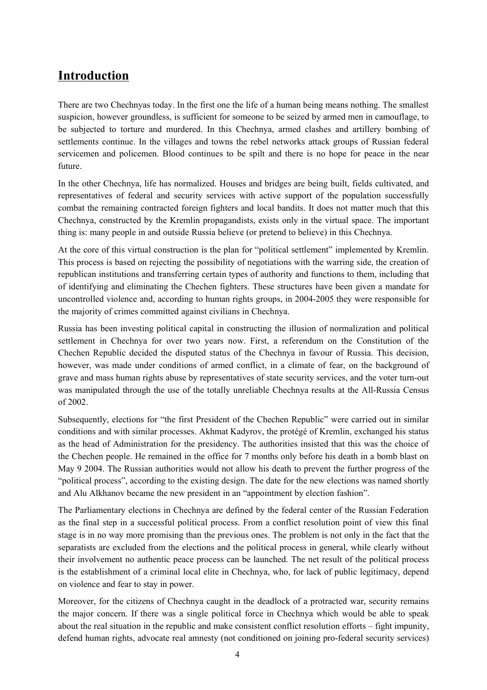# **Introduction**

There are two Chechnyas today. In the first one the life of a human being means nothing. The smallest suspicion, however groundless, is sufficient for someone to be seized by armed men in camouflage, to be subjected to torture and murdered. In this Chechnya, armed clashes and artillery bombing of settlements continue. In the villages and towns the rebel networks attack groups of Russian federal servicemen and policemen. Blood continues to be spilt and there is no hope for peace in the near future.

In the other Chechnya, life has normalized. Houses and bridges are being built, fields cultivated, and representatives of federal and security services with active support of the population successfully combat the remaining contracted foreign fighters and local bandits. It does not matter much that this Chechnya, constructed by the Kremlin propagandists, exists only in the virtual space. The important thing is: many people in and outside Russia believe (or pretend to believe) in this Chechnya.

At the core of this virtual construction is the plan for "political settlement" implemented by Kremlin. This process is based on rejecting the possibility of negotiations with the warring side, the creation of republican institutions and transferring certain types of authority and functions to them, including that of identifying and eliminating the Chechen fighters. These structures have been given a mandate for uncontrolled violence and, according to human rights groups, in 2004-2005 they were responsible for the majority of crimes committed against civilians in Chechnya.

Russia has been investing political capital in constructing the illusion of normalization and political settlement in Chechnya for over two years now. First, a referendum on the Constitution of the Chechen Republic decided the disputed status of the Chechnya in favour of Russia. This decision, however, was made under conditions of armed conflict, in a climate of fear, on the background of grave and mass human rights abuse by representatives of state security services, and the voter turn-out was manipulated through the use of the totally unreliable Chechnya results at the All-Russia Census of 2002.

Subsequently, elections for "the first President of the Chechen Republic" were carried out in similar conditions and with similar processes. Akhmat Kadyrov, the protégé of Kremlin, exchanged his status as the head of Administration for the presidency. The authorities insisted that this was the choice of the Chechen people. He remained in the office for 7 months only before his death in a bomb blast on May 9 2004. The Russian authorities would not allow his death to prevent the further progress of the "political process", according to the existing design. The date for the new elections was named shortly and Alu Alkhanov became the new president in an "appointment by election fashion".

The Parliamentary elections in Chechnya are defined by the federal center of the Russian Federation as the final step in a successful political process. From a conflict resolution point of view this final stage is in no way more promising than the previous ones. The problem is not only in the fact that the separatists are excluded from the elections and the political process in general, while clearly without their involvement no authentic peace process can be launched. The net result of the political process is the establishment of a criminal local elite in Chechnya, who, for lack of public legitimacy, depend on violence and fear to stay in power.

Moreover, for the citizens of Chechnya caught in the deadlock of a protracted war, security remains the major concern. If there was a single political force in Chechnya which would be able to speak about the real situation in the republic and make consistent conflict resolution efforts – fight impunity, defend human rights, advocate real amnesty (not conditioned on joining pro-federal security services)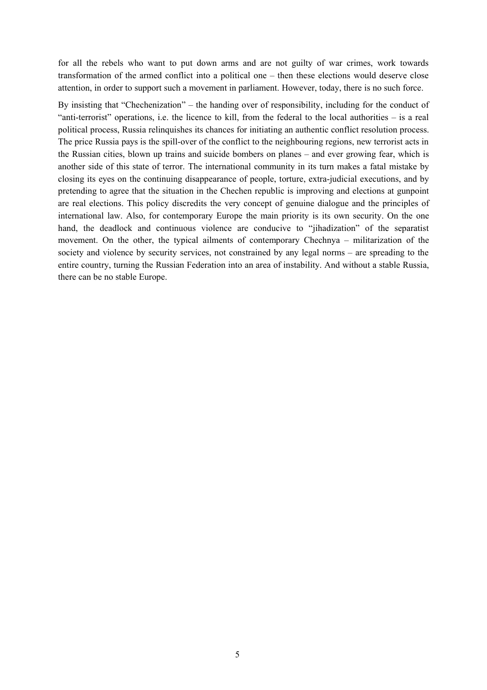for all the rebels who want to put down arms and are not guilty of war crimes, work towards transformation of the armed conflict into a political one – then these elections would deserve close attention, in order to support such a movement in parliament. However, today, there is no such force.

By insisting that "Chechenization" – the handing over of responsibility, including for the conduct of "anti-terrorist" operations, i.e. the licence to kill, from the federal to the local authorities – is a real political process, Russia relinquishes its chances for initiating an authentic conflict resolution process. The price Russia pays is the spill-over of the conflict to the neighbouring regions, new terrorist acts in the Russian cities, blown up trains and suicide bombers on planes – and ever growing fear, which is another side of this state of terror. The international community in its turn makes a fatal mistake by closing its eyes on the continuing disappearance of people, torture, extra-judicial executions, and by pretending to agree that the situation in the Chechen republic is improving and elections at gunpoint are real elections. This policy discredits the very concept of genuine dialogue and the principles of international law. Also, for contemporary Europe the main priority is its own security. On the one hand, the deadlock and continuous violence are conducive to "jihadization" of the separatist movement. On the other, the typical ailments of contemporary Chechnya – militarization of the society and violence by security services, not constrained by any legal norms – are spreading to the entire country, turning the Russian Federation into an area of instability. And without a stable Russia, there can be no stable Europe.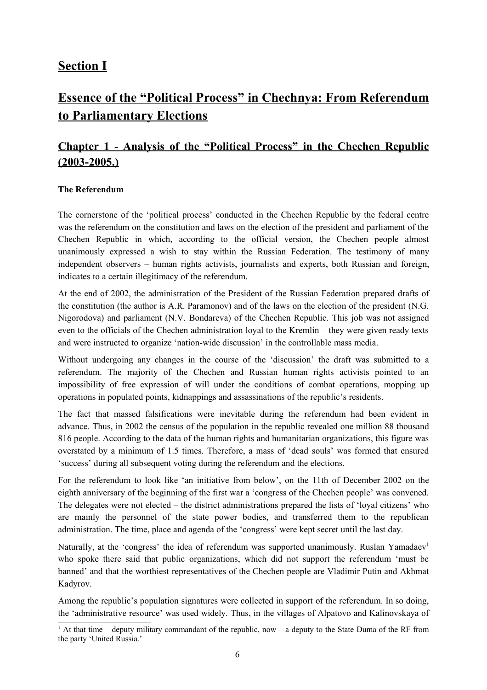### **Section I**

# **Essence of the "Political Process" in Chechnya: From Referendum to Parliamentary Elections**

# **Chapter 1 - Analysis of the "Political Process" in the Chechen Republic (2003-2005.)**

### **The Referendum**

The cornerstone of the 'political process' conducted in the Chechen Republic by the federal centre was the referendum on the constitution and laws on the election of the president and parliament of the Chechen Republic in which, according to the official version, the Chechen people almost unanimously expressed a wish to stay within the Russian Federation. The testimony of many independent observers – human rights activists, journalists and experts, both Russian and foreign, indicates to a certain illegitimacy of the referendum.

At the end of 2002, the administration of the President of the Russian Federation prepared drafts of the constitution (the author is A.R. Paramonov) and of the laws on the election of the president (N.G. Nigorodova) and parliament (N.V. Bondareva) of the Chechen Republic. This job was not assigned even to the officials of the Chechen administration loyal to the Kremlin – they were given ready texts and were instructed to organize 'nation-wide discussion' in the controllable mass media.

Without undergoing any changes in the course of the 'discussion' the draft was submitted to a referendum. The majority of the Chechen and Russian human rights activists pointed to an impossibility of free expression of will under the conditions of combat operations, mopping up operations in populated points, kidnappings and assassinations of the republic's residents.

The fact that massed falsifications were inevitable during the referendum had been evident in advance. Thus, in 2002 the census of the population in the republic revealed one million 88 thousand 816 people. According to the data of the human rights and humanitarian organizations, this figure was overstated by a minimum of 1.5 times. Therefore, a mass of 'dead souls' was formed that ensured 'success' during all subsequent voting during the referendum and the elections.

For the referendum to look like 'an initiative from below', on the 11th of December 2002 on the eighth anniversary of the beginning of the first war a 'congress of the Chechen people' was convened. The delegates were not elected – the district administrations prepared the lists of 'loyal citizens' who are mainly the personnel of the state power bodies, and transferred them to the republican administration. The time, place and agenda of the 'congress' were kept secret until the last day.

Naturally, at the 'congress' the idea of referendum was supported unanimously. Ruslan Yamadaev<sup>1</sup> who spoke there said that public organizations, which did not support the referendum 'must be banned' and that the worthiest representatives of the Chechen people are Vladimir Putin and Akhmat Kadyrov.

Among the republic's population signatures were collected in support of the referendum. In so doing, the 'administrative resource' was used widely. Thus, in the villages of Alpatovo and Kalinovskaya of

<sup>1</sup> At that time – deputy military commandant of the republic, now – a deputy to the State Duma of the RF from the party 'United Russia.'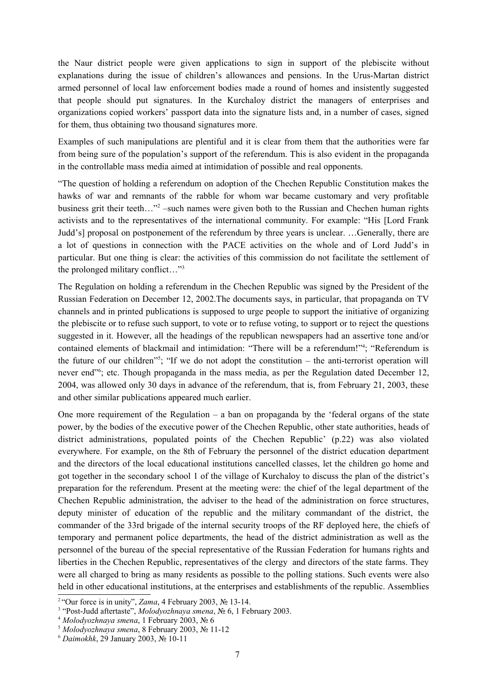the Naur district people were given applications to sign in support of the plebiscite without explanations during the issue of children's allowances and pensions. In the Urus-Martan district armed personnel of local law enforcement bodies made a round of homes and insistently suggested that people should put signatures. In the Kurchaloy district the managers of enterprises and organizations copied workers' passport data into the signature lists and, in a number of cases, signed for them, thus obtaining two thousand signatures more.

Examples of such manipulations are plentiful and it is clear from them that the authorities were far from being sure of the population's support of the referendum. This is also evident in the propaganda in the controllable mass media aimed at intimidation of possible and real opponents.

"The question of holding a referendum on adoption of the Chechen Republic Constitution makes the hawks of war and remnants of the rabble for whom war became customary and very profitable business grit their teeth..."<sup>2</sup> -such names were given both to the Russian and Chechen human rights activists and to the representatives of the international community. For example: "His [Lord Frank Judd's] proposal on postponement of the referendum by three years is unclear. …Generally, there are a lot of questions in connection with the PACE activities on the whole and of Lord Judd's in particular. But one thing is clear: the activities of this commission do not facilitate the settlement of the prolonged military conflict…" 3

The Regulation on holding a referendum in the Chechen Republic was signed by the President of the Russian Federation on December 12, 2002.The documents says, in particular, that propaganda on TV channels and in printed publications is supposed to urge people to support the initiative of organizing the plebiscite or to refuse such support, to vote or to refuse voting, to support or to reject the questions suggested in it. However, all the headings of the republican newspapers had an assertive tone and/or contained elements of blackmail and intimidation: "There will be a referendum!"<sup>4</sup>; "Referendum is the future of our children<sup>75</sup>; "If we do not adopt the constitution – the anti-terrorist operation will never end<sup>36</sup>; etc. Though propaganda in the mass media, as per the Regulation dated December 12, 2004, was allowed only 30 days in advance of the referendum, that is, from February 21, 2003, these and other similar publications appeared much earlier.

One more requirement of the Regulation – a ban on propaganda by the 'federal organs of the state power, by the bodies of the executive power of the Chechen Republic, other state authorities, heads of district administrations, populated points of the Chechen Republic' (p.22) was also violated everywhere. For example, on the 8th of February the personnel of the district education department and the directors of the local educational institutions cancelled classes, let the children go home and got together in the secondary school 1 of the village of Kurchaloy to discuss the plan of the district's preparation for the referendum. Present at the meeting were: the chief of the legal department of the Chechen Republic administration, the adviser to the head of the administration on force structures, deputy minister of education of the republic and the military commandant of the district, the commander of the 33rd brigade of the internal security troops of the RF deployed here, the chiefs of temporary and permanent police departments, the head of the district administration as well as the personnel of the bureau of the special representative of the Russian Federation for humans rights and liberties in the Chechen Republic, representatives of the clergy and directors of the state farms. They were all charged to bring as many residents as possible to the polling stations. Such events were also held in other educational institutions, at the enterprises and establishments of the republic. Assemblies

<sup>&</sup>lt;sup>2</sup> "Our force is in unity", *Zama*, 4 February 2003,  $\mathcal{N}$ <sup>0</sup> 13-14.

<sup>&</sup>lt;sup>3</sup> "Post-Judd aftertaste", *Molodyozhnaya smena*, № 6, 1 February 2003.

<sup>4</sup> *Molodyozhnaya smena*, 1 February 2003, № 6

<sup>5</sup> *Molodyozhnaya smena*, 8 February 2003, № 11-12

<sup>6</sup> *Daimokhk*, 29 January 2003, № 10-11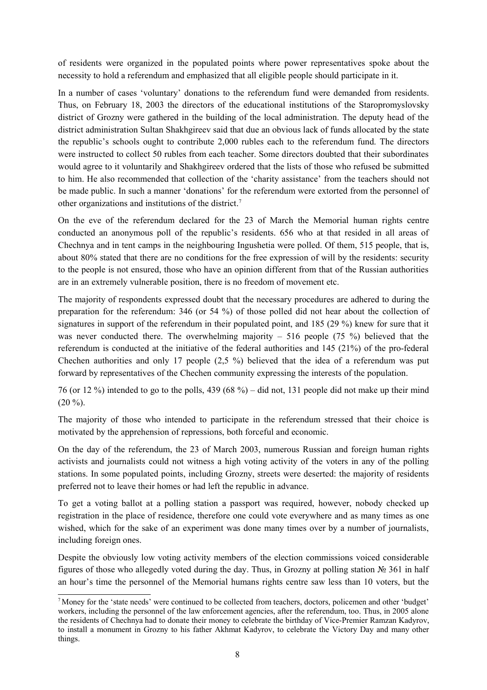of residents were organized in the populated points where power representatives spoke about the necessity to hold a referendum and emphasized that all eligible people should participate in it.

In a number of cases 'voluntary' donations to the referendum fund were demanded from residents. Thus, on February 18, 2003 the directors of the educational institutions of the Staropromyslovsky district of Grozny were gathered in the building of the local administration. The deputy head of the district administration Sultan Shakhgireev said that due an obvious lack of funds allocated by the state the republic's schools ought to contribute 2,000 rubles each to the referendum fund. The directors were instructed to collect 50 rubles from each teacher. Some directors doubted that their subordinates would agree to it voluntarily and Shakhgireev ordered that the lists of those who refused be submitted to him. He also recommended that collection of the 'charity assistance' from the teachers should not be made public. In such a manner 'donations' for the referendum were extorted from the personnel of other organizations and institutions of the district. 7

On the eve of the referendum declared for the 23 of March the Memorial human rights centre conducted an anonymous poll of the republic's residents. 656 who at that resided in all areas of Chechnya and in tent camps in the neighbouring Ingushetia were polled. Of them, 515 people, that is, about 80% stated that there are no conditions for the free expression of will by the residents: security to the people is not ensured, those who have an opinion different from that of the Russian authorities are in an extremely vulnerable position, there is no freedom of movement etc.

The majority of respondents expressed doubt that the necessary procedures are adhered to during the preparation for the referendum: 346 (or 54 %) of those polled did not hear about the collection of signatures in support of the referendum in their populated point, and 185 (29 %) knew for sure that it was never conducted there. The overwhelming majority – 516 people (75 %) believed that the referendum is conducted at the initiative of the federal authorities and 145 (21%) of the pro-federal Chechen authorities and only 17 people (2,5 %) believed that the idea of a referendum was put forward by representatives of the Chechen community expressing the interests of the population.

76 (or 12 %) intended to go to the polls, 439 (68 %) – did not, 131 people did not make up their mind  $(20 \%)$ .

The majority of those who intended to participate in the referendum stressed that their choice is motivated by the apprehension of repressions, both forceful and economic.

On the day of the referendum, the 23 of March 2003, numerous Russian and foreign human rights activists and journalists could not witness a high voting activity of the voters in any of the polling stations. In some populated points, including Grozny, streets were deserted: the majority of residents preferred not to leave their homes or had left the republic in advance.

To get a voting ballot at a polling station a passport was required, however, nobody checked up registration in the place of residence, therefore one could vote everywhere and as many times as one wished, which for the sake of an experiment was done many times over by a number of journalists, including foreign ones.

Despite the obviously low voting activity members of the election commissions voiced considerable figures of those who allegedly voted during the day. Thus, in Grozny at polling station № 361 in half an hour's time the personnel of the Memorial humans rights centre saw less than 10 voters, but the

<sup>7</sup> Money for the 'state needs' were continued to be collected from teachers, doctors, policemen and other 'budget' workers, including the personnel of the law enforcement agencies, after the referendum, too. Thus, in 2005 alone the residents of Chechnya had to donate their money to celebrate the birthday of Vice-Premier Ramzan Kadyrov, to install a monument in Grozny to his father Akhmat Kadyrov, to celebrate the Victory Day and many other things.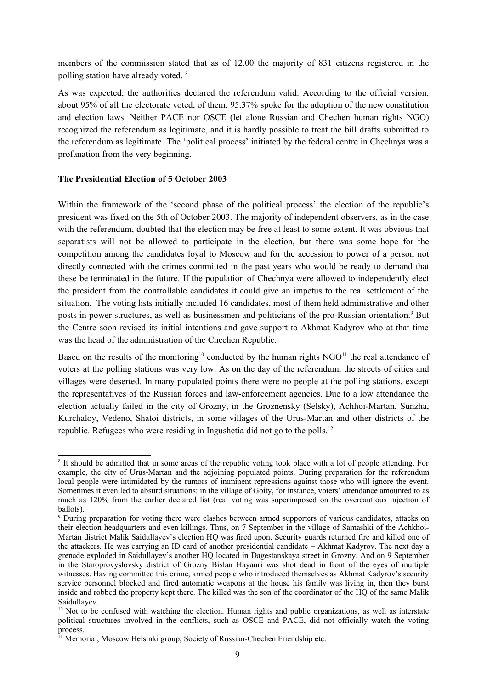members of the commission stated that as of 12.00 the majority of 831 citizens registered in the polling station have already voted.<sup>8</sup>

As was expected, the authorities declared the referendum valid. According to the official version, about 95% of all the electorate voted, of them, 95.37% spoke for the adoption of the new constitution and election laws. Neither PACE nor OSCE (let alone Russian and Chechen human rights NGO) recognized the referendum as legitimate, and it is hardly possible to treat the bill drafts submitted to the referendum as legitimate. The 'political process' initiated by the federal centre in Chechnya was a profanation from the very beginning.

### **The Presidential Election of 5 October 2003**

Within the framework of the 'second phase of the political process' the election of the republic's president was fixed on the 5th of October 2003. The majority of independent observers, as in the case with the referendum, doubted that the election may be free at least to some extent. It was obvious that separatists will not be allowed to participate in the election, but there was some hope for the competition among the candidates loyal to Moscow and for the accession to power of a person not directly connected with the crimes committed in the past years who would be ready to demand that these be terminated in the future. If the population of Chechnya were allowed to independently elect the president from the controllable candidates it could give an impetus to the real settlement of the situation. The voting lists initially included 16 candidates, most of them held administrative and other posts in power structures, as well as businessmen and politicians of the pro-Russian orientation.<sup>9</sup> But the Centre soon revised its initial intentions and gave support to Akhmat Kadyrov who at that time was the head of the administration of the Chechen Republic.

Based on the results of the monitoring<sup>10</sup> conducted by the human rights  $NGO<sup>11</sup>$  the real attendance of voters at the polling stations was very low. As on the day of the referendum, the streets of cities and villages were deserted. In many populated points there were no people at the polling stations, except the representatives of the Russian forces and law-enforcement agencies. Due to a low attendance the election actually failed in the city of Grozny, in the Groznensky (Selsky), Achhoi-Martan, Sunzha, Kurchaloy, Vedeno, Shatoi districts, in some villages of the Urus-Martan and other districts of the republic. Refugees who were residing in Ingushetia did not go to the polls.<sup>12</sup>

<sup>8</sup> It should be admitted that in some areas of the republic voting took place with a lot of people attending. For example, the city of Urus-Martan and the adjoining populated points. During preparation for the referendum local people were intimidated by the rumors of imminent repressions against those who will ignore the event. Sometimes it even led to absurd situations: in the village of Goity, for instance, voters' attendance amounted to as much as 120% from the earlier declared list (real voting was superimposed on the overcautious injection of ballots).

<sup>9</sup> During preparation for voting there were clashes between armed supporters of various candidates, attacks on their election headquarters and even killings. Thus, on 7 September in the village of Samashki of the Achkhoi-Martan district Malik Saidullayev's election HQ was fired upon. Security guards returned fire and killed one of the attackers. He was carrying an ID card of another presidential candidate – Akhmat Kadyrov. The next day a grenade exploded in Saidullayev's another HQ located in Dagestanskaya street in Grozny. And on 9 September in the Staroprovyslovsky district of Grozny Bislan Hayauri was shot dead in front of the eyes of multiple witnesses. Having committed this crime, armed people who introduced themselves as Akhmat Kadyrov's security service personnel blocked and fired automatic weapons at the house his family was living in, then they burst inside and robbed the property kept there. The killed was the son of the coordinator of the HQ of the same Malik Saidullayev.

<sup>&</sup>lt;sup>10</sup> Not to be confused with watching the election. Human rights and public organizations, as well as interstate political structures involved in the conflicts, such as OSCE and PACE, did not officially watch the voting process.

<sup>&</sup>lt;sup>11</sup> Memorial, Moscow Helsinki group, Society of Russian-Chechen Friendship etc.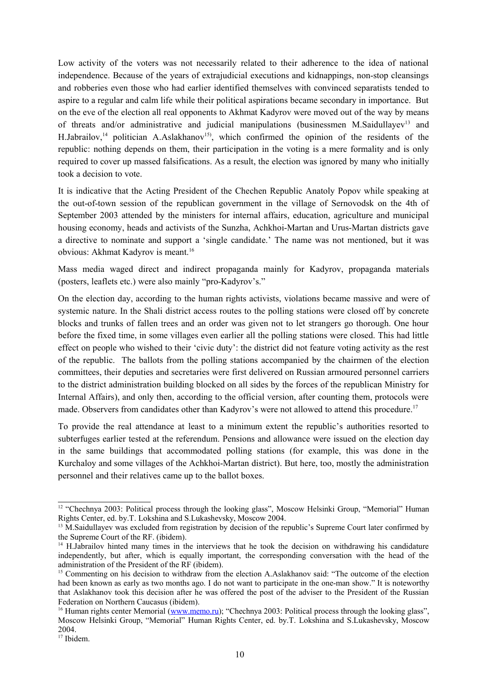Low activity of the voters was not necessarily related to their adherence to the idea of national independence. Because of the years of extrajudicial executions and kidnappings, non-stop cleansings and robberies even those who had earlier identified themselves with convinced separatists tended to aspire to a regular and calm life while their political aspirations became secondary in importance. But on the eve of the election all real opponents to Akhmat Kadyrov were moved out of the way by means of threats and/or administrative and judicial manipulations (businessmen M.Saidullayev<sup>13</sup> and H.Jabrailov,<sup>14</sup> politician A.Aslakhanov<sup>15</sup>, which confirmed the opinion of the residents of the republic: nothing depends on them, their participation in the voting is a mere formality and is only required to cover up massed falsifications. As a result, the election was ignored by many who initially took a decision to vote.

It is indicative that the Acting President of the Chechen Republic Anatoly Popov while speaking at the out-of-town session of the republican government in the village of Sernovodsk on the 4th of September 2003 attended by the ministers for internal affairs, education, agriculture and municipal housing economy, heads and activists of the Sunzha, Achkhoi-Martan and Urus-Martan districts gave a directive to nominate and support a 'single candidate.' The name was not mentioned, but it was obvious: Akhmat Kadyrov is meant. 16

Mass media waged direct and indirect propaganda mainly for Kadyrov, propaganda materials (posters, leaflets etc.) were also mainly "pro-Kadyrov's."

On the election day, according to the human rights activists, violations became massive and were of systemic nature. In the Shali district access routes to the polling stations were closed off by concrete blocks and trunks of fallen trees and an order was given not to let strangers go thorough. One hour before the fixed time, in some villages even earlier all the polling stations were closed. This had little effect on people who wished to their 'civic duty': the district did not feature voting activity as the rest of the republic. The ballots from the polling stations accompanied by the chairmen of the election committees, their deputies and secretaries were first delivered on Russian armoured personnel carriers to the district administration building blocked on all sides by the forces of the republican Ministry for Internal Affairs), and only then, according to the official version, after counting them, protocols were made. Observers from candidates other than Kadyrov's were not allowed to attend this procedure.<sup>17</sup>

To provide the real attendance at least to a minimum extent the republic's authorities resorted to subterfuges earlier tested at the referendum. Pensions and allowance were issued on the election day in the same buildings that accommodated polling stations (for example, this was done in the Kurchaloy and some villages of the Achkhoi-Martan district). But here, too, mostly the administration personnel and their relatives came up to the ballot boxes.

<sup>&</sup>lt;sup>12</sup> "Chechnya 2003: Political process through the looking glass", Moscow Helsinki Group, "Memorial" Human Rights Center, ed. by.Т. Lokshina and S.Lukashevsky, Moscow 2004.

<sup>&</sup>lt;sup>13</sup> M.Saidullayev was excluded from registration by decision of the republic's Supreme Court later confirmed by the Supreme Court of the RF. (ibidem).

<sup>&</sup>lt;sup>14</sup> H.Jabrailov hinted many times in the interviews that he took the decision on withdrawing his candidature independently, but after, which is equally important, the corresponding conversation with the head of the administration of the President of the RF (ibidem).

<sup>&</sup>lt;sup>15</sup> Commenting on his decision to withdraw from the election A.Aslakhanov said: "The outcome of the election had been known as early as two months ago. I do not want to participate in the one-man show." It is noteworthy that Aslakhanov took this decision after he was offered the post of the adviser to the President of the Russian Federation on Northern Caucasus (ibidem).

<sup>&</sup>lt;sup>16</sup> Human rights center Memorial (www.memo.ru); "Chechnya 2003: Political process through the looking glass", Moscow Helsinki Group, "Memorial" Human Rights Center, ed. by.Т. Lokshina and S.Lukashevsky, Moscow 2004.

<sup>&</sup>lt;sup>17</sup> Ibidem.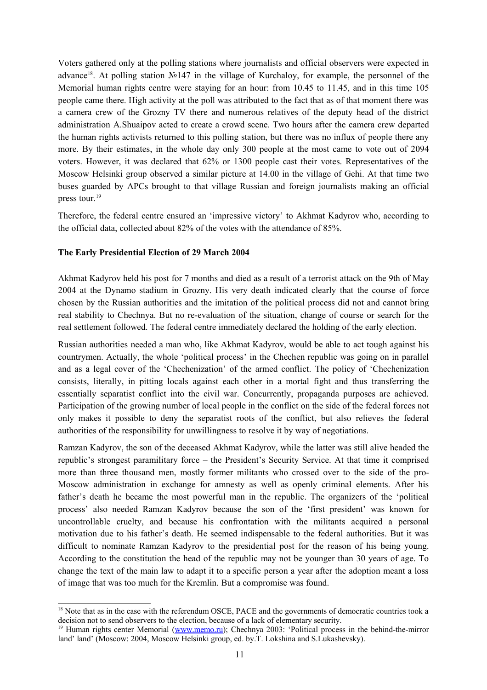Voters gathered only at the polling stations where journalists and official observers were expected in advance<sup>18</sup>. At polling station Nº147 in the village of Kurchaloy, for example, the personnel of the Memorial human rights centre were staying for an hour: from 10.45 to 11.45, and in this time 105 people came there. High activity at the poll was attributed to the fact that as of that moment there was a camera crew of the Grozny TV there and numerous relatives of the deputy head of the district administration A.Shuaipov acted to create a crowd scene. Two hours after the camera crew departed the human rights activists returned to this polling station, but there was no influx of people there any more. By their estimates, in the whole day only 300 people at the most came to vote out of 2094 voters. However, it was declared that 62% or 1300 people cast their votes. Representatives of the Moscow Helsinki group observed a similar picture at 14.00 in the village of Gehi. At that time two buses guarded by APCs brought to that village Russian and foreign journalists making an official press tour.<sup>19</sup>

Therefore, the federal centre ensured an 'impressive victory' to Akhmat Kadyrov who, according to the official data, collected about 82% of the votes with the attendance of 85%.

### **The Early Presidential Election of 29 March 2004**

Akhmat Kadyrov held his post for 7 months and died as a result of a terrorist attack on the 9th of May 2004 at the Dynamo stadium in Grozny. His very death indicated clearly that the course of force chosen by the Russian authorities and the imitation of the political process did not and cannot bring real stability to Chechnya. But no re-evaluation of the situation, change of course or search for the real settlement followed. The federal centre immediately declared the holding of the early election.

Russian authorities needed a man who, like Akhmat Kadyrov, would be able to act tough against his countrymen. Actually, the whole 'political process' in the Chechen republic was going on in parallel and as a legal cover of the 'Chechenization' of the armed conflict. The policy of 'Chechenization consists, literally, in pitting locals against each other in a mortal fight and thus transferring the essentially separatist conflict into the civil war. Concurrently, propaganda purposes are achieved. Participation of the growing number of local people in the conflict on the side of the federal forces not only makes it possible to deny the separatist roots of the conflict, but also relieves the federal authorities of the responsibility for unwillingness to resolve it by way of negotiations.

Ramzan Kadyrov, the son of the deceased Akhmat Kadyrov, while the latter was still alive headed the republic's strongest paramilitary force – the President's Security Service. At that time it comprised more than three thousand men, mostly former militants who crossed over to the side of the pro-Moscow administration in exchange for amnesty as well as openly criminal elements. After his father's death he became the most powerful man in the republic. The organizers of the 'political process' also needed Ramzan Kadyrov because the son of the 'first president' was known for uncontrollable cruelty, and because his confrontation with the militants acquired a personal motivation due to his father's death. He seemed indispensable to the federal authorities. But it was difficult to nominate Ramzan Kadyrov to the presidential post for the reason of his being young. According to the constitution the head of the republic may not be younger than 30 years of age. To change the text of the main law to adapt it to a specific person a year after the adoption meant a loss of image that was too much for the Kremlin. But a compromise was found.

<sup>&</sup>lt;sup>18</sup> Note that as in the case with the referendum OSCE, PACE and the governments of democratic countries took a decision not to send observers to the election, because of a lack of elementary security.

<sup>&</sup>lt;sup>19</sup> Human rights center Memorial (www.memo.ru); Chechnya 2003: 'Political process in the behind-the-mirror land' land' (Moscow: 2004, Moscow Helsinki group, ed. by.Т. Lokshina and S.Lukashevsky).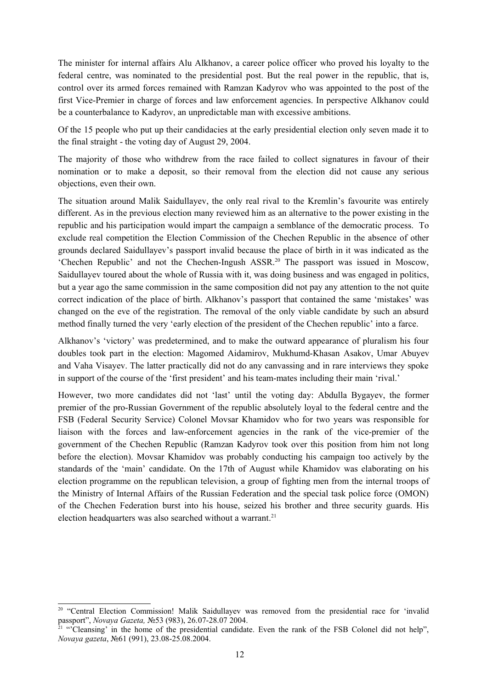The minister for internal affairs Alu Alkhanov, a career police officer who proved his loyalty to the federal centre, was nominated to the presidential post. But the real power in the republic, that is, control over its armed forces remained with Ramzan Kadyrov who was appointed to the post of the first Vice-Premier in charge of forces and law enforcement agencies. In perspective Alkhanov could be a counterbalance to Kadyrov, an unpredictable man with excessive ambitions.

Of the 15 people who put up their candidacies at the early presidential election only seven made it to the final straight - the voting day of August 29, 2004.

The majority of those who withdrew from the race failed to collect signatures in favour of their nomination or to make a deposit, so their removal from the election did not cause any serious objections, even their own.

The situation around Malik Saidullayev, the only real rival to the Kremlin's favourite was entirely different. As in the previous election many reviewed him as an alternative to the power existing in the republic and his participation would impart the campaign a semblance of the democratic process. To exclude real competition the Election Commission of the Chechen Republic in the absence of other grounds declared Saidullayev's passport invalid because the place of birth in it was indicated as the 'Chechen Republic' and not the Chechen-Ingush ASSR. <sup>20</sup> The passport was issued in Moscow, Saidullayev toured about the whole of Russia with it, was doing business and was engaged in politics, but a year ago the same commission in the same composition did not pay any attention to the not quite correct indication of the place of birth. Alkhanov's passport that contained the same 'mistakes' was changed on the eve of the registration. The removal of the only viable candidate by such an absurd method finally turned the very 'early election of the president of the Chechen republic' into a farce.

Alkhanov's 'victory' was predetermined, and to make the outward appearance of pluralism his four doubles took part in the election: Magomed Aidamirov, Mukhumd-Khasan Asakov, Umar Abuyev and Vaha Visayev. The latter practically did not do any canvassing and in rare interviews they spoke in support of the course of the 'first president' and his team-mates including their main 'rival.'

However, two more candidates did not 'last' until the voting day: Abdulla Bygayev, the former premier of the pro-Russian Government of the republic absolutely loyal to the federal centre and the FSB (Federal Security Service) Colonel Movsar Khamidov who for two years was responsible for liaison with the forces and law-enforcement agencies in the rank of the vice-premier of the government of the Chechen Republic (Ramzan Kadyrov took over this position from him not long before the election). Movsar Khamidov was probably conducting his campaign too actively by the standards of the 'main' candidate. On the 17th of August while Khamidov was elaborating on his election programme on the republican television, a group of fighting men from the internal troops of the Ministry of Internal Affairs of the Russian Federation and the special task police force (OMON) of the Chechen Federation burst into his house, seized his brother and three security guards. His election headquarters was also searched without a warrant. 21

<sup>&</sup>lt;sup>20</sup> "Central Election Commission! Malik Saidullayev was removed from the presidential race for 'invalid passport", *Novaya Gazeta, N*e53 (983), 26.07-28.07 2004.<br><sup>21</sup> "Cleansing' in the home of the presidential candidate. Even the rank of the FSB Colonel did not help",

*Novaya gazeta*, №61 (991), 23.08-25.08.2004.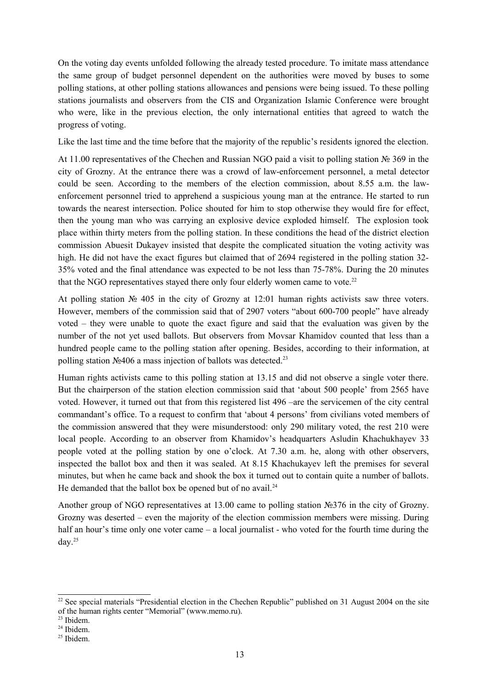On the voting day events unfolded following the already tested procedure. To imitate mass attendance the same group of budget personnel dependent on the authorities were moved by buses to some polling stations, at other polling stations allowances and pensions were being issued. To these polling stations journalists and observers from the CIS and Organization Islamic Conference were brought who were, like in the previous election, the only international entities that agreed to watch the progress of voting.

Like the last time and the time before that the majority of the republic's residents ignored the election.

At 11.00 representatives of the Chechen and Russian NGO paid a visit to polling station № 369 in the city of Grozny. At the entrance there was a crowd of law-enforcement personnel, a metal detector could be seen. According to the members of the election commission, about 8.55 a.m. the lawenforcement personnel tried to apprehend a suspicious young man at the entrance. He started to run towards the nearest intersection. Police shouted for him to stop otherwise they would fire for effect, then the young man who was carrying an explosive device exploded himself. The explosion took place within thirty meters from the polling station. In these conditions the head of the district election commission Abuesit Dukayev insisted that despite the complicated situation the voting activity was high. He did not have the exact figures but claimed that of 2694 registered in the polling station 32- 35% voted and the final attendance was expected to be not less than 75-78%. During the 20 minutes that the NGO representatives stayed there only four elderly women came to vote.<sup>22</sup>

At polling station  $\mathbb{N}^{\circ}$  405 in the city of Grozny at 12:01 human rights activists saw three voters. However, members of the commission said that of 2907 voters "about 600-700 people" have already voted – they were unable to quote the exact figure and said that the evaluation was given by the number of the not yet used ballots. But observers from Movsar Khamidov counted that less than a hundred people came to the polling station after opening. Besides, according to their information, at polling station №406 a mass injection of ballots was detected.<sup>23</sup>

Human rights activists came to this polling station at 13.15 and did not observe a single voter there. But the chairperson of the station election commission said that 'about 500 people' from 2565 have voted. However, it turned out that from this registered list 496 –are the servicemen of the city central commandant's office. To a request to confirm that 'about 4 persons' from civilians voted members of the commission answered that they were misunderstood: only 290 military voted, the rest 210 were local people. According to an observer from Khamidov's headquarters Asludin Khachukhayev 33 people voted at the polling station by one o'clock. At 7.30 a.m. he, along with other observers, inspected the ballot box and then it was sealed. At 8.15 Khachukayev left the premises for several minutes, but when he came back and shook the box it turned out to contain quite a number of ballots. He demanded that the ballot box be opened but of no avail.<sup>24</sup>

Another group of NGO representatives at 13.00 came to polling station №376 in the city of Grozny. Grozny was deserted – even the majority of the election commission members were missing. During half an hour's time only one voter came – a local journalist - who voted for the fourth time during the day. 25

<sup>&</sup>lt;sup>22</sup> See special materials "Presidential election in the Chechen Republic" published on 31 August 2004 on the site of the human rights center "Memorial" (www.memo.ru).

<sup>23</sup> Ibidem.

<sup>24</sup> Ibidem.

<sup>25</sup> Ibidem.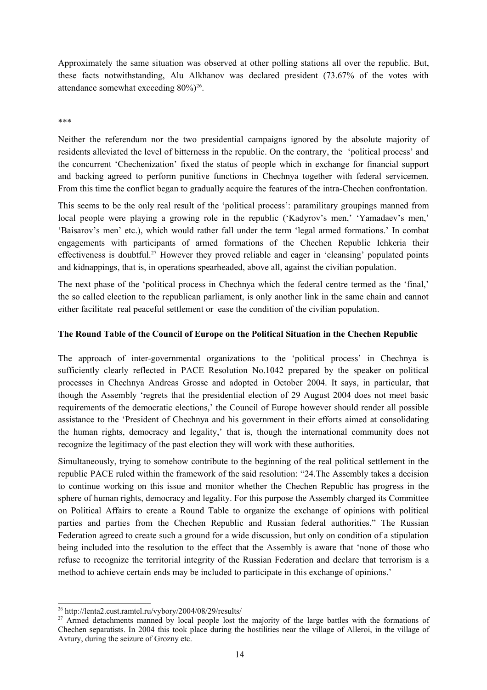Approximately the same situation was observed at other polling stations all over the republic. But, these facts notwithstanding, Alu Alkhanov was declared president (73.67% of the votes with attendance somewhat exceeding  $80\%/^{26}$ .

#### \*\*\*

Neither the referendum nor the two presidential campaigns ignored by the absolute majority of residents alleviated the level of bitterness in the republic. On the contrary, the 'political process' and the concurrent 'Chechenization' fixed the status of people which in exchange for financial support and backing agreed to perform punitive functions in Chechnya together with federal servicemen. From this time the conflict began to gradually acquire the features of the intra-Chechen confrontation.

This seems to be the only real result of the 'political process': paramilitary groupings manned from local people were playing a growing role in the republic ('Kadyrov's men,' 'Yamadaev's men,' 'Baisarov's men' etc.), which would rather fall under the term 'legal armed formations.' In combat engagements with participants of armed formations of the Chechen Republic Ichkeria their effectiveness is doubtful.<sup>27</sup> However they proved reliable and eager in 'cleansing' populated points and kidnappings, that is, in operations spearheaded, above all, against the civilian population.

The next phase of the 'political process in Chechnya which the federal centre termed as the 'final,' the so called election to the republican parliament, is only another link in the same chain and cannot either facilitate real peaceful settlement or ease the condition of the civilian population.

### **The Round Table of the Council of Europe on the Political Situation in the Chechen Republic**

The approach of inter-governmental organizations to the 'political process' in Chechnya is sufficiently clearly reflected in PACE Resolution No.1042 prepared by the speaker on political processes in Chechnya Andreas Grosse and adopted in October 2004. It says, in particular, that though the Assembly 'regrets that the presidential election of 29 August 2004 does not meet basic requirements of the democratic elections,' the Council of Europe however should render all possible assistance to the 'President of Chechnya and his government in their efforts aimed at consolidating the human rights, democracy and legality,' that is, though the international community does not recognize the legitimacy of the past election they will work with these authorities.

Simultaneously, trying to somehow contribute to the beginning of the real political settlement in the republic PACE ruled within the framework of the said resolution: "24.The Assembly takes a decision to continue working on this issue and monitor whether the Chechen Republic has progress in the sphere of human rights, democracy and legality. For this purpose the Assembly charged its Committee on Political Affairs to create a Round Table to organize the exchange of opinions with political parties and parties from the Chechen Republic and Russian federal authorities." The Russian Federation agreed to create such a ground for a wide discussion, but only on condition of a stipulation being included into the resolution to the effect that the Assembly is aware that 'none of those who refuse to recognize the territorial integrity of the Russian Federation and declare that terrorism is a method to achieve certain ends may be included to participate in this exchange of opinions.'

<sup>&</sup>lt;sup>26</sup> http://lenta2.cust.ramtel.ru/vybory/2004/08/29/results/

<sup>&</sup>lt;sup>27</sup> Armed detachments manned by local people lost the majority of the large battles with the formations of Chechen separatists. In 2004 this took place during the hostilities near the village of Alleroi, in the village of Avtury, during the seizure of Grozny etc.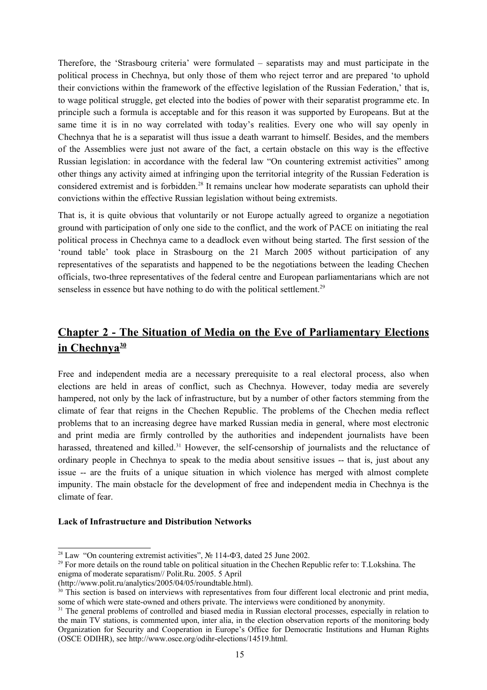Therefore, the 'Strasbourg criteria' were formulated – separatists may and must participate in the political process in Chechnya, but only those of them who reject terror and are prepared 'to uphold their convictions within the framework of the effective legislation of the Russian Federation,' that is, to wage political struggle, get elected into the bodies of power with their separatist programme etc. In principle such a formula is acceptable and for this reason it was supported by Europeans. But at the same time it is in no way correlated with today's realities. Every one who will say openly in Chechnya that he is a separatist will thus issue a death warrant to himself. Besides, and the members of the Assemblies were just not aware of the fact, a certain obstacle on this way is the effective Russian legislation: in accordance with the federal law "On countering extremist activities" among other things any activity aimed at infringing upon the territorial integrity of the Russian Federation is considered extremist and is forbidden.<sup>28</sup> It remains unclear how moderate separatists can uphold their convictions within the effective Russian legislation without being extremists.

That is, it is quite obvious that voluntarily or not Europe actually agreed to organize a negotiation ground with participation of only one side to the conflict, and the work of PACE on initiating the real political process in Chechnya came to a deadlock even without being started. The first session of the 'round table' took place in Strasbourg on the 21 March 2005 without participation of any representatives of the separatists and happened to be the negotiations between the leading Chechen officials, two-three representatives of the federal centre and European parliamentarians which are not senseless in essence but have nothing to do with the political settlement.<sup>29</sup>

# **Chapter 2 - The Situation of Media on the Eve of Parliamentary Elections in Chechnya 30**

Free and independent media are a necessary prerequisite to a real electoral process, also when elections are held in areas of conflict, such as Chechnya. However, today media are severely hampered, not only by the lack of infrastructure, but by a number of other factors stemming from the climate of fear that reigns in the Chechen Republic. The problems of the Chechen media reflect problems that to an increasing degree have marked Russian media in general, where most electronic and print media are firmly controlled by the authorities and independent journalists have been harassed, threatened and killed.<sup>31</sup> However, the self-censorship of journalists and the reluctance of ordinary people in Chechnya to speak to the media about sensitive issues -- that is, just about any issue -- are the fruits of a unique situation in which violence has merged with almost complete impunity. The main obstacle for the development of free and independent media in Chechnya is the climate of fear.

#### **Lack of Infrastructure and Distribution Networks**

<sup>&</sup>lt;sup>28</sup> Law "On countering extremist activities",  $\mathcal{N}$  114- $\Phi$ 3, dated 25 June 2002.

<sup>&</sup>lt;sup>29</sup> For more details on the round table on political situation in the Chechen Republic refer to: T.Lokshina. The enigma of moderate separatism// Polit.Ru. 2005. 5 April

<sup>(</sup>http://www.polit.ru/analytics/2005/04/05/roundtable.html).

<sup>&</sup>lt;sup>30</sup> This section is based on interviews with representatives from four different local electronic and print media, some of which were state-owned and others private. The interviews were conditioned by anonymity.

<sup>&</sup>lt;sup>31</sup> The general problems of controlled and biased media in Russian electoral processes, especially in relation to the main TV stations, is commented upon, inter alia, in the election observation reports of the monitoring body Organization for Security and Cooperation in Europe's Office for Democratic Institutions and Human Rights (OSCE ODIHR), see http://www.osce.org/odihr-elections/14519.html.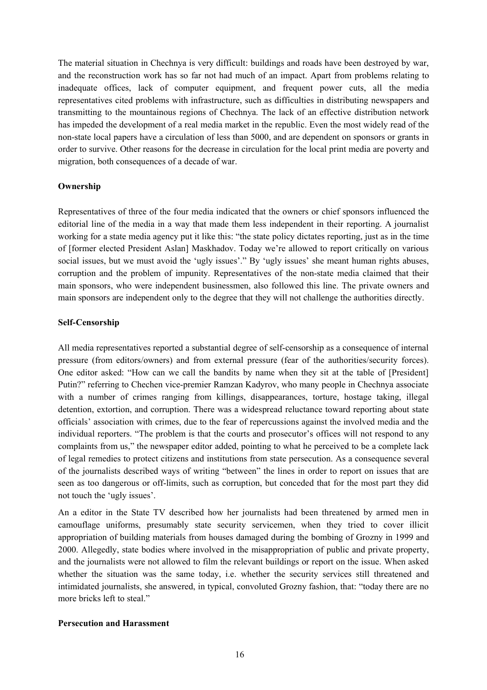The material situation in Chechnya is very difficult: buildings and roads have been destroyed by war, and the reconstruction work has so far not had much of an impact. Apart from problems relating to inadequate offices, lack of computer equipment, and frequent power cuts, all the media representatives cited problems with infrastructure, such as difficulties in distributing newspapers and transmitting to the mountainous regions of Chechnya. The lack of an effective distribution network has impeded the development of a real media market in the republic. Even the most widely read of the non-state local papers have a circulation of less than 5000, and are dependent on sponsors or grants in order to survive. Other reasons for the decrease in circulation for the local print media are poverty and migration, both consequences of a decade of war.

### **Ownership**

Representatives of three of the four media indicated that the owners or chief sponsors influenced the editorial line of the media in a way that made them less independent in their reporting. A journalist working for a state media agency put it like this: "the state policy dictates reporting, just as in the time of [former elected President Aslan] Maskhadov. Today we're allowed to report critically on various social issues, but we must avoid the 'ugly issues'." By 'ugly issues' she meant human rights abuses, corruption and the problem of impunity. Representatives of the non-state media claimed that their main sponsors, who were independent businessmen, also followed this line. The private owners and main sponsors are independent only to the degree that they will not challenge the authorities directly.

### **Self-Censorship**

All media representatives reported a substantial degree of self-censorship as a consequence of internal pressure (from editors/owners) and from external pressure (fear of the authorities/security forces). One editor asked: "How can we call the bandits by name when they sit at the table of [President] Putin?" referring to Chechen vice-premier Ramzan Kadyrov, who many people in Chechnya associate with a number of crimes ranging from killings, disappearances, torture, hostage taking, illegal detention, extortion, and corruption. There was a widespread reluctance toward reporting about state officials' association with crimes, due to the fear of repercussions against the involved media and the individual reporters. "The problem is that the courts and prosecutor's offices will not respond to any complaints from us," the newspaper editor added, pointing to what he perceived to be a complete lack of legal remedies to protect citizens and institutions from state persecution. As a consequence several of the journalists described ways of writing "between" the lines in order to report on issues that are seen as too dangerous or off-limits, such as corruption, but conceded that for the most part they did not touch the 'ugly issues'.

An a editor in the State TV described how her journalists had been threatened by armed men in camouflage uniforms, presumably state security servicemen, when they tried to cover illicit appropriation of building materials from houses damaged during the bombing of Grozny in 1999 and 2000. Allegedly, state bodies where involved in the misappropriation of public and private property, and the journalists were not allowed to film the relevant buildings or report on the issue. When asked whether the situation was the same today, i.e. whether the security services still threatened and intimidated journalists, she answered, in typical, convoluted Grozny fashion, that: "today there are no more bricks left to steal."

#### **Persecution and Harassment**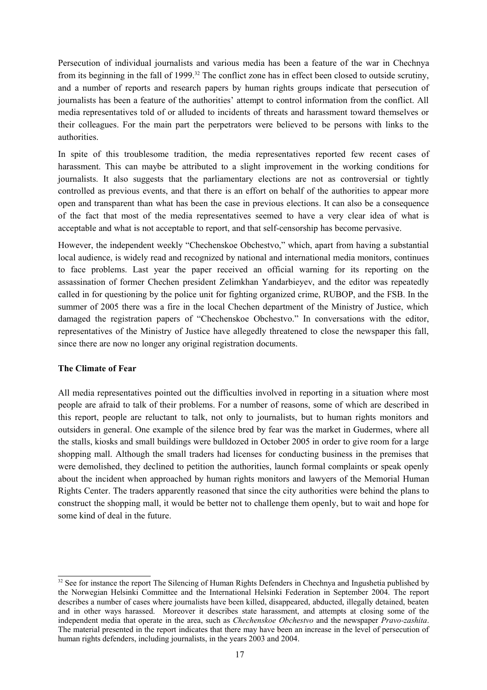Persecution of individual journalists and various media has been a feature of the war in Chechnya from its beginning in the fall of 1999.<sup>32</sup> The conflict zone has in effect been closed to outside scrutiny, and a number of reports and research papers by human rights groups indicate that persecution of journalists has been a feature of the authorities' attempt to control information from the conflict. All media representatives told of or alluded to incidents of threats and harassment toward themselves or their colleagues. For the main part the perpetrators were believed to be persons with links to the authorities.

In spite of this troublesome tradition, the media representatives reported few recent cases of harassment. This can maybe be attributed to a slight improvement in the working conditions for journalists. It also suggests that the parliamentary elections are not as controversial or tightly controlled as previous events, and that there is an effort on behalf of the authorities to appear more open and transparent than what has been the case in previous elections. It can also be a consequence of the fact that most of the media representatives seemed to have a very clear idea of what is acceptable and what is not acceptable to report, and that self-censorship has become pervasive.

However, the independent weekly "Chechenskoe Obchestvo," which, apart from having a substantial local audience, is widely read and recognized by national and international media monitors, continues to face problems. Last year the paper received an official warning for its reporting on the assassination of former Chechen president Zelimkhan Yandarbieyev, and the editor was repeatedly called in for questioning by the police unit for fighting organized crime, RUBOP, and the FSB. In the summer of 2005 there was a fire in the local Chechen department of the Ministry of Justice, which damaged the registration papers of "Chechenskoe Obchestvo." In conversations with the editor, representatives of the Ministry of Justice have allegedly threatened to close the newspaper this fall, since there are now no longer any original registration documents.

### **The Climate of Fear**

All media representatives pointed out the difficulties involved in reporting in a situation where most people are afraid to talk of their problems. For a number of reasons, some of which are described in this report, people are reluctant to talk, not only to journalists, but to human rights monitors and outsiders in general. One example of the silence bred by fear was the market in Gudermes, where all the stalls, kiosks and small buildings were bulldozed in October 2005 in order to give room for a large shopping mall. Although the small traders had licenses for conducting business in the premises that were demolished, they declined to petition the authorities, launch formal complaints or speak openly about the incident when approached by human rights monitors and lawyers of the Memorial Human Rights Center. The traders apparently reasoned that since the city authorities were behind the plans to construct the shopping mall, it would be better not to challenge them openly, but to wait and hope for some kind of deal in the future.

<sup>&</sup>lt;sup>32</sup> See for instance the report The Silencing of Human Rights Defenders in Chechnya and Ingushetia published by the Norwegian Helsinki Committee and the International Helsinki Federation in September 2004. The report describes a number of cases where journalists have been killed, disappeared, abducted, illegally detained, beaten and in other ways harassed. Moreover it describes state harassment, and attempts at closing some of the independent media that operate in the area, such as *Chechenskoe Obchestvo* and the newspaper *Pravo-zashita*. The material presented in the report indicates that there may have been an increase in the level of persecution of human rights defenders, including journalists, in the years 2003 and 2004.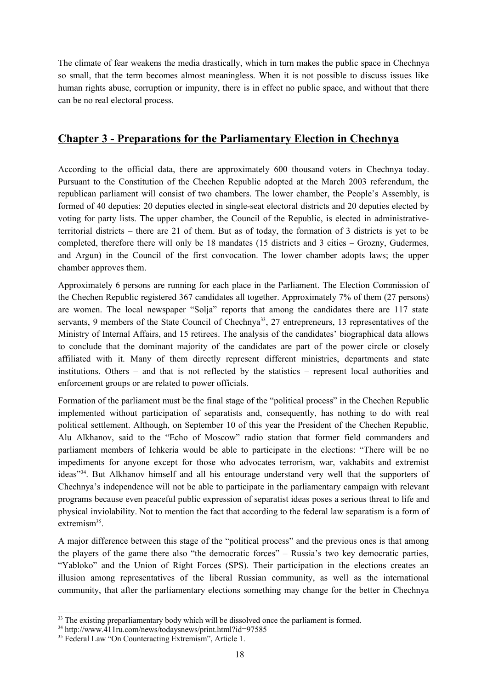The climate of fear weakens the media drastically, which in turn makes the public space in Chechnya so small, that the term becomes almost meaningless. When it is not possible to discuss issues like human rights abuse, corruption or impunity, there is in effect no public space, and without that there can be no real electoral process.

### **Chapter 3 - Preparations for the Parliamentary Election in Chechnya**

According to the official data, there are approximately 600 thousand voters in Chechnya today. Pursuant to the Constitution of the Chechen Republic adopted at the March 2003 referendum, the republican parliament will consist of two chambers. The lower chamber, the People's Assembly, is formed of 40 deputies: 20 deputies elected in single-seat electoral districts and 20 deputies elected by voting for party lists. The upper chamber, the Council of the Republic, is elected in administrativeterritorial districts – there are 21 of them. But as of today, the formation of 3 districts is yet to be completed, therefore there will only be 18 mandates (15 districts and 3 cities – Grozny, Gudermes, and Argun) in the Council of the first convocation. The lower chamber adopts laws; the upper chamber approves them.

Approximately 6 persons are running for each place in the Parliament. The Election Commission of the Chechen Republic registered 367 candidates all together. Approximately 7% of them (27 persons) are women. The local newspaper "Solja" reports that among the candidates there are 117 state servants, 9 members of the State Council of Chechnya<sup>33</sup>, 27 entrepreneurs, 13 representatives of the Ministry of Internal Affairs, and 15 retirees. The analysis of the candidates' biographical data allows to conclude that the dominant majority of the candidates are part of the power circle or closely affiliated with it. Many of them directly represent different ministries, departments and state institutions. Others – and that is not reflected by the statistics – represent local authorities and enforcement groups or are related to power officials.

Formation of the parliament must be the final stage of the "political process" in the Chechen Republic implemented without participation of separatists and, consequently, has nothing to do with real political settlement. Although, on September 10 of this year the President of the Chechen Republic, Alu Alkhanov, said to the "Echo of Moscow" radio station that former field commanders and parliament members of Ichkeria would be able to participate in the elections: "There will be no impediments for anyone except for those who advocates terrorism, war, vakhabits and extremist ideas"<sup>34</sup>. But Alkhanov himself and all his entourage understand very well that the supporters of Chechnya's independence will not be able to participate in the parliamentary campaign with relevant programs because even peaceful public expression of separatist ideas poses a serious threat to life and physical inviolability. Not to mention the fact that according to the federal law separatism is a form of extremism<sup>35</sup>.

A major difference between this stage of the "political process" and the previous ones is that among the players of the game there also "the democratic forces" – Russia's two key democratic parties, "Yabloko" and the Union of Right Forces (SPS). Their participation in the elections creates an illusion among representatives of the liberal Russian community, as well as the international community, that after the parliamentary elections something may change for the better in Chechnya

<sup>&</sup>lt;sup>33</sup> The existing preparliamentary body which will be dissolved once the parliament is formed.

<sup>34</sup> http://www.411ru.com/news/todaysnews/print.html?id=97585

<sup>&</sup>lt;sup>35</sup> Federal Law "On Counteracting Extremism", Article 1.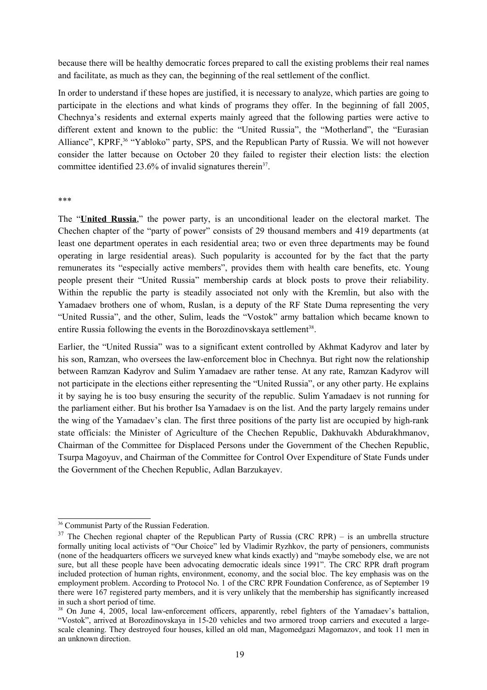because there will be healthy democratic forces prepared to call the existing problems their real names and facilitate, as much as they can, the beginning of the real settlement of the conflict.

In order to understand if these hopes are justified, it is necessary to analyze, which parties are going to participate in the elections and what kinds of programs they offer. In the beginning of fall 2005, Chechnya's residents and external experts mainly agreed that the following parties were active to different extent and known to the public: the "United Russia", the "Motherland", the "Eurasian Alliance", KPRF,<sup>36</sup> "Yabloko" party, SPS, and the Republican Party of Russia. We will not however consider the latter because on October 20 they failed to register their election lists: the election committee identified  $23.6\%$  of invalid signatures therein<sup>37</sup>.

#### \*\*\*

The "**United Russia**," the power party, is an unconditional leader on the electoral market. The Chechen chapter of the "party of power" consists of 29 thousand members and 419 departments (at least one department operates in each residential area; two or even three departments may be found operating in large residential areas). Such popularity is accounted for by the fact that the party remunerates its "especially active members", provides them with health care benefits, etc. Young people present their "United Russia" membership cards at block posts to prove their reliability. Within the republic the party is steadily associated not only with the Kremlin, but also with the Yamadaev brothers one of whom, Ruslan, is a deputy of the RF State Duma representing the very "United Russia", and the other, Sulim, leads the "Vostok" army battalion which became known to entire Russia following the events in the Borozdinovskaya settlement<sup>38</sup>.

Earlier, the "United Russia" was to a significant extent controlled by Akhmat Kadyrov and later by his son, Ramzan, who oversees the law-enforcement bloc in Chechnya. But right now the relationship between Ramzan Kadyrov and Sulim Yamadaev are rather tense. At any rate, Ramzan Kadyrov will not participate in the elections either representing the "United Russia", or any other party. He explains it by saying he is too busy ensuring the security of the republic. Sulim Yamadaev is not running for the parliament either. But his brother Isa Yamadaev is on the list. And the party largely remains under the wing of the Yamadaev's clan. The first three positions of the party list are occupied by high-rank state officials: the Minister of Agriculture of the Chechen Republic, Dakhuvakh Abdurakhmanov, Chairman of the Committee for Displaced Persons under the Government of the Chechen Republic, Tsurpa Magoyuv, and Chairman of the Committee for Control Over Expenditure of State Funds under the Government of the Chechen Republic, Adlan Barzukayev.

<sup>36</sup> Communist Party of the Russian Federation.

 $37$  The Chechen regional chapter of the Republican Party of Russia (CRC RPR) – is an umbrella structure formally uniting local activists of "Our Choice" led by Vladimir Ryzhkov, the party of pensioners, communists (none of the headquarters officers we surveyed knew what kinds exactly) and "maybe somebody else, we are not sure, but all these people have been advocating democratic ideals since 1991". The CRC RPR draft program included protection of human rights, environment, economy, and the social bloc. The key emphasis was on the employment problem. According to Protocol No. 1 of the CRC RPR Foundation Conference, as of September 19 there were 167 registered party members, and it is very unlikely that the membership has significantly increased in such a short period of time.

<sup>&</sup>lt;sup>38</sup> On June 4, 2005, local law-enforcement officers, apparently, rebel fighters of the Yamadaev's battalion, "Vostok", arrived at Borozdinovskaya in 15-20 vehicles and two armored troop carriers and executed a largescale cleaning. They destroyed four houses, killed an old man, Magomedgazi Magomazov, and took 11 men in an unknown direction.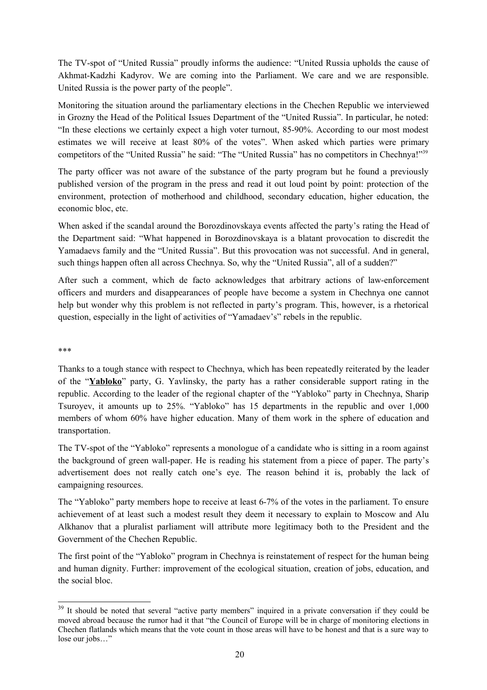The TV-spot of "United Russia" proudly informs the audience: "United Russia upholds the cause of Akhmat-Kadzhi Kadyrov. We are coming into the Parliament. We care and we are responsible. United Russia is the power party of the people".

Monitoring the situation around the parliamentary elections in the Chechen Republic we interviewed in Grozny the Head of the Political Issues Department of the "United Russia". In particular, he noted: "In these elections we certainly expect a high voter turnout, 85-90%. According to our most modest estimates we will receive at least 80% of the votes". When asked which parties were primary competitors of the "United Russia" he said: "The "United Russia" has no competitors in Chechnya!"<sup>39</sup>

The party officer was not aware of the substance of the party program but he found a previously published version of the program in the press and read it out loud point by point: protection of the environment, protection of motherhood and childhood, secondary education, higher education, the economic bloc, etc.

When asked if the scandal around the Borozdinovskaya events affected the party's rating the Head of the Department said: "What happened in Borozdinovskaya is a blatant provocation to discredit the Yamadaevs family and the "United Russia". But this provocation was not successful. And in general, such things happen often all across Chechnya. So, why the "United Russia", all of a sudden?"

After such a comment, which de facto acknowledges that arbitrary actions of law-enforcement officers and murders and disappearances of people have become a system in Chechnya one cannot help but wonder why this problem is not reflected in party's program. This, however, is a rhetorical question, especially in the light of activities of "Yamadaev's" rebels in the republic.

\*\*\*

Thanks to a tough stance with respect to Chechnya, which has been repeatedly reiterated by the leader of the "**Yabloko**" party, G. Yavlinsky, the party has a rather considerable support rating in the republic. According to the leader of the regional chapter of the "Yabloko" party in Chechnya, Sharip Tsuroyev, it amounts up to 25%*.* "Yabloko" has 15 departments in the republic and over 1,000 members of whom 60% have higher education. Many of them work in the sphere of education and transportation.

The TV-spot of the "Yabloko" represents a monologue of a candidate who is sitting in a room against the background of green wall-paper. He is reading his statement from a piece of paper. The party's advertisement does not really catch one's eye. The reason behind it is, probably the lack of campaigning resources.

The "Yabloko" party members hope to receive at least 6-7% of the votes in the parliament. To ensure achievement of at least such a modest result they deem it necessary to explain to Moscow and Alu Alkhanov that a pluralist parliament will attribute more legitimacy both to the President and the Government of the Chechen Republic.

The first point of the "Yabloko" program in Chechnya is reinstatement of respect for the human being and human dignity. Further: improvement of the ecological situation, creation of jobs, education, and the social bloc.

<sup>&</sup>lt;sup>39</sup> It should be noted that several "active party members" inquired in a private conversation if they could be moved abroad because the rumor had it that "the Council of Europe will be in charge of monitoring elections in Chechen flatlands which means that the vote count in those areas will have to be honest and that is a sure way to lose our jobs…"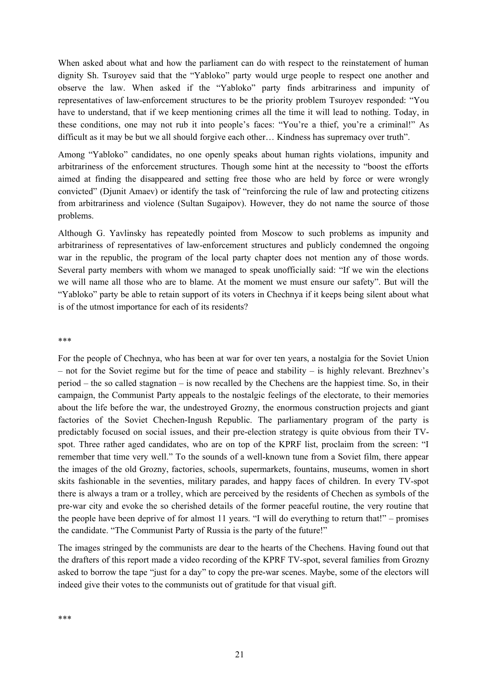When asked about what and how the parliament can do with respect to the reinstatement of human dignity Sh. Tsuroyev said that the "Yabloko" party would urge people to respect one another and observe the law. When asked if the "Yabloko" party finds arbitrariness and impunity of representatives of law-enforcement structures to be the priority problem Tsuroyev responded: "You have to understand, that if we keep mentioning crimes all the time it will lead to nothing. Today, in these conditions, one may not rub it into people's faces: "You're a thief, you're a criminal!" As difficult as it may be but we all should forgive each other… Kindness has supremacy over truth".

Among "Yabloko" candidates, no one openly speaks about human rights violations, impunity and arbitrariness of the enforcement structures. Though some hint at the necessity to "boost the efforts aimed at finding the disappeared and setting free those who are held by force or were wrongly convicted" (Djunit Amaev) or identify the task of "reinforcing the rule of law and protecting citizens from arbitrariness and violence (Sultan Sugaipov). However, they do not name the source of those problems.

Although G. Yavlinsky has repeatedly pointed from Moscow to such problems as impunity and arbitrariness of representatives of law-enforcement structures and publicly condemned the ongoing war in the republic, the program of the local party chapter does not mention any of those words. Several party members with whom we managed to speak unofficially said: "If we win the elections we will name all those who are to blame. At the moment we must ensure our safety". But will the "Yabloko" party be able to retain support of its voters in Chechnya if it keeps being silent about what is of the utmost importance for each of its residents?

#### \*\*\*

For the people of Chechnya, who has been at war for over ten years, a nostalgia for the Soviet Union – not for the Soviet regime but for the time of peace and stability – is highly relevant. Brezhnev's period – the so called stagnation – is now recalled by the Chechens are the happiest time. So, in their campaign, the Communist Party appeals to the nostalgic feelings of the electorate, to their memories about the life before the war, the undestroyed Grozny, the enormous construction projects and giant factories of the Soviet Chechen-Ingush Republic. The parliamentary program of the party is predictably focused on social issues, and their pre-election strategy is quite obvious from their TVspot. Three rather aged candidates, who are on top of the KPRF list, proclaim from the screen: "I remember that time very well." To the sounds of a well-known tune from a Soviet film, there appear the images of the old Grozny, factories, schools, supermarkets, fountains, museums, women in short skits fashionable in the seventies, military parades, and happy faces of children. In every TV-spot there is always a tram or a trolley, which are perceived by the residents of Chechen as symbols of the pre-war city and evoke the so cherished details of the former peaceful routine, the very routine that the people have been deprive of for almost 11 years. "I will do everything to return that!" – promises the candidate. "The Communist Party of Russia is the party of the future!"

The images stringed by the communists are dear to the hearts of the Chechens. Having found out that the drafters of this report made a video recording of the KPRF TV-spot, several families from Grozny asked to borrow the tape "just for a day" to copy the pre-war scenes. Maybe, some of the electors will indeed give their votes to the communists out of gratitude for that visual gift.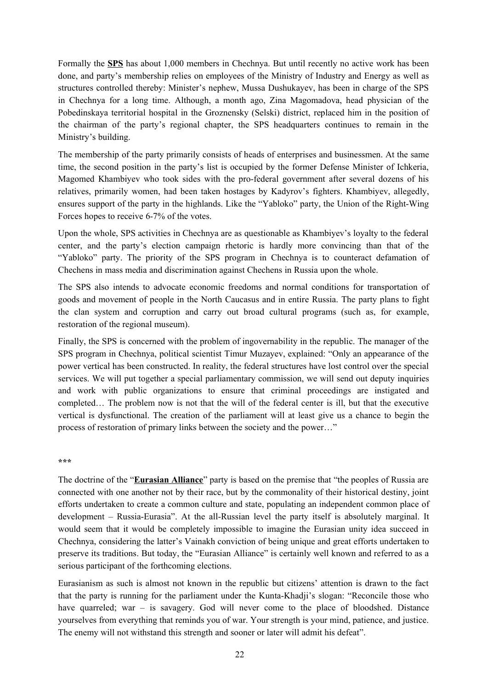Formally the **SPS** has about 1,000 members in Chechnya. But until recently no active work has been done, and party's membership relies on employees of the Ministry of Industry and Energy as well as structures controlled thereby: Minister's nephew, Mussa Dushukayev, has been in charge of the SPS in Chechnya for a long time. Although, a month ago, Zina Magomadova, head physician of the Pobedinskaya territorial hospital in the Groznensky (Selski) district, replaced him in the position of the chairman of the party's regional chapter, the SPS headquarters continues to remain in the Ministry's building.

The membership of the party primarily consists of heads of enterprises and businessmen. At the same time, the second position in the party's list is occupied by the former Defense Minister of Ichkeria, Magomed Khambiyev who took sides with the pro-federal government after several dozens of his relatives, primarily women, had been taken hostages by Kadyrov's fighters. Khambiyev, allegedly, ensures support of the party in the highlands. Like the "Yabloko" party, the Union of the Right-Wing Forces hopes to receive 6-7% of the votes.

Upon the whole, SPS activities in Chechnya are as questionable as Khambiyev's loyalty to the federal center, and the party's election campaign rhetoric is hardly more convincing than that of the "Yabloko" party. The priority of the SPS program in Chechnya is to counteract defamation of Chechens in mass media and discrimination against Chechens in Russia upon the whole.

The SPS also intends to advocate economic freedoms and normal conditions for transportation of goods and movement of people in the North Caucasus and in entire Russia. The party plans to fight the clan system and corruption and carry out broad cultural programs (such as, for example, restoration of the regional museum).

Finally, the SPS is concerned with the problem of ingovernability in the republic. The manager of the SPS program in Chechnya, political scientist Timur Muzayev, explained: "Only an appearance of the power vertical has been constructed. In reality, the federal structures have lost control over the special services. We will put together a special parliamentary commission, we will send out deputy inquiries and work with public organizations to ensure that criminal proceedings are instigated and completed… The problem now is not that the will of the federal center is ill, but that the executive vertical is dysfunctional. The creation of the parliament will at least give us a chance to begin the process of restoration of primary links between the society and the power…"

#### **\*\*\***

The doctrine of the "**Eurasian Alliance**" party is based on the premise that "the peoples of Russia are connected with one another not by their race, but by the commonality of their historical destiny, joint efforts undertaken to create a common culture and state, populating an independent common place of development – Russia-Eurasia". At the all-Russian level the party itself is absolutely marginal. It would seem that it would be completely impossible to imagine the Eurasian unity idea succeed in Chechnya, considering the latter's Vainakh conviction of being unique and great efforts undertaken to preserve its traditions. But today, the "Eurasian Alliance" is certainly well known and referred to as a serious participant of the forthcoming elections.

Eurasianism as such is almost not known in the republic but citizens' attention is drawn to the fact that the party is running for the parliament under the Kunta-Khadji's slogan: "Reconcile those who have quarreled; war – is savagery. God will never come to the place of bloodshed. Distance yourselves from everything that reminds you of war. Your strength is your mind, patience, and justice. The enemy will not withstand this strength and sooner or later will admit his defeat".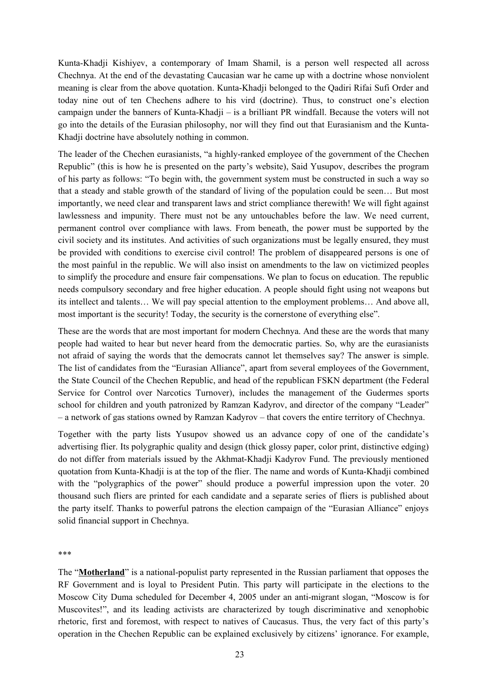Kunta-Khadji Kishiyev, a contemporary of Imam Shamil, is a person well respected all across Chechnya. At the end of the devastating Caucasian war he came up with a doctrine whose nonviolent meaning is clear from the above quotation. Kunta-Khadji belonged to the Qadiri Rifai Sufi Order and today nine out of ten Chechens adhere to his vird (doctrine). Thus, to construct one's election campaign under the banners of Kunta-Khadji – is a brilliant PR windfall. Because the voters will not go into the details of the Eurasian philosophy, nor will they find out that Eurasianism and the Kunta-Khadji doctrine have absolutely nothing in common.

The leader of the Chechen eurasianists, "a highly-ranked employee of the government of the Chechen Republic" (this is how he is presented on the party's website), Said Yusupov, describes the program of his party as follows: "To begin with, the government system must be constructed in such a way so that a steady and stable growth of the standard of living of the population could be seen… But most importantly, we need clear and transparent laws and strict compliance therewith! We will fight against lawlessness and impunity. There must not be any untouchables before the law. We need current, permanent control over compliance with laws. From beneath, the power must be supported by the civil society and its institutes. And activities of such organizations must be legally ensured, they must be provided with conditions to exercise civil control! The problem of disappeared persons is one of the most painful in the republic. We will also insist on amendments to the law on victimized peoples to simplify the procedure and ensure fair compensations. We plan to focus on education. The republic needs compulsory secondary and free higher education. A people should fight using not weapons but its intellect and talents… We will pay special attention to the employment problems… And above all, most important is the security! Today, the security is the cornerstone of everything else".

These are the words that are most important for modern Chechnya. And these are the words that many people had waited to hear but never heard from the democratic parties. So, why are the eurasianists not afraid of saying the words that the democrats cannot let themselves say? The answer is simple. The list of candidates from the "Eurasian Alliance", apart from several employees of the Government, the State Council of the Chechen Republic, and head of the republican FSKN department (the Federal Service for Control over Narcotics Turnover), includes the management of the Gudermes sports school for children and youth patronized by Ramzan Kadyrov, and director of the company "Leader" – a network of gas stations owned by Ramzan Kadyrov – that covers the entire territory of Chechnya.

Together with the party lists Yusupov showed us an advance copy of one of the candidate's advertising flier. Its polygraphic quality and design (thick glossy paper, color print, distinctive edging) do not differ from materials issued by the Akhmat-Khadji Kadyrov Fund. The previously mentioned quotation from Kunta-Khadji is at the top of the flier. The name and words of Kunta-Khadji combined with the "polygraphics of the power" should produce a powerful impression upon the voter. 20 thousand such fliers are printed for each candidate and a separate series of fliers is published about the party itself. Thanks to powerful patrons the election campaign of the "Eurasian Alliance" enjoys solid financial support in Chechnya.

\*\*\*

The "**Motherland**" is a national-populist party represented in the Russian parliament that opposes the RF Government and is loyal to President Putin. This party will participate in the elections to the Moscow City Duma scheduled for December 4, 2005 under an anti-migrant slogan, "Moscow is for Muscovites!", and its leading activists are characterized by tough discriminative and xenophobic rhetoric, first and foremost, with respect to natives of Caucasus. Thus, the very fact of this party's operation in the Chechen Republic can be explained exclusively by citizens' ignorance. For example,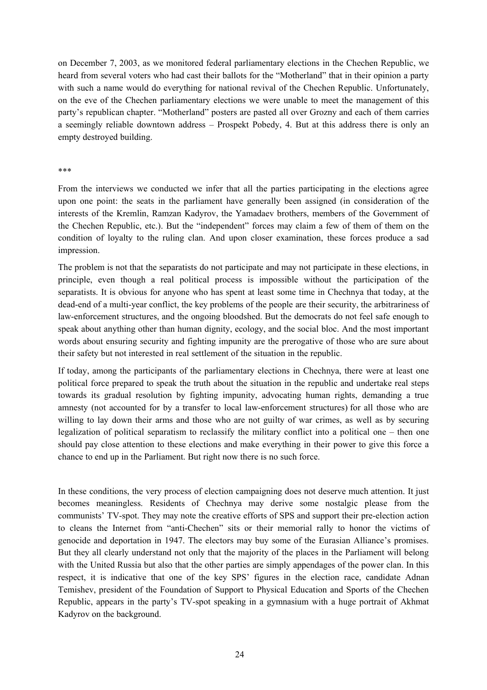on December 7, 2003, as we monitored federal parliamentary elections in the Chechen Republic, we heard from several voters who had cast their ballots for the "Motherland" that in their opinion a party with such a name would do everything for national revival of the Chechen Republic. Unfortunately, on the eve of the Chechen parliamentary elections we were unable to meet the management of this party's republican chapter. "Motherland" posters are pasted all over Grozny and each of them carries a seemingly reliable downtown address – Prospekt Pobedy, 4. But at this address there is only an empty destroyed building.

#### \*\*\*

From the interviews we conducted we infer that all the parties participating in the elections agree upon one point: the seats in the parliament have generally been assigned (in consideration of the interests of the Kremlin, Ramzan Kadyrov, the Yamadaev brothers, members of the Government of the Chechen Republic, etc.). But the "independent" forces may claim a few of them of them on the condition of loyalty to the ruling clan. And upon closer examination, these forces produce a sad impression.

The problem is not that the separatists do not participate and may not participate in these elections, in principle, even though a real political process is impossible without the participation of the separatists. It is obvious for anyone who has spent at least some time in Chechnya that today, at the dead-end of a multi-year conflict, the key problems of the people are their security, the arbitrariness of law-enforcement structures, and the ongoing bloodshed. But the democrats do not feel safe enough to speak about anything other than human dignity, ecology, and the social bloc. And the most important words about ensuring security and fighting impunity are the prerogative of those who are sure about their safety but not interested in real settlement of the situation in the republic.

If today, among the participants of the parliamentary elections in Chechnya, there were at least one political force prepared to speak the truth about the situation in the republic and undertake real steps towards its gradual resolution by fighting impunity, advocating human rights, demanding a true amnesty (not accounted for by a transfer to local law-enforcement structures) for all those who are willing to lay down their arms and those who are not guilty of war crimes, as well as by securing legalization of political separatism to reclassify the military conflict into a political one – then one should pay close attention to these elections and make everything in their power to give this force a chance to end up in the Parliament. But right now there is no such force.

In these conditions, the very process of election campaigning does not deserve much attention. It just becomes meaningless. Residents of Chechnya may derive some nostalgic please from the communists' TV-spot. They may note the creative efforts of SPS and support their pre-election action to cleans the Internet from "anti-Chechen" sits or their memorial rally to honor the victims of genocide and deportation in 1947. The electors may buy some of the Eurasian Alliance's promises. But they all clearly understand not only that the majority of the places in the Parliament will belong with the United Russia but also that the other parties are simply appendages of the power clan. In this respect, it is indicative that one of the key SPS' figures in the election race, candidate Adnan Temishev, president of the Foundation of Support to Physical Education and Sports of the Chechen Republic, appears in the party's TV-spot speaking in a gymnasium with a huge portrait of Akhmat Kadyrov on the background.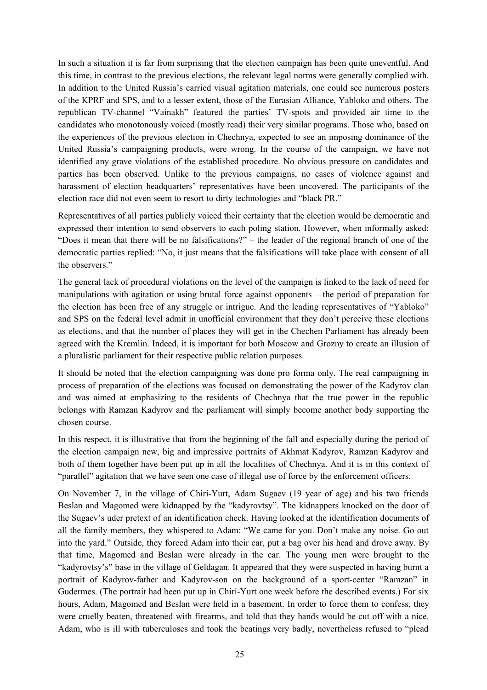In such a situation it is far from surprising that the election campaign has been quite uneventful. And this time, in contrast to the previous elections, the relevant legal norms were generally complied with. In addition to the United Russia's carried visual agitation materials, one could see numerous posters of the KPRF and SPS, and to a lesser extent, those of the Eurasian Alliance, Yabloko and others. The republican TV-channel "Vainakh" featured the parties' TV-spots and provided air time to the candidates who monotonously voiced (mostly read) their very similar programs. Those who, based on the experiences of the previous election in Chechnya, expected to see an imposing dominance of the United Russia's campaigning products, were wrong. In the course of the campaign, we have not identified any grave violations of the established procedure. No obvious pressure on candidates and parties has been observed. Unlike to the previous campaigns, no cases of violence against and harassment of election headquarters' representatives have been uncovered. The participants of the election race did not even seem to resort to dirty technologies and "black PR."

Representatives of all parties publicly voiced their certainty that the election would be democratic and expressed their intention to send observers to each poling station. However, when informally asked: "Does it mean that there will be no falsifications?" – the leader of the regional branch of one of the democratic parties replied: "No, it just means that the falsifications will take place with consent of all the observers."

The general lack of procedural violations on the level of the campaign is linked to the lack of need for manipulations with agitation or using brutal force against opponents – the period of preparation for the election has been free of any struggle or intrigue. And the leading representatives of "Yabloko" and SPS on the federal level admit in unofficial environment that they don't perceive these elections as elections, and that the number of places they will get in the Chechen Parliament has already been agreed with the Kremlin. Indeed, it is important for both Moscow and Grozny to create an illusion of a pluralistic parliament for their respective public relation purposes.

It should be noted that the election campaigning was done pro forma only. The real campaigning in process of preparation of the elections was focused on demonstrating the power of the Kadyrov clan and was aimed at emphasizing to the residents of Chechnya that the true power in the republic belongs with Ramzan Kadyrov and the parliament will simply become another body supporting the chosen course.

In this respect, it is illustrative that from the beginning of the fall and especially during the period of the election campaign new, big and impressive portraits of Akhmat Kadyrov, Ramzan Kadyrov and both of them together have been put up in all the localities of Chechnya. And it is in this context of "parallel" agitation that we have seen one case of illegal use of force by the enforcement officers.

On November 7, in the village of Chiri-Yurt, Adam Sugaev (19 year of age) and his two friends Beslan and Magomed were kidnapped by the "kadyrovtsy". The kidnappers knocked on the door of the Sugaev's uder pretext of an identification check. Having looked at the identification documents of all the family members, they whispered to Adam: "We came for you. Don't make any noise. Go out into the yard." Outside, they forced Adam into their car, put a bag over his head and drove away. By that time, Magomed and Beslan were already in the car. The young men were brought to the "kadyrovtsy's" base in the village of Geldagan. It appeared that they were suspected in having burnt a portrait of Kadyrov-father and Kadyrov-son on the background of a sport-center "Ramzan" in Gudermes. (The portrait had been put up in Chiri-Yurt one week before the described events.) For six hours, Adam, Magomed and Beslan were held in a basement. In order to force them to confess, they were cruelly beaten, threatened with firearms, and told that they hands would be cut off with a nice. Adam, who is ill with tuberculoses and took the beatings very badly, nevertheless refused to "plead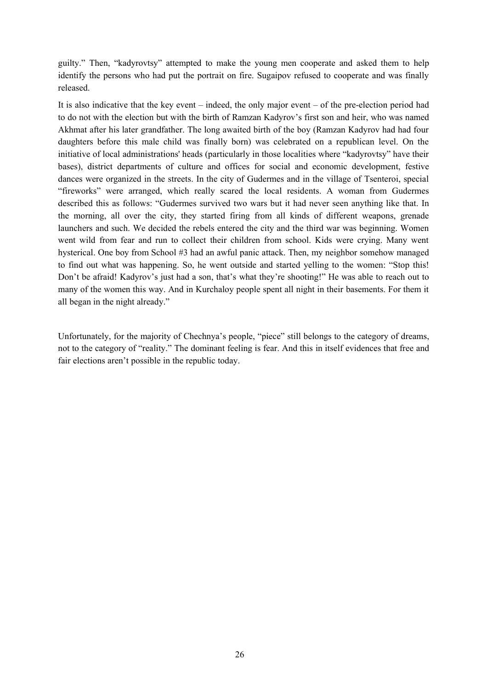guilty." Then, "kadyrovtsy" attempted to make the young men cooperate and asked them to help identify the persons who had put the portrait on fire. Sugaipov refused to cooperate and was finally released.

It is also indicative that the key event – indeed, the only major event – of the pre-election period had to do not with the election but with the birth of Ramzan Kadyrov's first son and heir, who was named Akhmat after his later grandfather. The long awaited birth of the boy (Ramzan Kadyrov had had four daughters before this male child was finally born) was celebrated on a republican level. On the initiative of local administrations' heads (particularly in those localities where "kadyrovtsy" have their bases), district departments of culture and offices for social and economic development, festive dances were organized in the streets. In the city of Gudermes and in the village of Tsenteroi, special "fireworks" were arranged, which really scared the local residents. A woman from Gudermes described this as follows: "Gudermes survived two wars but it had never seen anything like that. In the morning, all over the city, they started firing from all kinds of different weapons, grenade launchers and such. We decided the rebels entered the city and the third war was beginning. Women went wild from fear and run to collect their children from school. Kids were crying. Many went hysterical. One boy from School #3 had an awful panic attack. Then, my neighbor somehow managed to find out what was happening. So, he went outside and started yelling to the women: "Stop this! Don't be afraid! Kadyrov's just had a son, that's what they're shooting!" He was able to reach out to many of the women this way. And in Kurchaloy people spent all night in their basements. For them it all began in the night already."

Unfortunately, for the majority of Chechnya's people, "piece" still belongs to the category of dreams, not to the category of "reality." The dominant feeling is fear. And this in itself evidences that free and fair elections aren't possible in the republic today.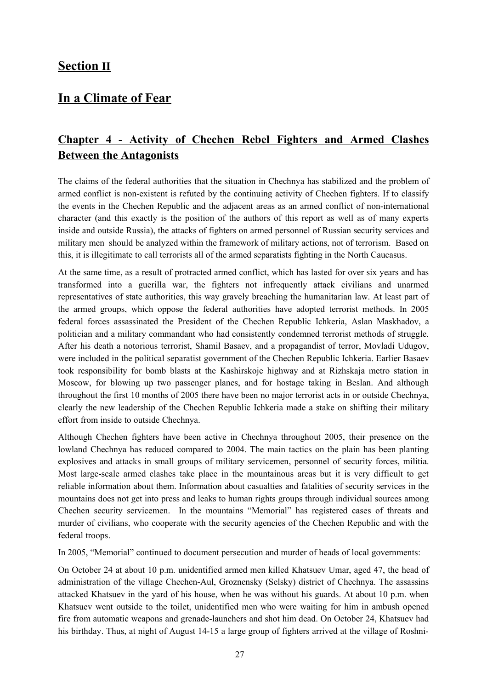### **Section II**

## **In a Climate of Fear**

## **Chapter 4 - Activity of Chechen Rebel Fighters and Armed Clashes Between the Antagonists**

The claims of the federal authorities that the situation in Chechnya has stabilized and the problem of armed conflict is non-existent is refuted by the continuing activity of Chechen fighters. If to classify the events in the Chechen Republic and the adjacent areas as an armed conflict of non-international character (and this exactly is the position of the authors of this report as well as of many experts inside and outside Russia), the attacks of fighters on armed personnel of Russian security services and military men should be analyzed within the framework of military actions, not of terrorism. Based on this, it is illegitimate to call terrorists all of the armed separatists fighting in the North Caucasus.

At the same time, as a result of protracted armed conflict, which has lasted for over six years and has transformed into a guerilla war, the fighters not infrequently attack civilians and unarmed representatives of state authorities, this way gravely breaching the humanitarian law. At least part of the armed groups, which oppose the federal authorities have adopted terrorist methods. In 2005 federal forces assassinated the President of the Chechen Republic Ichkeria, Aslan Maskhadov, a politician and a military commandant who had consistently condemned terrorist methods of struggle. After his death a notorious terrorist, Shamil Basaev, and a propagandist of terror, Movladi Udugov, were included in the political separatist government of the Chechen Republic Ichkeria. Earlier Basaev took responsibility for bomb blasts at the Kashirskoje highway and at Rizhskaja metro station in Moscow, for blowing up two passenger planes, and for hostage taking in Beslan. And although throughout the first 10 months of 2005 there have been no major terrorist acts in or outside Chechnya, clearly the new leadership of the Chechen Republic Ichkeria made a stake on shifting their military effort from inside to outside Chechnya.

Although Chechen fighters have been active in Chechnya throughout 2005, their presence on the lowland Chechnya has reduced compared to 2004. The main tactics on the plain has been planting explosives and attacks in small groups of military servicemen, personnel of security forces, militia. Most large-scale armed clashes take place in the mountainous areas but it is very difficult to get reliable information about them. Information about casualties and fatalities of security services in the mountains does not get into press and leaks to human rights groups through individual sources among Chechen security servicemen. In the mountains "Memorial" has registered cases of threats and murder of civilians, who cooperate with the security agencies of the Chechen Republic and with the federal troops.

In 2005, "Memorial" continued to document persecution and murder of heads of local governments:

On October 24 at about 10 p.m. unidentified armed men killed Khatsuev Umar, aged 47, the head of administration of the village Chechen-Aul, Groznensky (Selsky) district of Chechnya. The assassins attacked Khatsuev in the yard of his house, when he was without his guards. At about 10 p.m. when Khatsuev went outside to the toilet, unidentified men who were waiting for him in ambush opened fire from automatic weapons and grenade-launchers and shot him dead. On October 24, Khatsuev had his birthday. Thus, at night of August 14-15 a large group of fighters arrived at the village of Roshni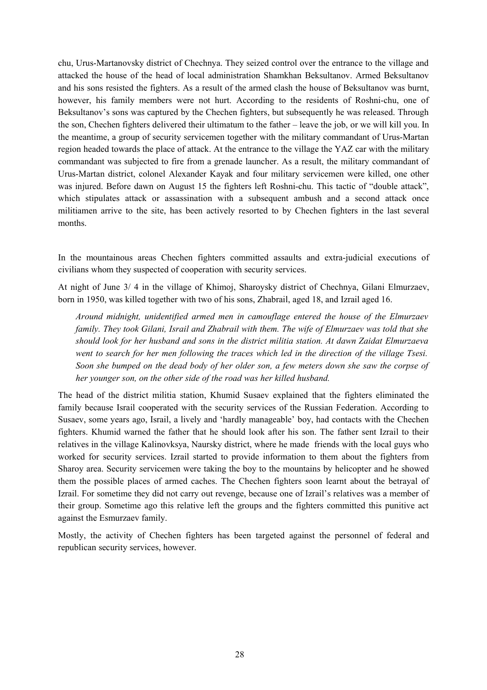chu, Urus-Martanovsky district of Chechnya. They seized control over the entrance to the village and attacked the house of the head of local administration Shamkhan Beksultanov. Armed Beksultanov and his sons resisted the fighters. As a result of the armed clash the house of Beksultanov was burnt, however, his family members were not hurt. According to the residents of Roshni-chu, one of Beksultanov's sons was captured by the Chechen fighters, but subsequently he was released. Through the son, Chechen fighters delivered their ultimatum to the father – leave the job, or we will kill you. In the meantime, a group of security servicemen together with the military commandant of Urus-Martan region headed towards the place of attack. At the entrance to the village the YAZ car with the military commandant was subjected to fire from a grenade launcher. As a result, the military commandant of Urus-Martan district, colonel Alexander Kayak and four military servicemen were killed, one other was injured. Before dawn on August 15 the fighters left Roshni-chu. This tactic of "double attack", which stipulates attack or assassination with a subsequent ambush and a second attack once militiamen arrive to the site, has been actively resorted to by Chechen fighters in the last several months.

In the mountainous areas Chechen fighters committed assaults and extra-judicial executions of civilians whom they suspected of cooperation with security services.

At night of June 3/ 4 in the village of Khimoj, Sharoysky district of Chechnya, Gilani Elmurzaev, born in 1950, was killed together with two of his sons, Zhabrail, aged 18, and Izrail aged 16.

*Around midnight, unidentified armed men in camouflage entered the house of the Elmurzaev family. They took Gilani, Israil and Zhabrail with them. The wife of Elmurzaev was told that she should look for her husband and sons in the district militia station. At dawn Zaidat Elmurzaeva went to search for her men following the traces which led in the direction of the village Tsesi.* Soon she bumped on the dead body of her older son, a few meters down she saw the corpse of *her younger son, on the other side of the road was her killed husband.*

The head of the district militia station, Khumid Susaev explained that the fighters eliminated the family because Israil cooperated with the security services of the Russian Federation. According to Susaev, some years ago, Israil, a lively and 'hardly manageable' boy, had contacts with the Chechen fighters. Khumid warned the father that he should look after his son. The father sent Izrail to their relatives in the village Kalinovksya, Naursky district, where he made friends with the local guys who worked for security services. Izrail started to provide information to them about the fighters from Sharoy area. Security servicemen were taking the boy to the mountains by helicopter and he showed them the possible places of armed caches. The Chechen fighters soon learnt about the betrayal of Izrail. For sometime they did not carry out revenge, because one of Izrail's relatives was a member of their group. Sometime ago this relative left the groups and the fighters committed this punitive act against the Esmurzaev family.

Mostly, the activity of Chechen fighters has been targeted against the personnel of federal and republican security services, however.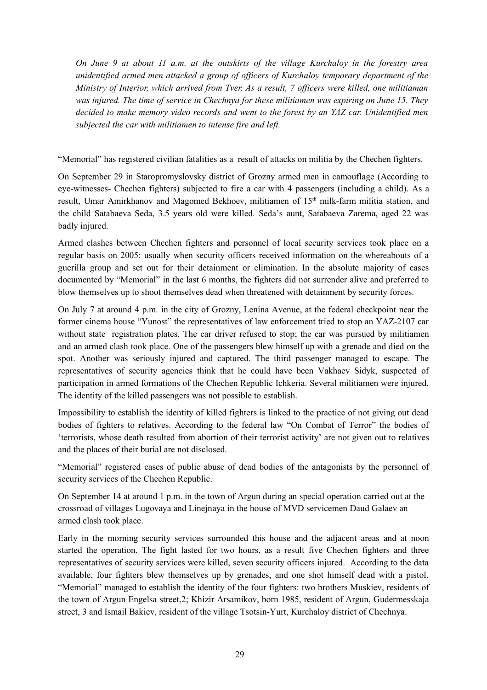*On June 9 at about 11 a.m. at the outskirts of the village Kurchaloy in the forestry area unidentified armed men attacked a group of officers of Kurchaloy temporary department of the Ministry of Interior, which arrived from Tver. As a result, 7 officers were killed, one militiaman was injured. The time of service in Chechnya for these militiamen was expiring on June 15. They decided to make memory video records and went to the forest by an YAZ car. Unidentified men subjected the car with militiamen to intense fire and left.*

"Memorial" has registered civilian fatalities as a result of attacks on militia by the Chechen fighters.

On September 29 in Staropromyslovsky district of Grozny armed men in camouflage (According to eye-witnesses- Chechen fighters) subjected to fire a car with 4 passengers (including a child). As a result, Umar Amirkhanov and Magomed Bekhoev, militiamen of 15<sup>th</sup> milk-farm militia station, and the child Satabaeva Seda, 3.5 years old were killed. Seda's aunt, Satabaeva Zarema, aged 22 was badly injured.

Armed clashes between Chechen fighters and personnel of local security services took place on a regular basis on 2005: usually when security officers received information on the whereabouts of a guerilla group and set out for their detainment or elimination. In the absolute majority of cases documented by "Memorial" in the last 6 months, the fighters did not surrender alive and preferred to blow themselves up to shoot themselves dead when threatened with detainment by security forces.

On July 7 at around 4 p.m. in the city of Grozny, Lenina Avenue, at the federal checkpoint near the former cinema house "Yunost" the representatives of law enforcement tried to stop an YAZ-2107 car without state registration plates. The car driver refused to stop; the car was pursued by militiamen and an armed clash took place. One of the passengers blew himself up with a grenade and died on the spot. Another was seriously injured and captured. The third passenger managed to escape. The representatives of security agencies think that he could have been Vakhaev Sidyk, suspected of participation in armed formations of the Chechen Republic Ichkeria. Several militiamen were injured. The identity of the killed passengers was not possible to establish.

Impossibility to establish the identity of killed fighters is linked to the practice of not giving out dead bodies of fighters to relatives. According to the federal law "On Combat of Terror" the bodies of 'terrorists, whose death resulted from abortion of their terrorist activity' are not given out to relatives and the places of their burial are not disclosed.

"Memorial" registered cases of public abuse of dead bodies of the antagonists by the personnel of security services of the Chechen Republic.

On September 14 at around 1 p.m. in the town of Argun during an special operation carried out at the crossroad of villages Lugovaya and Linejnaya in the house of MVD servicemen Daud Galaev an armed clash took place.

Early in the morning security services surrounded this house and the adjacent areas and at noon started the operation. The fight lasted for two hours, as a result five Chechen fighters and three representatives of security services were killed, seven security officers injured. According to the data available, four fighters blew themselves up by grenades, and one shot himself dead with a pistol. "Memorial" managed to establish the identity of the four fighters: two brothers Muskiev, residents of the town of Argun Engelsa street,2; Khizir Arsamikov, born 1985, resident of Argun, Gudermesskaja street, 3 and Ismail Bakiev, resident of the village Tsotsin-Yurt, Kurchaloy district of Chechnya.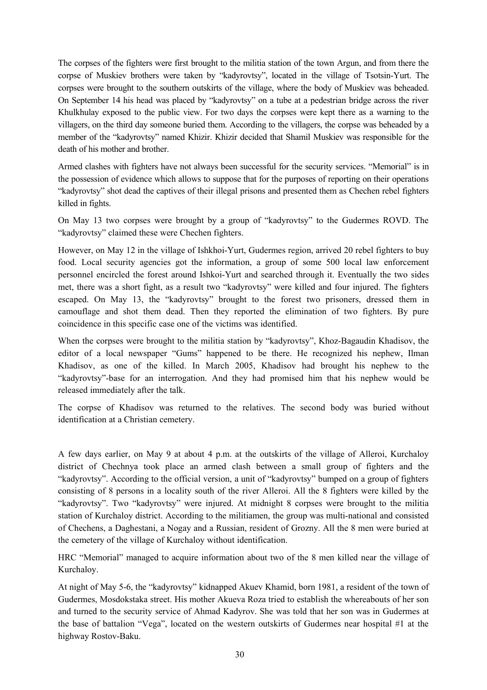The corpses of the fighters were first brought to the militia station of the town Argun, and from there the corpse of Muskiev brothers were taken by "kadyrovtsy", located in the village of Tsotsin-Yurt. The corpses were brought to the southern outskirts of the village, where the body of Muskiev was beheaded. On September 14 his head was placed by "kadyrovtsy" on a tube at a pedestrian bridge across the river Khulkhulay exposed to the public view. For two days the corpses were kept there as a warning to the villagers, on the third day someone buried them. According to the villagers, the corpse was beheaded by a member of the "kadyrovtsy" named Khizir. Khizir decided that Shamil Muskiev was responsible for the death of his mother and brother.

Armed clashes with fighters have not always been successful for the security services. "Memorial" is in the possession of evidence which allows to suppose that for the purposes of reporting on their operations "kadyrovtsy" shot dead the captives of their illegal prisons and presented them as Chechen rebel fighters killed in fights.

On May 13 two corpses were brought by a group of "kadyrovtsy" to the Gudermes ROVD. The "kadyrovtsy" claimed these were Chechen fighters.

However, on May 12 in the village of Ishkhoi-Yurt, Gudermes region, arrived 20 rebel fighters to buy food. Local security agencies got the information, a group of some 500 local law enforcement personnel encircled the forest around Ishkoi-Yurt and searched through it. Eventually the two sides met, there was a short fight, as a result two "kadyrovtsy" were killed and four injured. The fighters escaped. On May 13, the "kadyrovtsy" brought to the forest two prisoners, dressed them in camouflage and shot them dead. Then they reported the elimination of two fighters. By pure coincidence in this specific case one of the victims was identified.

When the corpses were brought to the militia station by "kadyrovtsy", Khoz-Bagaudin Khadisov, the editor of a local newspaper "Gums" happened to be there. He recognized his nephew, Ilman Khadisov, as one of the killed. In March 2005, Khadisov had brought his nephew to the "kadyrovtsy"-base for an interrogation. And they had promised him that his nephew would be released immediately after the talk.

The corpse of Khadisov was returned to the relatives. The second body was buried without identification at a Christian cemetery.

A few days earlier, on May 9 at about 4 p.m. at the outskirts of the village of Alleroi, Kurchaloy district of Chechnya took place an armed clash between a small group of fighters and the "kadyrovtsy". According to the official version, a unit of "kadyrovtsy" bumped on a group of fighters consisting of 8 persons in a locality south of the river Alleroi. All the 8 fighters were killed by the "kadyrovtsy". Two "kadyrovtsy" were injured. At midnight 8 corpses were brought to the militia station of Kurchaloy district. According to the militiamen, the group was multi-national and consisted of Chechens, a Daghestani, a Nogay and a Russian, resident of Grozny. All the 8 men were buried at the cemetery of the village of Kurchaloy without identification.

HRC "Memorial" managed to acquire information about two of the 8 men killed near the village of Kurchaloy.

At night of May 5-6, the "kadyrovtsy" kidnapped Akuev Khamid, born 1981, a resident of the town of Gudermes, Mosdokstaka street. His mother Akueva Roza tried to establish the whereabouts of her son and turned to the security service of Ahmad Kadyrov. She was told that her son was in Gudermes at the base of battalion "Vega", located on the western outskirts of Gudermes near hospital #1 at the highway Rostov-Baku.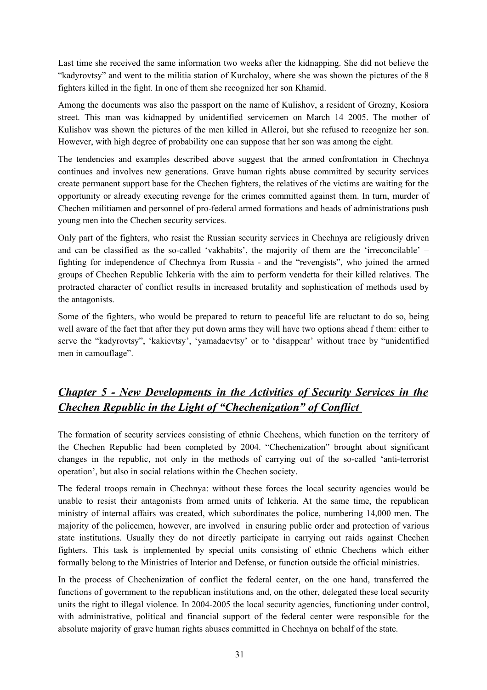Last time she received the same information two weeks after the kidnapping. She did not believe the "kadyrovtsy" and went to the militia station of Kurchaloy, where she was shown the pictures of the 8 fighters killed in the fight. In one of them she recognized her son Khamid.

Among the documents was also the passport on the name of Kulishov, a resident of Grozny, Kosiora street. This man was kidnapped by unidentified servicemen on March 14 2005. The mother of Kulishov was shown the pictures of the men killed in Alleroi, but she refused to recognize her son. However, with high degree of probability one can suppose that her son was among the eight.

The tendencies and examples described above suggest that the armed confrontation in Chechnya continues and involves new generations. Grave human rights abuse committed by security services create permanent support base for the Chechen fighters, the relatives of the victims are waiting for the opportunity or already executing revenge for the crimes committed against them. In turn, murder of Chechen militiamen and personnel of pro-federal armed formations and heads of administrations push young men into the Chechen security services.

Only part of the fighters, who resist the Russian security services in Chechnya are religiously driven and can be classified as the so-called 'vakhabits', the majority of them are the 'irreconcilable' – fighting for independence of Chechnya from Russia - and the "revengists", who joined the armed groups of Chechen Republic Ichkeria with the aim to perform vendetta for their killed relatives. The protracted character of conflict results in increased brutality and sophistication of methods used by the antagonists.

Some of the fighters, who would be prepared to return to peaceful life are reluctant to do so, being well aware of the fact that after they put down arms they will have two options ahead f them: either to serve the "kadyrovtsy", 'kakievtsy', 'yamadaevtsy' or to 'disappear' without trace by "unidentified men in camouflage".

# *Chapter 5 - New Developments in the Activities of Security Services in the Chechen Republic in the Light of "Chechenization" of Conflict*

The formation of security services consisting of ethnic Chechens, which function on the territory of the Chechen Republic had been completed by 2004. "Chechenization" brought about significant changes in the republic, not only in the methods of carrying out of the so-called 'anti-terrorist operation', but also in social relations within the Chechen society.

The federal troops remain in Chechnya: without these forces the local security agencies would be unable to resist their antagonists from armed units of Ichkeria. At the same time, the republican ministry of internal affairs was created, which subordinates the police, numbering 14,000 men. The majority of the policemen, however, are involved in ensuring public order and protection of various state institutions. Usually they do not directly participate in carrying out raids against Chechen fighters. This task is implemented by special units consisting of ethnic Chechens which either formally belong to the Ministries of Interior and Defense, or function outside the official ministries.

In the process of Chechenization of conflict the federal center, on the one hand, transferred the functions of government to the republican institutions and, on the other, delegated these local security units the right to illegal violence. In 2004-2005 the local security agencies, functioning under control, with administrative, political and financial support of the federal center were responsible for the absolute majority of grave human rights abuses committed in Chechnya on behalf of the state.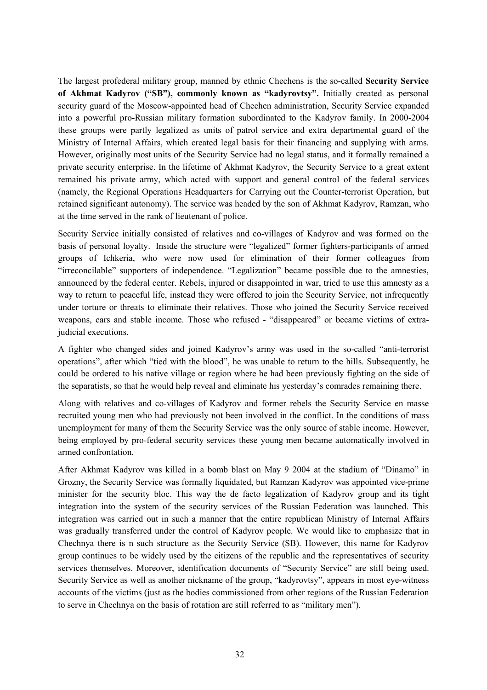The largest profederal military group, manned by ethnic Chechens is the so-called **Security Service of Akhmat Kadyrov ("SB"), commonly known as "kadyrovtsy".** Initially created as personal security guard of the Moscow-appointed head of Chechen administration, Security Service expanded into a powerful pro-Russian military formation subordinated to the Kadyrov family. In 2000-2004 these groups were partly legalized as units of patrol service and extra departmental guard of the Ministry of Internal Affairs, which created legal basis for their financing and supplying with arms. However, originally most units of the Security Service had no legal status, and it formally remained a private security enterprise. In the lifetime of Akhmat Kadyrov, the Security Service to a great extent remained his private army, which acted with support and general control of the federal services (namely, the Regional Operations Headquarters for Carrying out the Counter-terrorist Operation, but retained significant autonomy). The service was headed by the son of Akhmat Kadyrov, Ramzan, who at the time served in the rank of lieutenant of police.

Security Service initially consisted of relatives and co-villages of Kadyrov and was formed on the basis of personal loyalty. Inside the structure were "legalized" former fighters-participants of armed groups of Ichkeria, who were now used for elimination of their former colleagues from "irreconcilable" supporters of independence. "Legalization" became possible due to the amnesties, announced by the federal center. Rebels, injured or disappointed in war, tried to use this amnesty as a way to return to peaceful life, instead they were offered to join the Security Service, not infrequently under torture or threats to eliminate their relatives. Those who joined the Security Service received weapons, cars and stable income. Those who refused - "disappeared" or became victims of extrajudicial executions.

A fighter who changed sides and joined Kadyrov's army was used in the so-called "anti-terrorist operations", after which "tied with the blood", he was unable to return to the hills. Subsequently, he could be ordered to his native village or region where he had been previously fighting on the side of the separatists, so that he would help reveal and eliminate his yesterday's comrades remaining there.

Along with relatives and co-villages of Kadyrov and former rebels the Security Service en masse recruited young men who had previously not been involved in the conflict. In the conditions of mass unemployment for many of them the Security Service was the only source of stable income. However, being employed by pro-federal security services these young men became automatically involved in armed confrontation.

After Akhmat Kadyrov was killed in a bomb blast on May 9 2004 at the stadium of "Dinamo" in Grozny, the Security Service was formally liquidated, but Ramzan Kadyrov was appointed vice-prime minister for the security bloc. This way the de facto legalization of Kadyrov group and its tight integration into the system of the security services of the Russian Federation was launched. This integration was carried out in such a manner that the entire republican Ministry of Internal Affairs was gradually transferred under the control of Kadyrov people. We would like to emphasize that in Chechnya there is n such structure as the Security Service (SB). However, this name for Kadyrov group continues to be widely used by the citizens of the republic and the representatives of security services themselves. Moreover, identification documents of "Security Service" are still being used. Security Service as well as another nickname of the group, "kadyrovtsy", appears in most eye-witness accounts of the victims (just as the bodies commissioned from other regions of the Russian Federation to serve in Chechnya on the basis of rotation are still referred to as "military men").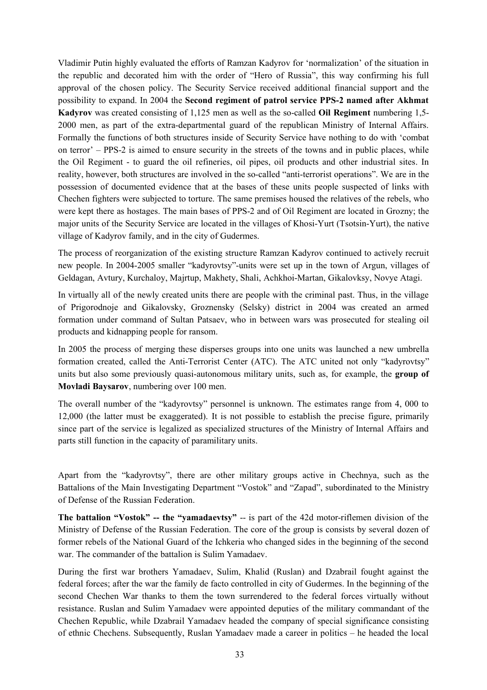Vladimir Putin highly evaluated the efforts of Ramzan Kadyrov for 'normalization' of the situation in the republic and decorated him with the order of "Hero of Russia", this way confirming his full approval of the chosen policy. The Security Service received additional financial support and the possibility to expand. In 2004 the **Second regiment of patrol service PPS-2 named after Akhmat Kadyrov** was created consisting of 1,125 men as well as the so-called **Oil Regiment** numbering 1,5- 2000 men, as part of the extra-departmental guard of the republican Ministry of Internal Affairs. Formally the functions of both structures inside of Security Service have nothing to do with 'combat on terror' – PPS-2 is aimed to ensure security in the streets of the towns and in public places, while the Oil Regiment - to guard the oil refineries, oil pipes, oil products and other industrial sites. In reality, however, both structures are involved in the so-called "anti-terrorist operations". We are in the possession of documented evidence that at the bases of these units people suspected of links with Chechen fighters were subjected to torture. The same premises housed the relatives of the rebels, who were kept there as hostages. The main bases of PPS-2 and of Oil Regiment are located in Grozny; the major units of the Security Service are located in the villages of Khosi-Yurt (Tsotsin-Yurt), the native village of Kadyrov family, and in the city of Gudermes.

The process of reorganization of the existing structure Ramzan Kadyrov continued to actively recruit new people. In 2004-2005 smaller "kadyrovtsy"-units were set up in the town of Argun, villages of Geldagan, Avtury, Kurchaloy, Majrtup, Makhety, Shali, Achkhoi-Martan, Gikalovksy, Novye Atagi.

In virtually all of the newly created units there are people with the criminal past. Thus, in the village of Prigorodnoje and Gikalovsky, Groznensky (Selsky) district in 2004 was created an armed formation under command of Sultan Patsaev, who in between wars was prosecuted for stealing oil products and kidnapping people for ransom.

In 2005 the process of merging these disperses groups into one units was launched a new umbrella formation created, called the Anti-Terrorist Center (ATC). The ATC united not only "kadyrovtsy" units but also some previously quasi-autonomous military units, such as, for example, the **group of Movladi Baysarov**, numbering over 100 men.

The overall number of the "kadyrovtsy" personnel is unknown. The estimates range from 4, 000 to 12,000 (the latter must be exaggerated). It is not possible to establish the precise figure, primarily since part of the service is legalized as specialized structures of the Ministry of Internal Affairs and parts still function in the capacity of paramilitary units.

Apart from the "kadyrovtsy", there are other military groups active in Chechnya, such as the Battalions of the Main Investigating Department "Vostok" and "Zapad", subordinated to the Ministry of Defense of the Russian Federation.

**The battalion "Vostok" -- the "yamadaevtsy"** -- is part of the 42d motor-riflemen division of the Ministry of Defense of the Russian Federation. The core of the group is consists by several dozen of former rebels of the National Guard of the Ichkeria who changed sides in the beginning of the second war. The commander of the battalion is Sulim Yamadaev.

During the first war brothers Yamadaev, Sulim, Khalid (Ruslan) and Dzabrail fought against the federal forces; after the war the family de facto controlled in city of Gudermes. In the beginning of the second Chechen War thanks to them the town surrendered to the federal forces virtually without resistance. Ruslan and Sulim Yamadaev were appointed deputies of the military commandant of the Chechen Republic, while Dzabrail Yamadaev headed the company of special significance consisting of ethnic Chechens. Subsequently, Ruslan Yamadaev made a career in politics – he headed the local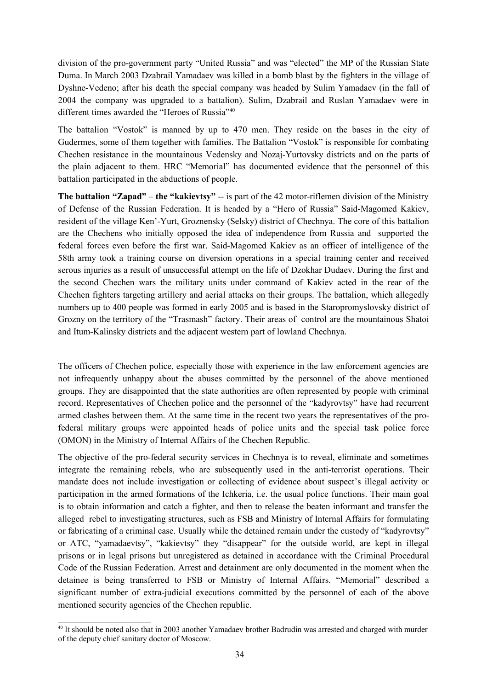division of the pro-government party "United Russia" and was "elected" the MP of the Russian State Duma. In March 2003 Dzabrail Yamadaev was killed in a bomb blast by the fighters in the village of Dyshne-Vedeno; after his death the special company was headed by Sulim Yamadaev (in the fall of 2004 the company was upgraded to a battalion). Sulim, Dzabrail and Ruslan Yamadaev were in different times awarded the "Heroes of Russia"<sup>40</sup>

The battalion "Vostok" is manned by up to 470 men. They reside on the bases in the city of Gudermes, some of them together with families. The Battalion "Vostok" is responsible for combating Chechen resistance in the mountainous Vedensky and Nozaj-Yurtovsky districts and on the parts of the plain adjacent to them. HRC "Memorial" has documented evidence that the personnel of this battalion participated in the abductions of people.

**The battalion "Zapad" – the "kakievtsy"** -- is part of the 42 motor-riflemen division of the Ministry of Defense of the Russian Federation. It is headed by a "Hero of Russia" Said-Magomed Kakiev, resident of the village Ken'-Yurt, Groznensky (Selsky) district of Chechnya. The core of this battalion are the Chechens who initially opposed the idea of independence from Russia and supported the federal forces even before the first war. Said-Magomed Kakiev as an officer of intelligence of the 58th army took a training course on diversion operations in a special training center and received serous injuries as a result of unsuccessful attempt on the life of Dzokhar Dudaev. During the first and the second Chechen wars the military units under command of Kakiev acted in the rear of the Chechen fighters targeting artillery and aerial attacks on their groups. The battalion, which allegedly numbers up to 400 people was formed in early 2005 and is based in the Staropromyslovsky district of Grozny on the territory of the "Trasmash" factory. Their areas of control are the mountainous Shatoi and Itum-Kalinsky districts and the adjacent western part of lowland Chechnya.

The officers of Chechen police, especially those with experience in the law enforcement agencies are not infrequently unhappy about the abuses committed by the personnel of the above mentioned groups. They are disappointed that the state authorities are often represented by people with criminal record. Representatives of Chechen police and the personnel of the "kadyrovtsy" have had recurrent armed clashes between them. At the same time in the recent two years the representatives of the profederal military groups were appointed heads of police units and the special task police force (OMON) in the Ministry of Internal Affairs of the Chechen Republic.

The objective of the pro-federal security services in Chechnya is to reveal, eliminate and sometimes integrate the remaining rebels, who are subsequently used in the anti-terrorist operations. Their mandate does not include investigation or collecting of evidence about suspect's illegal activity or participation in the armed formations of the Ichkeria, i.e. the usual police functions. Their main goal is to obtain information and catch a fighter, and then to release the beaten informant and transfer the alleged rebel to investigating structures, such as FSB and Ministry of Internal Affairs for formulating or fabricating of a criminal case. Usually while the detained remain under the custody of "kadyrovtsy" or ATC, "yamadaevtsy", "kakievtsy" they "disappear" for the outside world, are kept in illegal prisons or in legal prisons but unregistered as detained in accordance with the Criminal Procedural Code of the Russian Federation. Arrest and detainment are only documented in the moment when the detainee is being transferred to FSB or Ministry of Internal Affairs. "Memorial" described a significant number of extra-judicial executions committed by the personnel of each of the above mentioned security agencies of the Chechen republic.

<sup>40</sup> It should be noted also that in 2003 another Yamadaev brother Badrudin was arrested and charged with murder of the deputy chief sanitary doctor of Moscow.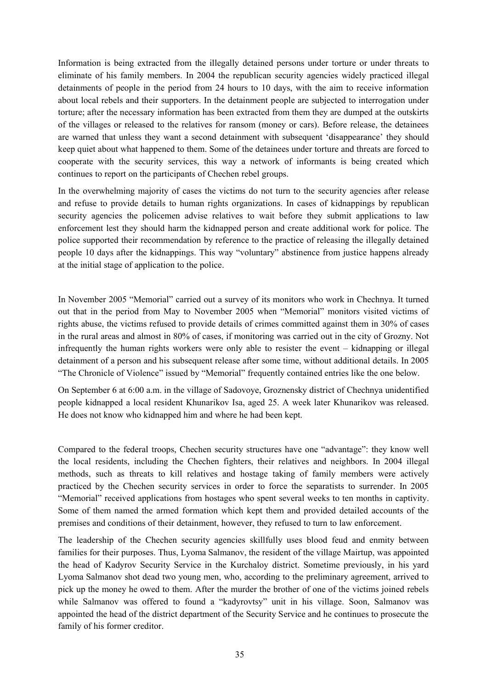Information is being extracted from the illegally detained persons under torture or under threats to eliminate of his family members. In 2004 the republican security agencies widely practiced illegal detainments of people in the period from 24 hours to 10 days, with the aim to receive information about local rebels and their supporters. In the detainment people are subjected to interrogation under torture; after the necessary information has been extracted from them they are dumped at the outskirts of the villages or released to the relatives for ransom (money or cars). Before release, the detainees are warned that unless they want a second detainment with subsequent 'disappearance' they should keep quiet about what happened to them. Some of the detainees under torture and threats are forced to cooperate with the security services, this way a network of informants is being created which continues to report on the participants of Chechen rebel groups.

In the overwhelming majority of cases the victims do not turn to the security agencies after release and refuse to provide details to human rights organizations. In cases of kidnappings by republican security agencies the policemen advise relatives to wait before they submit applications to law enforcement lest they should harm the kidnapped person and create additional work for police. The police supported their recommendation by reference to the practice of releasing the illegally detained people 10 days after the kidnappings. This way "voluntary" abstinence from justice happens already at the initial stage of application to the police.

In November 2005 "Memorial" carried out a survey of its monitors who work in Chechnya. It turned out that in the period from May to November 2005 when "Memorial" monitors visited victims of rights abuse, the victims refused to provide details of crimes committed against them in 30% of cases in the rural areas and almost in 80% of cases, if monitoring was carried out in the city of Grozny. Not infrequently the human rights workers were only able to resister the event – kidnapping or illegal detainment of a person and his subsequent release after some time, without additional details. In 2005 "The Chronicle of Violence" issued by "Memorial" frequently contained entries like the one below.

On September 6 at 6:00 a.m. in the village of Sadovoye, Groznensky district of Chechnya unidentified people kidnapped a local resident Khunarikov Isa, aged 25. A week later Khunarikov was released. He does not know who kidnapped him and where he had been kept.

Compared to the federal troops, Chechen security structures have one "advantage": they know well the local residents, including the Chechen fighters, their relatives and neighbors. In 2004 illegal methods, such as threats to kill relatives and hostage taking of family members were actively practiced by the Chechen security services in order to force the separatists to surrender. In 2005 "Memorial" received applications from hostages who spent several weeks to ten months in captivity. Some of them named the armed formation which kept them and provided detailed accounts of the premises and conditions of their detainment, however, they refused to turn to law enforcement.

The leadership of the Chechen security agencies skillfully uses blood feud and enmity between families for their purposes. Thus, Lyoma Salmanov, the resident of the village Mairtup, was appointed the head of Kadyrov Security Service in the Kurchaloy district. Sometime previously, in his yard Lyoma Salmanov shot dead two young men, who, according to the preliminary agreement, arrived to pick up the money he owed to them. After the murder the brother of one of the victims joined rebels while Salmanov was offered to found a "kadyrovtsy" unit in his village. Soon, Salmanov was appointed the head of the district department of the Security Service and he continues to prosecute the family of his former creditor.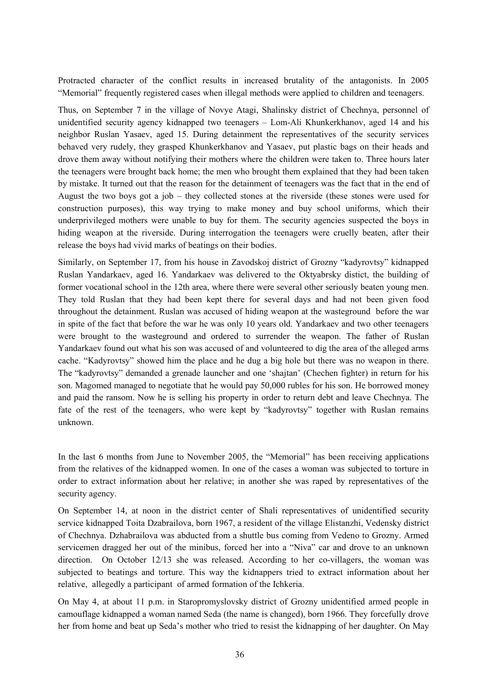Protracted character of the conflict results in increased brutality of the antagonists. In 2005 "Memorial" frequently registered cases when illegal methods were applied to children and teenagers.

Thus, on September 7 in the village of Novye Atagi, Shalinsky district of Chechnya, personnel of unidentified security agency kidnapped two teenagers – Lom-Ali Khunkerkhanov, aged 14 and his neighbor Ruslan Yasaev, aged 15. During detainment the representatives of the security services behaved very rudely, they grasped Khunkerkhanov and Yasaev, put plastic bags on their heads and drove them away without notifying their mothers where the children were taken to. Three hours later the teenagers were brought back home; the men who brought them explained that they had been taken by mistake. It turned out that the reason for the detainment of teenagers was the fact that in the end of August the two boys got a job – they collected stones at the riverside (these stones were used for construction purposes), this way trying to make money and buy school uniforms, which their underprivileged mothers were unable to buy for them. The security agencies suspected the boys in hiding weapon at the riverside. During interrogation the teenagers were cruelly beaten, after their release the boys had vivid marks of beatings on their bodies.

Similarly, on September 17, from his house in Zavodskoj district of Grozny "kadyrovtsy" kidnapped Ruslan Yandarkaev, aged 16. Yandarkaev was delivered to the Oktyabrsky distict, the building of former vocational school in the 12th area, where there were several other seriously beaten young men. They told Ruslan that they had been kept there for several days and had not been given food throughout the detainment. Ruslan was accused of hiding weapon at the wasteground before the war in spite of the fact that before the war he was only 10 years old. Yandarkaev and two other teenagers were brought to the wasteground and ordered to surrender the weapon. The father of Ruslan Yandarkaev found out what his son was accused of and volunteered to dig the area of the alleged arms cache. "Kadyrovtsy" showed him the place and he dug a big hole but there was no weapon in there. The "kadyrovtsy" demanded a grenade launcher and one 'shajtan' (Chechen fighter) in return for his son. Magomed managed to negotiate that he would pay 50,000 rubles for his son. He borrowed money and paid the ransom. Now he is selling his property in order to return debt and leave Chechnya. The fate of the rest of the teenagers, who were kept by "kadyrovtsy" together with Ruslan remains unknown.

In the last 6 months from June to November 2005, the "Memorial" has been receiving applications from the relatives of the kidnapped women. In one of the cases a woman was subjected to torture in order to extract information about her relative; in another she was raped by representatives of the security agency.

On September 14, at noon in the district center of Shali representatives of unidentified security service kidnapped Toita Dzabrailova, born 1967, a resident of the village Elistanzhi, Vedensky district of Chechnya. Dzhabrailova was abducted from a shuttle bus coming from Vedeno to Grozny. Armed servicemen dragged her out of the minibus, forced her into a "Niva" car and drove to an unknown direction. On October 12/13 she was released. According to her co-villagers, the woman was subjected to beatings and torture. This way the kidnappers tried to extract information about her relative, allegedly a participant of armed formation of the Ichkeria.

On May 4, at about 11 p.m. in Staropromyslovsky district of Grozny unidentified armed people in camouflage kidnapped a woman named Seda (the name is changed), born 1966. They forcefully drove her from home and beat up Seda's mother who tried to resist the kidnapping of her daughter. On May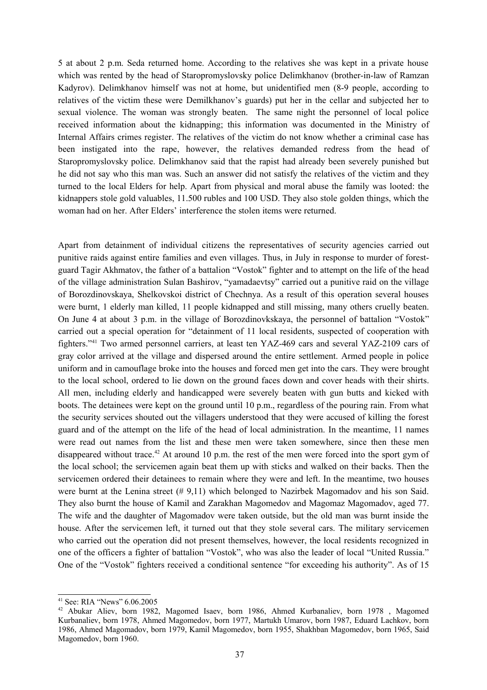5 at about 2 p.m. Seda returned home. According to the relatives she was kept in a private house which was rented by the head of Staropromyslovsky police Delimkhanov (brother-in-law of Ramzan Kadyrov). Delimkhanov himself was not at home, but unidentified men (8-9 people, according to relatives of the victim these were Demilkhanov's guards) put her in the cellar and subjected her to sexual violence. The woman was strongly beaten. The same night the personnel of local police received information about the kidnapping; this information was documented in the Ministry of Internal Affairs crimes register. The relatives of the victim do not know whether a criminal case has been instigated into the rape, however, the relatives demanded redress from the head of Staropromyslovsky police. Delimkhanov said that the rapist had already been severely punished but he did not say who this man was. Such an answer did not satisfy the relatives of the victim and they turned to the local Elders for help. Apart from physical and moral abuse the family was looted: the kidnappers stole gold valuables, 11.500 rubles and 100 USD. They also stole golden things, which the woman had on her. After Elders' interference the stolen items were returned.

Apart from detainment of individual citizens the representatives of security agencies carried out punitive raids against entire families and even villages. Thus, in July in response to murder of forestguard Tagir Akhmatov, the father of a battalion "Vostok" fighter and to attempt on the life of the head of the village administration Sulan Bashirov, "yamadaevtsy" carried out a punitive raid on the village of Borozdinovskaya, Shelkovskoi district of Chechnya. As a result of this operation several houses were burnt, 1 elderly man killed, 11 people kidnapped and still missing, many others cruelly beaten. On June 4 at about 3 p.m. in the village of Borozdinovkskaya, the personnel of battalion "Vostok" carried out a special operation for "detainment of 11 local residents, suspected of cooperation with fighters."<sup>41</sup> Two armed personnel carriers, at least ten YAZ-469 cars and several YAZ-2109 cars of gray color arrived at the village and dispersed around the entire settlement. Armed people in police uniform and in camouflage broke into the houses and forced men get into the cars. They were brought to the local school, ordered to lie down on the ground faces down and cover heads with their shirts. All men, including elderly and handicapped were severely beaten with gun butts and kicked with boots. The detainees were kept on the ground until 10 p.m., regardless of the pouring rain. From what the security services shouted out the villagers understood that they were accused of killing the forest guard and of the attempt on the life of the head of local administration. In the meantime, 11 names were read out names from the list and these men were taken somewhere, since then these men disappeared without trace.<sup>42</sup> At around 10 p.m. the rest of the men were forced into the sport gym of the local school; the servicemen again beat them up with sticks and walked on their backs. Then the servicemen ordered their detainees to remain where they were and left. In the meantime, two houses were burnt at the Lenina street (# 9,11) which belonged to Nazirbek Magomadov and his son Said. They also burnt the house of Kamil and Zarakhan Magomedov and Magomaz Magomadov, aged 77. The wife and the daughter of Magomadov were taken outside, but the old man was burnt inside the house. After the servicemen left, it turned out that they stole several cars. The military servicemen who carried out the operation did not present themselves, however, the local residents recognized in one of the officers a fighter of battalion "Vostok", who was also the leader of local "United Russia." One of the "Vostok" fighters received a conditional sentence "for exceeding his authority". As of 15

<sup>41</sup> See: RIA "News" 6.06.2005

<sup>42</sup> Abukar Aliev, born 1982, Magomed Isaev, born 1986, Ahmed Kurbanaliev, born 1978 , Magomed Kurbanaliev, born 1978, Ahmed Magomedov, born 1977, Martukh Umarov, born 1987, Eduard Lachkov, born 1986, Ahmed Magomadov, born 1979, Kamil Magomedov, born 1955, Shakhban Magomedov, born 1965, Said Magomedov, born 1960.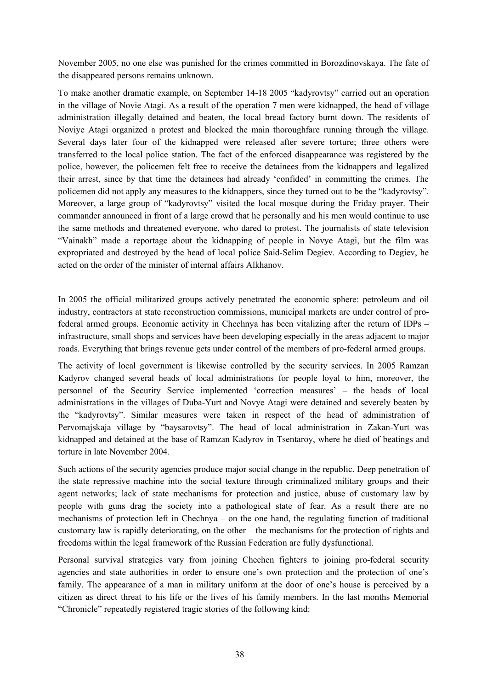November 2005, no one else was punished for the crimes committed in Borozdinovskaya. The fate of the disappeared persons remains unknown.

To make another dramatic example, on September 14-18 2005 "kadyrovtsy" carried out an operation in the village of Novie Atagi. As a result of the operation 7 men were kidnapped, the head of village administration illegally detained and beaten, the local bread factory burnt down. The residents of Noviye Atagi organized a protest and blocked the main thoroughfare running through the village. Several days later four of the kidnapped were released after severe torture; three others were transferred to the local police station. The fact of the enforced disappearance was registered by the police, however, the policemen felt free to receive the detainees from the kidnappers and legalized their arrest, since by that time the detainees had already 'confided' in committing the crimes. The policemen did not apply any measures to the kidnappers, since they turned out to be the "kadyrovtsy". Moreover, a large group of "kadyrovtsy" visited the local mosque during the Friday prayer. Their commander announced in front of a large crowd that he personally and his men would continue to use the same methods and threatened everyone, who dared to protest. The journalists of state television "Vainakh" made a reportage about the kidnapping of people in Novye Atagi, but the film was expropriated and destroyed by the head of local police Said-Selim Degiev. According to Degiev, he acted on the order of the minister of internal affairs Alkhanov.

In 2005 the official militarized groups actively penetrated the economic sphere: petroleum and oil industry, contractors at state reconstruction commissions, municipal markets are under control of profederal armed groups. Economic activity in Chechnya has been vitalizing after the return of IDPs – infrastructure, small shops and services have been developing especially in the areas adjacent to major roads. Everything that brings revenue gets under control of the members of pro-federal armed groups.

The activity of local government is likewise controlled by the security services. In 2005 Ramzan Kadyrov changed several heads of local administrations for people loyal to him, moreover, the personnel of the Security Service implemented 'correction measures' – the heads of local administrations in the villages of Duba-Yurt and Novye Atagi were detained and severely beaten by the "kadyrovtsy". Similar measures were taken in respect of the head of administration of Pervomajskaja village by "baysarovtsy". The head of local administration in Zakan-Yurt was kidnapped and detained at the base of Ramzan Kadyrov in Tsentaroy, where he died of beatings and torture in late November 2004.

Such actions of the security agencies produce major social change in the republic. Deep penetration of the state repressive machine into the social texture through criminalized military groups and their agent networks; lack of state mechanisms for protection and justice, abuse of customary law by people with guns drag the society into a pathological state of fear. As a result there are no mechanisms of protection left in Chechnya – on the one hand, the regulating function of traditional customary law is rapidly deteriorating, on the other – the mechanisms for the protection of rights and freedoms within the legal framework of the Russian Federation are fully dysfunctional.

Personal survival strategies vary from joining Chechen fighters to joining pro-federal security agencies and state authorities in order to ensure one's own protection and the protection of one's family. The appearance of a man in military uniform at the door of one's house is perceived by a citizen as direct threat to his life or the lives of his family members. In the last months Memorial "Chronicle" repeatedly registered tragic stories of the following kind: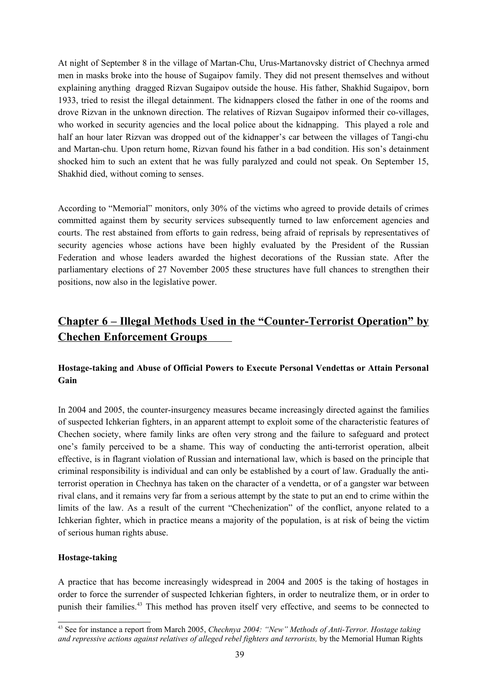At night of September 8 in the village of Martan-Chu, Urus-Martanovsky district of Chechnya armed men in masks broke into the house of Sugaipov family. They did not present themselves and without explaining anything dragged Rizvan Sugaipov outside the house. His father, Shakhid Sugaipov, born 1933, tried to resist the illegal detainment. The kidnappers closed the father in one of the rooms and drove Rizvan in the unknown direction. The relatives of Rizvan Sugaipov informed their co-villages, who worked in security agencies and the local police about the kidnapping. This played a role and half an hour later Rizvan was dropped out of the kidnapper's car between the villages of Tangi-chu and Martan-chu. Upon return home, Rizvan found his father in a bad condition. His son's detainment shocked him to such an extent that he was fully paralyzed and could not speak. On September 15, Shakhid died, without coming to senses.

According to "Memorial" monitors, only 30% of the victims who agreed to provide details of crimes committed against them by security services subsequently turned to law enforcement agencies and courts. The rest abstained from efforts to gain redress, being afraid of reprisals by representatives of security agencies whose actions have been highly evaluated by the President of the Russian Federation and whose leaders awarded the highest decorations of the Russian state. After the parliamentary elections of 27 November 2005 these structures have full chances to strengthen their positions, now also in the legislative power.

## **Chapter 6 – Illegal Methods Used in the "Counter-Terrorist Operation" by Chechen Enforcement Groups**

### **Hostage-taking and Abuse of Official Powers to Execute Personal Vendettas or Attain Personal Gain**

In 2004 and 2005, the counter-insurgency measures became increasingly directed against the families of suspected Ichkerian fighters, in an apparent attempt to exploit some of the characteristic features of Chechen society, where family links are often very strong and the failure to safeguard and protect one's family perceived to be a shame. This way of conducting the anti-terrorist operation, albeit effective, is in flagrant violation of Russian and international law, which is based on the principle that criminal responsibility is individual and can only be established by a court of law. Gradually the antiterrorist operation in Chechnya has taken on the character of a vendetta, or of a gangster war between rival clans, and it remains very far from a serious attempt by the state to put an end to crime within the limits of the law. As a result of the current "Chechenization" of the conflict, anyone related to a Ichkerian fighter, which in practice means a majority of the population, is at risk of being the victim of serious human rights abuse.

### **Hostage-taking**

A practice that has become increasingly widespread in 2004 and 2005 is the taking of hostages in order to force the surrender of suspected Ichkerian fighters, in order to neutralize them, or in order to punish their families. <sup>43</sup> This method has proven itself very effective, and seems to be connected to

<sup>43</sup> See for instance a report from March 2005, *Chechnya 2004: "New" Methods of Anti-Terror. Hostage taking and repressive actions against relatives of alleged rebel fighters and terrorists,* by the Memorial Human Rights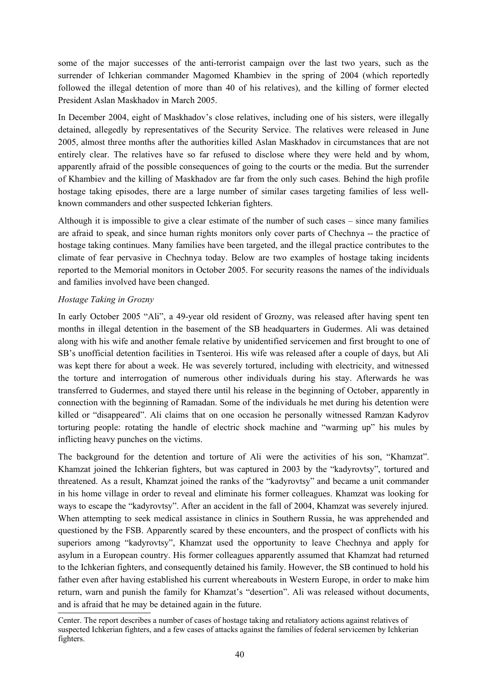some of the major successes of the anti-terrorist campaign over the last two years, such as the surrender of Ichkerian commander Magomed Khambiev in the spring of 2004 (which reportedly followed the illegal detention of more than 40 of his relatives), and the killing of former elected President Aslan Maskhadov in March 2005.

In December 2004, eight of Maskhadov's close relatives, including one of his sisters, were illegally detained, allegedly by representatives of the Security Service. The relatives were released in June 2005, almost three months after the authorities killed Aslan Maskhadov in circumstances that are not entirely clear. The relatives have so far refused to disclose where they were held and by whom, apparently afraid of the possible consequences of going to the courts or the media. But the surrender of Khambiev and the killing of Maskhadov are far from the only such cases. Behind the high profile hostage taking episodes, there are a large number of similar cases targeting families of less wellknown commanders and other suspected Ichkerian fighters.

Although it is impossible to give a clear estimate of the number of such cases – since many families are afraid to speak, and since human rights monitors only cover parts of Chechnya -- the practice of hostage taking continues. Many families have been targeted, and the illegal practice contributes to the climate of fear pervasive in Chechnya today. Below are two examples of hostage taking incidents reported to the Memorial monitors in October 2005. For security reasons the names of the individuals and families involved have been changed.

### *Hostage Taking in Grozny*

In early October 2005 "Ali", a 49-year old resident of Grozny, was released after having spent ten months in illegal detention in the basement of the SB headquarters in Gudermes. Ali was detained along with his wife and another female relative by unidentified servicemen and first brought to one of SB's unofficial detention facilities in Tsenteroi. His wife was released after a couple of days, but Ali was kept there for about a week. He was severely tortured, including with electricity, and witnessed the torture and interrogation of numerous other individuals during his stay. Afterwards he was transferred to Gudermes, and stayed there until his release in the beginning of October, apparently in connection with the beginning of Ramadan. Some of the individuals he met during his detention were killed or "disappeared". Ali claims that on one occasion he personally witnessed Ramzan Kadyrov torturing people: rotating the handle of electric shock machine and "warming up" his mules by inflicting heavy punches on the victims.

The background for the detention and torture of Ali were the activities of his son, "Khamzat". Khamzat joined the Ichkerian fighters, but was captured in 2003 by the "kadyrovtsy", tortured and threatened. As a result, Khamzat joined the ranks of the "kadyrovtsy" and became a unit commander in his home village in order to reveal and eliminate his former colleagues. Khamzat was looking for ways to escape the "kadyrovtsy". After an accident in the fall of 2004, Khamzat was severely injured. When attempting to seek medical assistance in clinics in Southern Russia, he was apprehended and questioned by the FSB. Apparently scared by these encounters, and the prospect of conflicts with his superiors among "kadyrovtsy", Khamzat used the opportunity to leave Chechnya and apply for asylum in a European country. His former colleagues apparently assumed that Khamzat had returned to the Ichkerian fighters, and consequently detained his family. However, the SB continued to hold his father even after having established his current whereabouts in Western Europe, in order to make him return, warn and punish the family for Khamzat's "desertion". Ali was released without documents, and is afraid that he may be detained again in the future.

Center. The report describes a number of cases of hostage taking and retaliatory actions against relatives of suspected Ichkerian fighters, and a few cases of attacks against the families of federal servicemen by Ichkerian fighters.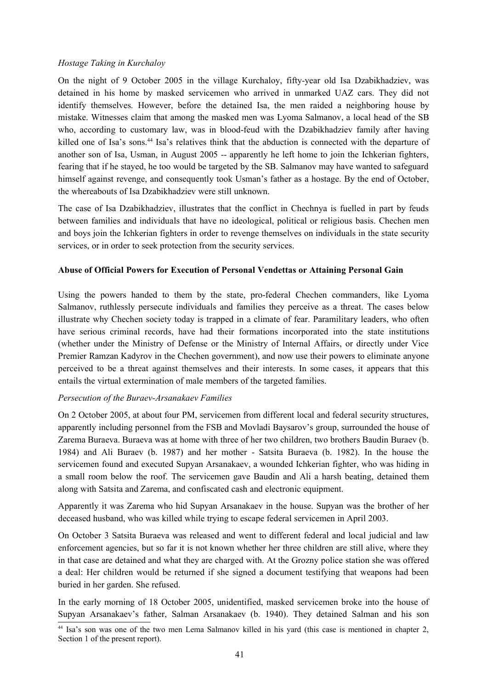### *Hostage Taking in Kurchaloy*

On the night of 9 October 2005 in the village Kurchaloy, fifty-year old Isa Dzabikhadziev, was detained in his home by masked servicemen who arrived in unmarked UAZ cars. They did not identify themselves. However, before the detained Isa, the men raided a neighboring house by mistake. Witnesses claim that among the masked men was Lyoma Salmanov, a local head of the SB who, according to customary law, was in blood-feud with the Dzabikhadziev family after having killed one of Isa's sons.<sup>44</sup> Isa's relatives think that the abduction is connected with the departure of another son of Isa, Usman, in August 2005 -- apparently he left home to join the Ichkerian fighters, fearing that if he stayed, he too would be targeted by the SB. Salmanov may have wanted to safeguard himself against revenge, and consequently took Usman's father as a hostage. By the end of October, the whereabouts of Isa Dzabikhadziev were still unknown.

The case of Isa Dzabikhadziev, illustrates that the conflict in Chechnya is fuelled in part by feuds between families and individuals that have no ideological, political or religious basis. Chechen men and boys join the Ichkerian fighters in order to revenge themselves on individuals in the state security services, or in order to seek protection from the security services.

### **Abuse of Official Powers for Execution of Personal Vendettas or Attaining Personal Gain**

Using the powers handed to them by the state, pro-federal Chechen commanders, like Lyoma Salmanov, ruthlessly persecute individuals and families they perceive as a threat. The cases below illustrate why Chechen society today is trapped in a climate of fear. Paramilitary leaders, who often have serious criminal records, have had their formations incorporated into the state institutions (whether under the Ministry of Defense or the Ministry of Internal Affairs, or directly under Vice Premier Ramzan Kadyrov in the Chechen government), and now use their powers to eliminate anyone perceived to be a threat against themselves and their interests. In some cases, it appears that this entails the virtual extermination of male members of the targeted families.

#### *Persecution of the Buraev-Arsanakaev Families*

On 2 October 2005, at about four PM, servicemen from different local and federal security structures, apparently including personnel from the FSB and Movladi Baysarov's group, surrounded the house of Zarema Buraeva. Buraeva was at home with three of her two children, two brothers Baudin Buraev (b. 1984) and Ali Buraev (b. 1987) and her mother - Satsita Buraeva (b. 1982). In the house the servicemen found and executed Supyan Arsanakaev, a wounded Ichkerian fighter, who was hiding in a small room below the roof. The servicemen gave Baudin and Ali a harsh beating, detained them along with Satsita and Zarema, and confiscated cash and electronic equipment.

Apparently it was Zarema who hid Supyan Arsanakaev in the house. Supyan was the brother of her deceased husband, who was killed while trying to escape federal servicemen in April 2003.

On October 3 Satsita Buraeva was released and went to different federal and local judicial and law enforcement agencies, but so far it is not known whether her three children are still alive, where they in that case are detained and what they are charged with. At the Grozny police station she was offered a deal: Her children would be returned if she signed a document testifying that weapons had been buried in her garden. She refused.

In the early morning of 18 October 2005, unidentified, masked servicemen broke into the house of Supyan Arsanakaev's father, Salman Arsanakaev (b. 1940). They detained Salman and his son

<sup>44</sup> Isa's son was one of the two men Lema Salmanov killed in his yard (this case is mentioned in chapter 2, Section 1 of the present report).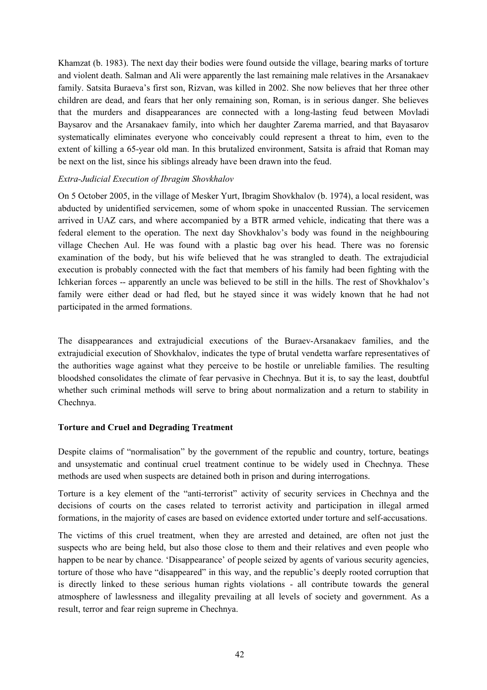Khamzat (b. 1983). The next day their bodies were found outside the village, bearing marks of torture and violent death. Salman and Ali were apparently the last remaining male relatives in the Arsanakaev family. Satsita Buraeva's first son, Rizvan, was killed in 2002. She now believes that her three other children are dead, and fears that her only remaining son, Roman, is in serious danger. She believes that the murders and disappearances are connected with a long-lasting feud between Movladi Baysarov and the Arsanakaev family, into which her daughter Zarema married, and that Bayasarov systematically eliminates everyone who conceivably could represent a threat to him, even to the extent of killing a 65-year old man. In this brutalized environment, Satsita is afraid that Roman may be next on the list, since his siblings already have been drawn into the feud.

### *Extra-Judicial Execution of Ibragim Shovkhalov*

On 5 October 2005, in the village of Mesker Yurt, Ibragim Shovkhalov (b. 1974), a local resident, was abducted by unidentified servicemen, some of whom spoke in unaccented Russian. The servicemen arrived in UAZ cars, and where accompanied by a BTR armed vehicle, indicating that there was a federal element to the operation. The next day Shovkhalov's body was found in the neighbouring village Chechen Aul. He was found with a plastic bag over his head. There was no forensic examination of the body, but his wife believed that he was strangled to death. The extrajudicial execution is probably connected with the fact that members of his family had been fighting with the Ichkerian forces -- apparently an uncle was believed to be still in the hills. The rest of Shovkhalov's family were either dead or had fled, but he stayed since it was widely known that he had not participated in the armed formations.

The disappearances and extrajudicial executions of the Buraev-Arsanakaev families, and the extrajudicial execution of Shovkhalov, indicates the type of brutal vendetta warfare representatives of the authorities wage against what they perceive to be hostile or unreliable families. The resulting bloodshed consolidates the climate of fear pervasive in Chechnya. But it is, to say the least, doubtful whether such criminal methods will serve to bring about normalization and a return to stability in Chechnya.

#### **Torture and Cruel and Degrading Treatment**

Despite claims of "normalisation" by the government of the republic and country, torture, beatings and unsystematic and continual cruel treatment continue to be widely used in Chechnya. These methods are used when suspects are detained both in prison and during interrogations.

Torture is a key element of the "anti-terrorist" activity of security services in Chechnya and the decisions of courts on the cases related to terrorist activity and participation in illegal armed formations, in the majority of cases are based on evidence extorted under torture and self-accusations.

The victims of this cruel treatment, when they are arrested and detained, are often not just the suspects who are being held, but also those close to them and their relatives and even people who happen to be near by chance. 'Disappearance' of people seized by agents of various security agencies, torture of those who have "disappeared" in this way, and the republic's deeply rooted corruption that is directly linked to these serious human rights violations - all contribute towards the general atmosphere of lawlessness and illegality prevailing at all levels of society and government. As a result, terror and fear reign supreme in Chechnya.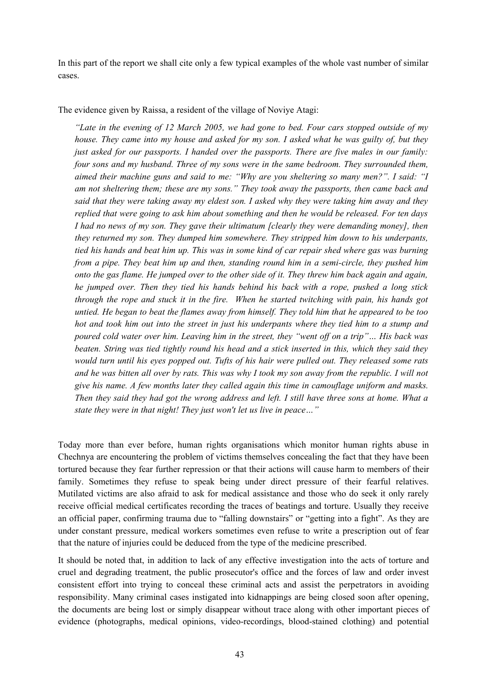In this part of the report we shall cite only a few typical examples of the whole vast number of similar cases.

The evidence given by Raissa, a resident of the village of Noviye Atagi:

*"Late in the evening of 12 March 2005, we had gone to bed. Four cars stopped outside of my* house. They came into my house and asked for my son. I asked what he was guilty of, but they *just asked for our passports. I handed over the passports. There are five males in our family: four sons and my husband. Three of my sons were in the same bedroom. They surrounded them, aimed their machine guns and said to me: "Why are you sheltering so many men?". I said: "I am not sheltering them; these are my sons." They took away the passports, then came back and* said that they were taking away my eldest son. I asked why they were taking him away and they *replied that were going to ask him about something and then he would be released. For ten days I had no news of my son. They gave their ultimatum [clearly they were demanding money], then they returned my son. They dumped him somewhere. They stripped him down to his underpants,* tied his hands and beat him up. This was in some kind of car repair shed where gas was burning *from a pipe. They beat him up and then, standing round him in a semi-circle, they pushed him* onto the gas flame. He jumped over to the other side of it. They threw him back again and again, *he jumped over. Then they tied his hands behind his back with a rope, pushed a long stick through the rope and stuck it in the fire. When he started twitching with pain, his hands got* untied. He began to beat the flames away from himself. They told him that he appeared to be too hot and took him out into the street in just his underpants where they tied him to a stump and poured cold water over him. Leaving him in the street, they "went off on a trip"... His back was *beaten. String was tied tightly round his head and a stick inserted in this, which they said they would turn until his eyes popped out. Tufts of his hair were pulled out. They released some rats* and he was bitten all over by rats. This was why I took my son away from the republic. I will not *give his name. A few months later they called again this time in camouflage uniform and masks.* Then they said they had got the wrong address and left. I still have three sons at home. What a *state they were in that night! They just won't let us live in peace…"*

Today more than ever before, human rights organisations which monitor human rights abuse in Chechnya are encountering the problem of victims themselves concealing the fact that they have been tortured because they fear further repression or that their actions will cause harm to members of their family. Sometimes they refuse to speak being under direct pressure of their fearful relatives. Mutilated victims are also afraid to ask for medical assistance and those who do seek it only rarely receive official medical certificates recording the traces of beatings and torture. Usually they receive an official paper, confirming trauma due to "falling downstairs" or "getting into a fight". As they are under constant pressure, medical workers sometimes even refuse to write a prescription out of fear that the nature of injuries could be deduced from the type of the medicine prescribed.

It should be noted that, in addition to lack of any effective investigation into the acts of torture and cruel and degrading treatment, the public prosecutor's office and the forces of law and order invest consistent effort into trying to conceal these criminal acts and assist the perpetrators in avoiding responsibility. Many criminal cases instigated into kidnappings are being closed soon after opening, the documents are being lost or simply disappear without trace along with other important pieces of evidence (photographs, medical opinions, video-recordings, blood-stained clothing) and potential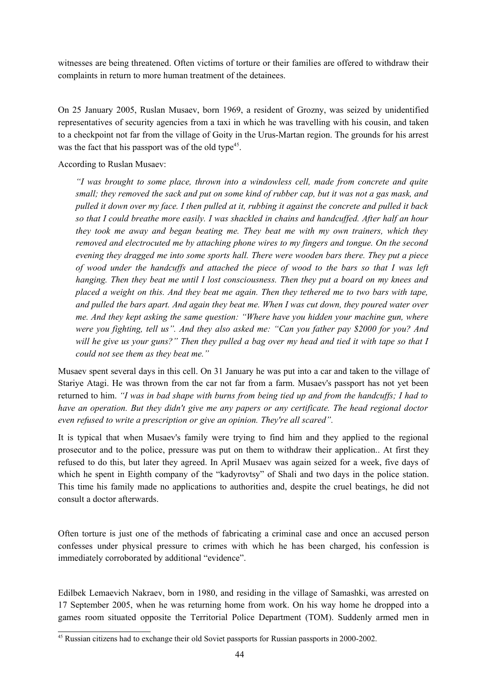witnesses are being threatened. Often victims of torture or their families are offered to withdraw their complaints in return to more human treatment of the detainees.

On 25 January 2005, Ruslan Musaev, born 1969, a resident of Grozny, was seized by unidentified representatives of security agencies from a taxi in which he was travelling with his cousin, and taken to a checkpoint not far from the village of Goity in the Urus-Martan region. The grounds for his arrest was the fact that his passport was of the old type<sup>45</sup>.

According to Ruslan Musaev:

*"I was brought to some place, thrown into a windowless cell, made from concrete and quite small; they removed the sack and put on some kind of rubber cap, but it was not a gas mask, and pulled it down over my face. I then pulled at it, rubbing it against the concrete and pulled it back so that I could breathe more easily. I was shackled in chains and handcuffed. After half an hour they took me away and began beating me. They beat me with my own trainers, which they removed and electrocuted me by attaching phone wires to my fingers and tongue. On the second evening they dragged me into some sports hall. There were wooden bars there. They put a piece of wood under the handcuffs and attached the piece of wood to the bars so that I was left hanging. Then they beat me until I lost consciousness. Then they put a board on my knees and* placed a weight on this. And they beat me again. Then they tethered me to two bars with tape. *and pulled the bars apart. And again they beat me. When I was cut down, they poured water over me. And they kept asking the same question: "Where have you hidden your machine gun, where were you fighting, tell us". And they also asked me: "Can you father pay \$2000 for you? And* will he give us your guns?" Then they pulled a bag over my head and tied it with tape so that  $I$ *could not see them as they beat me."*

Musaev spent several days in this cell. On 31 January he was put into a car and taken to the village of Stariye Atagi. He was thrown from the car not far from a farm. Musaev's passport has not yet been returned to him. "I was in bad shape with burns from being tied up and from the handcuffs; I had to *have an operation. But they didn't give me any papers or any certificate. The head regional doctor even refused to write a prescription or give an opinion. They're all scared".*

It is typical that when Musaev's family were trying to find him and they applied to the regional prosecutor and to the police, pressure was put on them to withdraw their application.. At first they refused to do this, but later they agreed. In April Musaev was again seized for a week, five days of which he spent in Eighth company of the "kadyrovtsy" of Shali and two days in the police station. This time his family made no applications to authorities and, despite the cruel beatings, he did not consult a doctor afterwards.

Often torture is just one of the methods of fabricating a criminal case and once an accused person confesses under physical pressure to crimes with which he has been charged, his confession is immediately corroborated by additional "evidence".

Edilbek Lemaevich Nakraev, born in 1980, and residing in the village of Samashki, was arrested on 17 September 2005, when he was returning home from work. On his way home he dropped into a games room situated opposite the Territorial Police Department (TOM). Suddenly armed men in

<sup>&</sup>lt;sup>45</sup> Russian citizens had to exchange their old Soviet passports for Russian passports in 2000-2002.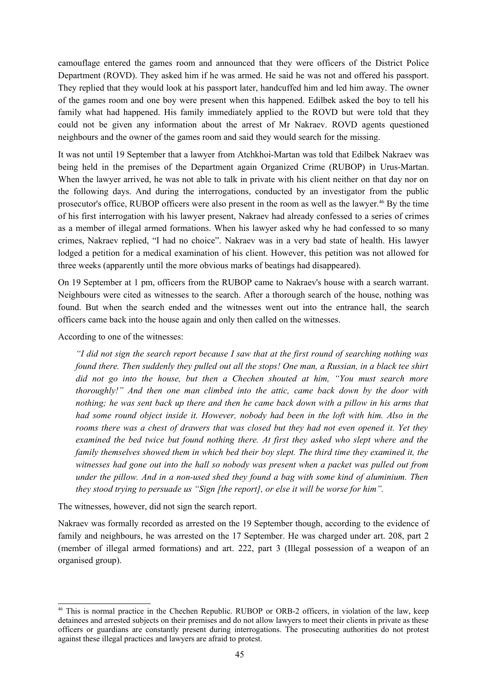camouflage entered the games room and announced that they were officers of the District Police Department (ROVD). They asked him if he was armed. He said he was not and offered his passport. They replied that they would look at his passport later, handcuffed him and led him away. The owner of the games room and one boy were present when this happened. Edilbek asked the boy to tell his family what had happened. His family immediately applied to the ROVD but were told that they could not be given any information about the arrest of Mr Nakraev. ROVD agents questioned neighbours and the owner of the games room and said they would search for the missing.

It was not until 19 September that a lawyer from Atchkhoi-Martan was told that Edilbek Nakraev was being held in the premises of the Department again Organized Crime (RUBOP) in Urus-Martan. When the lawyer arrived, he was not able to talk in private with his client neither on that day nor on the following days. And during the interrogations, conducted by an investigator from the public prosecutor's office, RUBOP officers were also present in the room as well as the lawyer. <sup>46</sup> By the time of his first interrogation with his lawyer present, Nakraev had already confessed to a series of crimes as a member of illegal armed formations. When his lawyer asked why he had confessed to so many crimes, Nakraev replied, "I had no choice". Nakraev was in a very bad state of health. His lawyer lodged a petition for a medical examination of his client. However, this petition was not allowed for three weeks (apparently until the more obvious marks of beatings had disappeared).

On 19 September at 1 pm, officers from the RUBOP came to Nakraev's house with a search warrant. Neighbours were cited as witnesses to the search. After a thorough search of the house, nothing was found. But when the search ended and the witnesses went out into the entrance hall, the search officers came back into the house again and only then called on the witnesses.

According to one of the witnesses:

"I did not sign the search report because I saw that at the first round of searching nothing was *found there. Then suddenly they pulled out all the stops! One man, a Russian, in a black tee shirt did not go into the house, but then a Chechen shouted at him, "You must search more thoroughly!" And then one man climbed into the attic, came back down by the door with* nothing; he was sent back up there and then he came back down with a pillow in his arms that *had some round object inside it. However, nobody had been in the loft with him. Also in the* rooms there was a chest of drawers that was closed but they had not even opened it. Yet they *examined the bed twice but found nothing there. At first they asked who slept where and the family themselves showed them in which bed their boy slept. The third time they examined it, the witnesses had gone out into the hall so nobody was present when a packet was pulled out from under the pillow. And in a non-used shed they found a bag with some kind of aluminium. Then they stood trying to persuade us "Sign [the report], or else it will be worse for him".*

The witnesses, however, did not sign the search report.

Nakraev was formally recorded as arrested on the 19 September though, according to the evidence of family and neighbours, he was arrested on the 17 September. He was charged under art. 208, part 2 (member of illegal armed formations) and art. 222, part 3 (Illegal possession of a weapon of an organised group).

<sup>&</sup>lt;sup>46</sup> This is normal practice in the Chechen Republic. RUBOP or ORB-2 officers, in violation of the law, keep detainees and arrested subjects on their premises and do not allow lawyers to meet their clients in private as these officers or guardians are constantly present during interrogations. The prosecuting authorities do not protest against these illegal practices and lawyers are afraid to protest.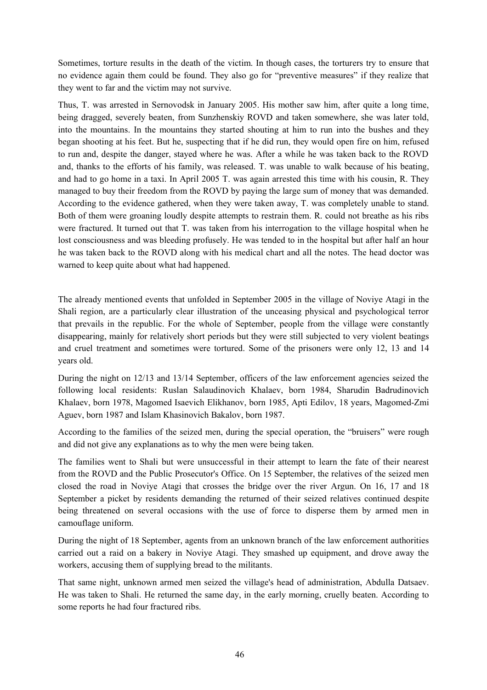Sometimes, torture results in the death of the victim. In though cases, the torturers try to ensure that no evidence again them could be found. They also go for "preventive measures" if they realize that they went to far and the victim may not survive.

Thus, T. was arrested in Sernovodsk in January 2005. His mother saw him, after quite a long time, being dragged, severely beaten, from Sunzhenskiy ROVD and taken somewhere, she was later told, into the mountains. In the mountains they started shouting at him to run into the bushes and they began shooting at his feet. But he, suspecting that if he did run, they would open fire on him, refused to run and, despite the danger, stayed where he was. After a while he was taken back to the ROVD and, thanks to the efforts of his family, was released. T. was unable to walk because of his beating, and had to go home in a taxi. In April 2005 T. was again arrested this time with his cousin, R. They managed to buy their freedom from the ROVD by paying the large sum of money that was demanded. According to the evidence gathered, when they were taken away, T. was completely unable to stand. Both of them were groaning loudly despite attempts to restrain them. R. could not breathe as his ribs were fractured. It turned out that T. was taken from his interrogation to the village hospital when he lost consciousness and was bleeding profusely. He was tended to in the hospital but after half an hour he was taken back to the ROVD along with his medical chart and all the notes. The head doctor was warned to keep quite about what had happened.

The already mentioned events that unfolded in September 2005 in the village of Noviye Atagi in the Shali region, are a particularly clear illustration of the unceasing physical and psychological terror that prevails in the republic. For the whole of September, people from the village were constantly disappearing, mainly for relatively short periods but they were still subjected to very violent beatings and cruel treatment and sometimes were tortured. Some of the prisoners were only 12, 13 and 14 years old.

During the night on 12/13 and 13/14 September, officers of the law enforcement agencies seized the following local residents: Ruslan Salaudinovich Khalaev, born 1984, Sharudin Badrudinovich Khalaev, born 1978, Magomed Isaevich Elikhanov, born 1985, Apti Edilov, 18 years, Magomed-Zmi Aguev, born 1987 and Islam Khasinovich Bakalov, born 1987.

According to the families of the seized men, during the special operation, the "bruisers" were rough and did not give any explanations as to why the men were being taken.

The families went to Shali but were unsuccessful in their attempt to learn the fate of their nearest from the ROVD and the Public Prosecutor's Office. On 15 September, the relatives of the seized men closed the road in Noviye Atagi that crosses the bridge over the river Argun. On 16, 17 and 18 September a picket by residents demanding the returned of their seized relatives continued despite being threatened on several occasions with the use of force to disperse them by armed men in camouflage uniform.

During the night of 18 September, agents from an unknown branch of the law enforcement authorities carried out a raid on a bakery in Noviye Atagi. They smashed up equipment, and drove away the workers, accusing them of supplying bread to the militants.

That same night, unknown armed men seized the village's head of administration, Abdulla Datsaev. He was taken to Shali. He returned the same day, in the early morning, cruelly beaten. According to some reports he had four fractured ribs.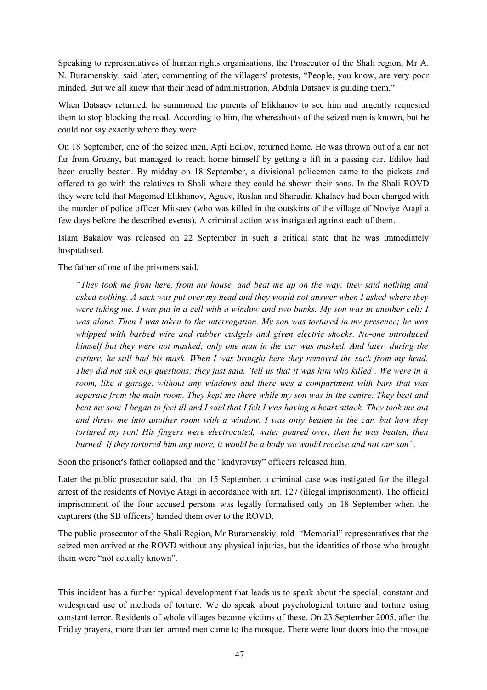Speaking to representatives of human rights organisations, the Prosecutor of the Shali region, Mr A. N. Buramenskiy, said later, commenting of the villagers' protests, "People, you know, are very poor minded. But we all know that their head of administration, Abdula Datsaev is guiding them."

When Datsaev returned, he summoned the parents of Elikhanov to see him and urgently requested them to stop blocking the road. According to him, the whereabouts of the seized men is known, but he could not say exactly where they were.

On 18 September, one of the seized men, Apti Edilov, returned home. He was thrown out of a car not far from Grozny, but managed to reach home himself by getting a lift in a passing car. Edilov had been cruelly beaten. By midday on 18 September, a divisional policemen came to the pickets and offered to go with the relatives to Shali where they could be shown their sons. In the Shali ROVD they were told that Magomed Elikhanov, Aguev, Ruslan and Sharudin Khalaev had been charged with the murder of police officer Mitsaev (who was killed in the outskirts of the village of Noviye Atagi a few days before the described events). A criminal action was instigated against each of them.

Islam Bakalov was released on 22 September in such a critical state that he was immediately hospitalised.

The father of one of the prisoners said,

*"They took me from here, from my house, and beat me up on the way; they said nothing and asked nothing. A sack was put over my head and they would not answer when I asked where they* were taking me. I was put in a cell with a window and two bunks. My son was in another cell; I *was alone. Then I was taken to the interrogation. My son was tortured in my presence; he was whipped with barbed wire and rubber cudgels and given electric shocks. No-one introduced himself but they were not masked; only one man in the car was masked. And later, during the torture, he still had his mask. When I was brought here they removed the sack from my head.* They did not ask any questions; they just said, 'tell us that it was him who killed'. We were in a *room, like a garage, without any windows and there was a compartment with bars that was* separate from the main room. They kept me there while my son was in the centre. They beat and *beat my son; I began to feel ill and I said that I felt I was having a heart attack. They took me out and threw me into another room with a window. I was only beaten in the car, but how they tortured my son! His fingers were electrocuted, water poured over, then he was beaten, then burned. If they tortured him any more, it would be a body we would receive and not our son".*

Soon the prisoner's father collapsed and the "kadyrovtsy" officers released him.

Later the public prosecutor said, that on 15 September, a criminal case was instigated for the illegal arrest of the residents of Noviye Atagi in accordance with art. 127 (illegal imprisonment). The official imprisonment of the four accused persons was legally formalised only on 18 September when the capturers (the SB officers) handed them over to the ROVD.

The public prosecutor of the Shali Region, Mr Buramenskiy, told "Memorial" representatives that the seized men arrived at the ROVD without any physical injuries, but the identities of those who brought them were "not actually known".

This incident has a further typical development that leads us to speak about the special, constant and widespread use of methods of torture. We do speak about psychological torture and torture using constant terror. Residents of whole villages become victims of these. On 23 September 2005, after the Friday prayers, more than ten armed men came to the mosque. There were four doors into the mosque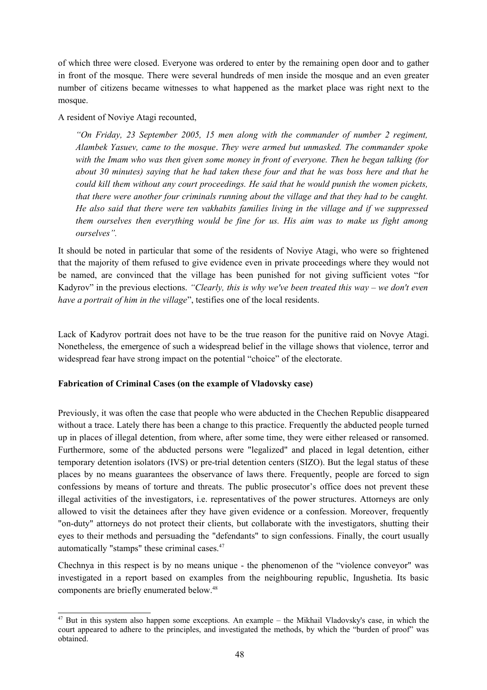of which three were closed. Everyone was ordered to enter by the remaining open door and to gather in front of the mosque. There were several hundreds of men inside the mosque and an even greater number of citizens became witnesses to what happened as the market place was right next to the mosque.

A resident of Noviye Atagi recounted,

*"On Friday, 23 September 2005, 15 men along with the commander of number 2 regiment, Alambek Yasuev, came to the mosque*. *They were armed but unmasked. The commander spoke with the Imam who was then given some money in front of everyone. Then he began talking (for about 30 minutes) saying that he had taken these four and that he was boss here and that he could kill them without any court proceedings. He said that he would punish the women pickets, that there were another four criminals running about the village and that they had to be caught. He also said that there were ten vakhabits families living in the village and if we suppressed them ourselves then everything would be fine for us. His aim was to make us fight among ourselves".*

It should be noted in particular that some of the residents of Noviye Atagi, who were so frightened that the majority of them refused to give evidence even in private proceedings where they would not be named, are convinced that the village has been punished for not giving sufficient votes "for Kadyrov" in the previous elections. *"Clearly, this is why we've been treated this way – we don't even have a portrait of him in the village*", testifies one of the local residents.

Lack of Kadyrov portrait does not have to be the true reason for the punitive raid on Novye Atagi. Nonetheless, the emergence of such a widespread belief in the village shows that violence, terror and widespread fear have strong impact on the potential "choice" of the electorate.

### **Fabrication of Criminal Cases (on the example of Vladovsky case)**

Previously, it was often the case that people who were abducted in the Chechen Republic disappeared without a trace. Lately there has been a change to this practice. Frequently the abducted people turned up in places of illegal detention, from where, after some time, they were either released or ransomed. Furthermore, some of the abducted persons were "legalized" and placed in legal detention, either temporary detention isolators (IVS) or pre-trial detention centers (SIZO). But the legal status of these places by no means guarantees the observance of laws there. Frequently, people are forced to sign confessions by means of torture and threats. The public prosecutor's office does not prevent these illegal activities of the investigators, i.e. representatives of the power structures. Attorneys are only allowed to visit the detainees after they have given evidence or a confession. Moreover, frequently "on-duty" attorneys do not protect their clients, but collaborate with the investigators, shutting their eyes to their methods and persuading the "defendants" to sign confessions. Finally, the court usually automatically "stamps" these criminal cases. 47

Chechnya in this respect is by no means unique - the phenomenon of the "violence conveyor" was investigated in a report based on examples from the neighbouring republic, Ingushetia. Its basic components are briefly enumerated below. 48

<sup>&</sup>lt;sup>47</sup> But in this system also happen some exceptions. An example – the Mikhail Vladovsky's case, in which the court appeared to adhere to the principles, and investigated the methods, by which the "burden of proof" was obtained.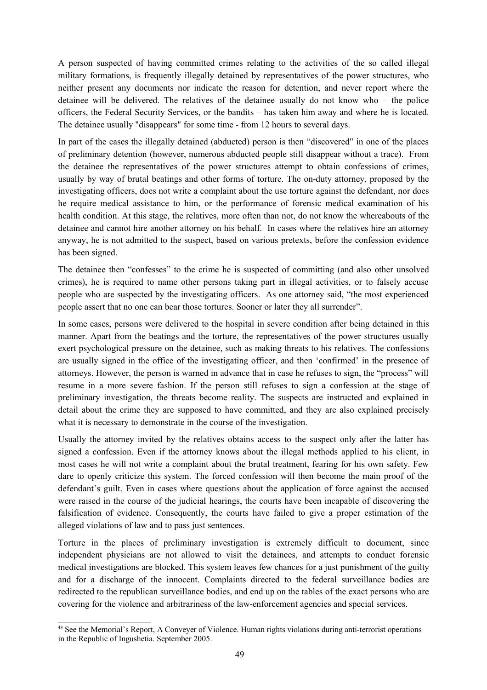A person suspected of having committed crimes relating to the activities of the so called illegal military formations, is frequently illegally detained by representatives of the power structures, who neither present any documents nor indicate the reason for detention, and never report where the detainee will be delivered. The relatives of the detainee usually do not know who – the police officers, the Federal Security Services, or the bandits – has taken him away and where he is located. The detainee usually "disappears" for some time - from 12 hours to several days.

In part of the cases the illegally detained (abducted) person is then "discovered" in one of the places of preliminary detention (however, numerous abducted people still disappear without a trace). From the detainee the representatives of the power structures attempt to obtain confessions of crimes, usually by way of brutal beatings and other forms of torture. The on-duty attorney, proposed by the investigating officers, does not write a complaint about the use torture against the defendant, nor does he require medical assistance to him, or the performance of forensic medical examination of his health condition. At this stage, the relatives, more often than not, do not know the whereabouts of the detainee and cannot hire another attorney on his behalf. In cases where the relatives hire an attorney anyway, he is not admitted to the suspect, based on various pretexts, before the confession evidence has been signed.

The detainee then "confesses" to the crime he is suspected of committing (and also other unsolved crimes), he is required to name other persons taking part in illegal activities, or to falsely accuse people who are suspected by the investigating officers. As one attorney said, "the most experienced people assert that no one can bear those tortures. Sooner or later they all surrender".

In some cases, persons were delivered to the hospital in severe condition after being detained in this manner. Apart from the beatings and the torture, the representatives of the power structures usually exert psychological pressure on the detainee, such as making threats to his relatives. The confessions are usually signed in the office of the investigating officer, and then 'confirmed' in the presence of attorneys. However, the person is warned in advance that in case he refuses to sign, the "process" will resume in a more severe fashion. If the person still refuses to sign a confession at the stage of preliminary investigation, the threats become reality. The suspects are instructed and explained in detail about the crime they are supposed to have committed, and they are also explained precisely what it is necessary to demonstrate in the course of the investigation.

Usually the attorney invited by the relatives obtains access to the suspect only after the latter has signed a confession. Even if the attorney knows about the illegal methods applied to his client, in most cases he will not write a complaint about the brutal treatment, fearing for his own safety. Few dare to openly criticize this system. The forced confession will then become the main proof of the defendant's guilt. Even in cases where questions about the application of force against the accused were raised in the course of the judicial hearings, the courts have been incapable of discovering the falsification of evidence. Consequently, the courts have failed to give a proper estimation of the alleged violations of law and to pass just sentences.

Torture in the places of preliminary investigation is extremely difficult to document, since independent physicians are not allowed to visit the detainees, and attempts to conduct forensic medical investigations are blocked. This system leaves few chances for a just punishment of the guilty and for a discharge of the innocent. Complaints directed to the federal surveillance bodies are redirected to the republican surveillance bodies, and end up on the tables of the exact persons who are covering for the violence and arbitrariness of the law-enforcement agencies and special services.

<sup>48</sup> See the Memorial's Report, A Conveyer of Violence. Human rights violations during anti-terrorist operations in the Republic of Ingushetia. September 2005.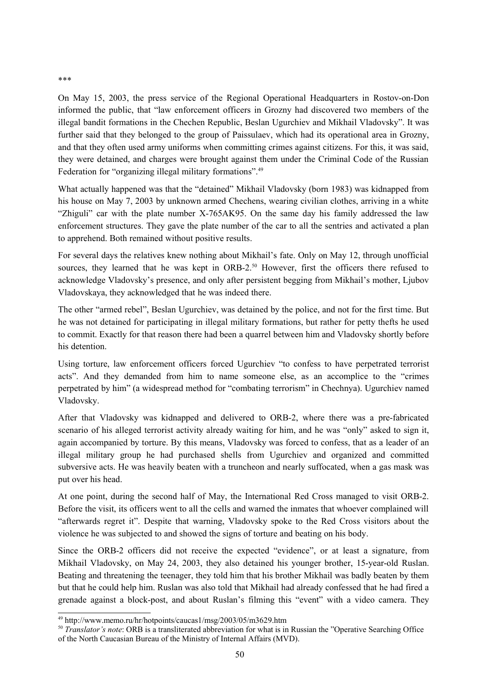On May 15, 2003, the press service of the Regional Operational Headquarters in Rostov-on-Don informed the public, that "law enforcement officers in Grozny had discovered two members of the illegal bandit formations in the Chechen Republic, Beslan Ugurchiev and Mikhail Vladovsky". It was further said that they belonged to the group of Paissulaev, which had its operational area in Grozny, and that they often used army uniforms when committing crimes against citizens. For this, it was said, they were detained, and charges were brought against them under the Criminal Code of the Russian Federation for "organizing illegal military formations".<sup>49</sup>

What actually happened was that the "detained" Mikhail Vladovsky (born 1983) was kidnapped from his house on May 7, 2003 by unknown armed Chechens, wearing civilian clothes, arriving in a white "Zhiguli" car with the plate number X-765AK95. On the same day his family addressed the law enforcement structures. They gave the plate number of the car to all the sentries and activated a plan to apprehend. Both remained without positive results.

For several days the relatives knew nothing about Mikhail's fate. Only on May 12, through unofficial sources, they learned that he was kept in ORB-2.<sup>50</sup> However, first the officers there refused to acknowledge Vladovsky's presence, and only after persistent begging from Mikhail's mother, Ljubov Vladovskaya, they acknowledged that he was indeed there.

The other "armed rebel", Beslan Ugurchiev, was detained by the police, and not for the first time. But he was not detained for participating in illegal military formations, but rather for petty thefts he used to commit. Exactly for that reason there had been a quarrel between him and Vladovsky shortly before his detention.

Using torture, law enforcement officers forced Ugurchiev "to confess to have perpetrated terrorist acts". And they demanded from him to name someone else, as an accomplice to the "crimes perpetrated by him" (a widespread method for "combating terrorism" in Chechnya). Ugurchiev named Vladovsky.

After that Vladovsky was kidnapped and delivered to ORB-2, where there was a pre-fabricated scenario of his alleged terrorist activity already waiting for him, and he was "only" asked to sign it, again accompanied by torture. By this means, Vladovsky was forced to confess, that as a leader of an illegal military group he had purchased shells from Ugurchiev and organized and committed subversive acts. He was heavily beaten with a truncheon and nearly suffocated, when a gas mask was put over his head.

At one point, during the second half of May, the International Red Cross managed to visit ORB-2. Before the visit, its officers went to all the cells and warned the inmates that whoever complained will "afterwards regret it". Despite that warning, Vladovsky spoke to the Red Cross visitors about the violence he was subjected to and showed the signs of torture and beating on his body.

Since the ORB-2 officers did not receive the expected "evidence", or at least a signature, from Mikhail Vladovsky, on May 24, 2003, they also detained his younger brother, 15-year-old Ruslan. Beating and threatening the teenager, they told him that his brother Mikhail was badly beaten by them but that he could help him. Ruslan was also told that Mikhail had already confessed that he had fired a grenade against a block-post, and about Ruslan's filming this "event" with a video camera. They

\*\*\*

<sup>49</sup> http://www.memo.ru/hr/hotpoints/caucas1/msg/2003/05/m3629.htm

<sup>50</sup> *Translator's note*: ORB is a transliterated abbreviation for what is in Russian the "Operative Searching Office of the North Caucasian Bureau of the Ministry of Internal Affairs (MVD).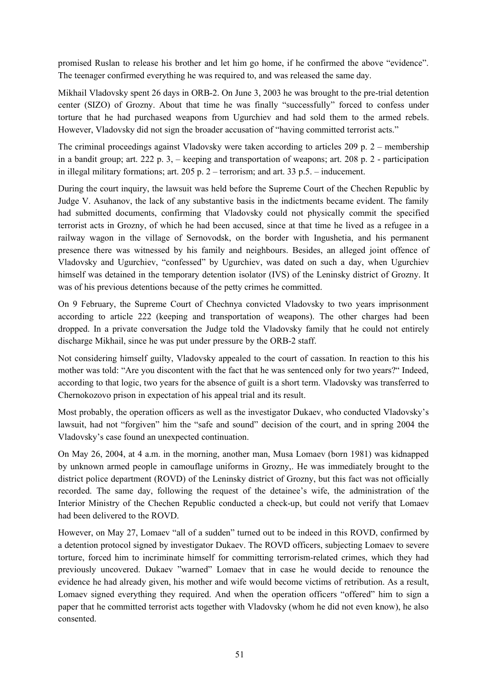promised Ruslan to release his brother and let him go home, if he confirmed the above "evidence". The teenager confirmed everything he was required to, and was released the same day.

Mikhail Vladovsky spent 26 days in ORB-2. On June 3, 2003 he was brought to the pre-trial detention center (SIZO) of Grozny. About that time he was finally "successfully" forced to confess under torture that he had purchased weapons from Ugurchiev and had sold them to the armed rebels. However, Vladovsky did not sign the broader accusation of "having committed terrorist acts."

The criminal proceedings against Vladovsky were taken according to articles 209 p. 2 – membership in a bandit group; art. 222 p. 3, – keeping and transportation of weapons; art. 208 p. 2 - participation in illegal military formations; art. 205 p. 2 – terrorism; and art. 33 p.5. – inducement.

During the court inquiry, the lawsuit was held before the Supreme Court of the Chechen Republic by Judge V. Asuhanov, the lack of any substantive basis in the indictments became evident. The family had submitted documents, confirming that Vladovsky could not physically commit the specified terrorist acts in Grozny, of which he had been accused, since at that time he lived as a refugee in a railway wagon in the village of Sernovodsk, on the border with Ingushetia, and his permanent presence there was witnessed by his family and neighbours. Besides, an alleged joint offence of Vladovsky and Ugurchiev, "confessed" by Ugurchiev, was dated on such a day, when Ugurchiev himself was detained in the temporary detention isolator (IVS) of the Leninsky district of Grozny. It was of his previous detentions because of the petty crimes he committed.

On 9 February, the Supreme Court of Chechnya convicted Vladovsky to two years imprisonment according to article 222 (keeping and transportation of weapons). The other charges had been dropped. In a private conversation the Judge told the Vladovsky family that he could not entirely discharge Mikhail, since he was put under pressure by the ORB-2 staff.

Not considering himself guilty, Vladovsky appealed to the court of cassation. In reaction to this his mother was told: "Are you discontent with the fact that he was sentenced only for two years?" Indeed, according to that logic, two years for the absence of guilt is a short term. Vladovsky was transferred to Chernokozovo prison in expectation of his appeal trial and its result.

Most probably, the operation officers as well as the investigator Dukaev, who conducted Vladovsky's lawsuit, had not "forgiven" him the "safe and sound" decision of the court, and in spring 2004 the Vladovsky's case found an unexpected continuation.

On May 26, 2004, at 4 a.m. in the morning, another man, Musa Lomaev (born 1981) was kidnapped by unknown armed people in camouflage uniforms in Grozny,. He was immediately brought to the district police department (ROVD) of the Leninsky district of Grozny, but this fact was not officially recorded. The same day, following the request of the detainee's wife, the administration of the Interior Ministry of the Chechen Republic conducted a check-up, but could not verify that Lomaev had been delivered to the ROVD.

However, on May 27, Lomaev "all of a sudden" turned out to be indeed in this ROVD, confirmed by a detention protocol signed by investigator Dukaev. The ROVD officers, subjecting Lomaev to severe torture, forced him to incriminate himself for committing terrorism-related crimes, which they had previously uncovered. Dukaev "warned" Lomaev that in case he would decide to renounce the evidence he had already given, his mother and wife would become victims of retribution. As a result, Lomaev signed everything they required. And when the operation officers "offered" him to sign a paper that he committed terrorist acts together with Vladovsky (whom he did not even know), he also consented.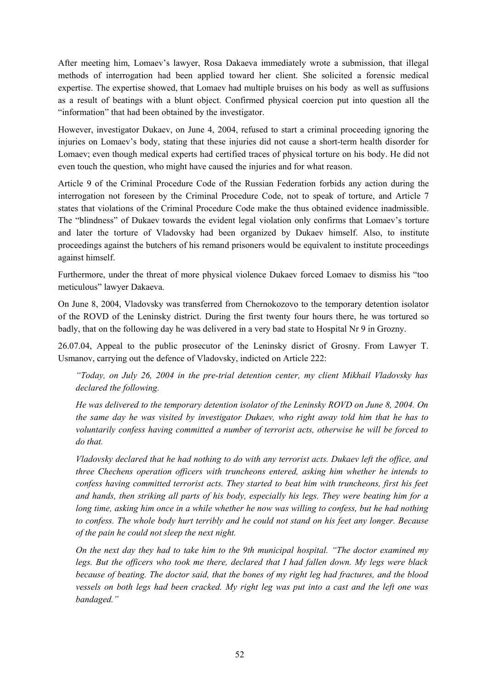After meeting him, Lomaev's lawyer, Rosa Dakaeva immediately wrote a submission, that illegal methods of interrogation had been applied toward her client. She solicited a forensic medical expertise. The expertise showed, that Lomaev had multiple bruises on his body as well as suffusions as a result of beatings with a blunt object. Confirmed physical coercion put into question all the "information" that had been obtained by the investigator.

However, investigator Dukaev, on June 4, 2004, refused to start a criminal proceeding ignoring the injuries on Lomaev's body, stating that these injuries did not cause a short-term health disorder for Lomaev; even though medical experts had certified traces of physical torture on his body. He did not even touch the question, who might have caused the injuries and for what reason.

Article 9 of the Criminal Procedure Code of the Russian Federation forbids any action during the interrogation not foreseen by the Criminal Procedure Code, not to speak of torture, and Article 7 states that violations of the Criminal Procedure Code make the thus obtained evidence inadmissible. The "blindness" of Dukaev towards the evident legal violation only confirms that Lomaev's torture and later the torture of Vladovsky had been organized by Dukaev himself. Also, to institute proceedings against the butchers of his remand prisoners would be equivalent to institute proceedings against himself.

Furthermore, under the threat of more physical violence Dukaev forced Lomaev to dismiss his "too meticulous" lawyer Dakaeva.

On June 8, 2004, Vladovsky was transferred from Chernokozovo to the temporary detention isolator of the ROVD of the Leninsky district. During the first twenty four hours there, he was tortured so badly, that on the following day he was delivered in a very bad state to Hospital Nr 9 in Grozny.

26.07.04, Appeal to the public prosecutor of the Leninsky disrict of Grosny. From Lawyer T. Usmanov, carrying out the defence of Vladovsky, indicted on Article 222:

*"Today, on July 26, 2004 in the pre-trial detention center, my client Mikhail Vladovsky has declared the following.*

*He was delivered to the temporary detention isolator of the Leninsky ROVD on June 8, 2004. On the same day he was visited by investigator Dukaev, who right away told him that he has to voluntarily confess having committed a number of terrorist acts, otherwise he will be forced to do that.*

*Vladovsky declared that he had nothing to do with any terrorist acts. Dukaev left the office, and three Chechens operation officers with truncheons entered, asking him whether he intends to confess having committed terrorist acts. They started to beat him with truncheons, first his feet and hands, then striking all parts of his body, especially his legs. They were beating him for a* long time, asking him once in a while whether he now was willing to confess, but he had nothing *to confess. The whole body hurt terribly and he could not stand on his feet any longer. Because of the pain he could not sleep the next night.*

*On the next day they had to take him to the 9th municipal hospital. "The doctor examined my legs. But the officers who took me there, declared that I had fallen down. My legs were black because of beating. The doctor said, that the bones of my right leg had fractures, and the blood* vessels on both legs had been cracked. My right leg was put into a cast and the left one was *bandaged."*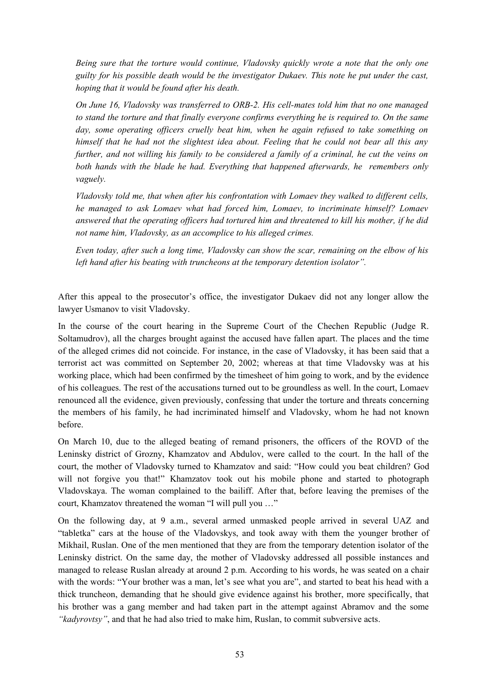*Being sure that the torture would continue, Vladovsky quickly wrote a note that the only one guilty for his possible death would be the investigator Dukaev. This note he put under the cast, hoping that it would be found after his death.*

*On June 16, Vladovsky was transferred to ORB-2. His cell-mates told him that no one managed to stand the torture and that finally everyone confirms everything he is required to. On the same day, some operating officers cruelly beat him, when he again refused to take something on himself that he had not the slightest idea about. Feeling that he could not bear all this any* further, and not willing his family to be considered a family of a criminal, he cut the veins on *both hands with the blade he had. Everything that happened afterwards, he remembers only vaguely.*

*Vladovsky told me, that when after his confrontation with Lomaev they walked to different cells, he managed to ask Lomaev what had forced him, Lomaev, to incriminate himself? Lomaev answered that the operating officers had tortured him and threatened to kill his mother, if he did not name him, Vladovsky, as an accomplice to his alleged crimes.*

*Even today, after such a long time, Vladovsky can show the scar, remaining on the elbow of his left hand after his beating with truncheons at the temporary detention isolator".*

After this appeal to the prosecutor's office, the investigator Dukaev did not any longer allow the lawyer Usmanov to visit Vladovsky.

In the course of the court hearing in the Supreme Court of the Chechen Republic (Judge R. Soltamudrov), all the charges brought against the accused have fallen apart. The places and the time of the alleged crimes did not coincide. For instance, in the case of Vladovsky, it has been said that a terrorist act was committed on September 20, 2002; whereas at that time Vladovsky was at his working place, which had been confirmed by the timesheet of him going to work, and by the evidence of his colleagues. The rest of the accusations turned out to be groundless as well. In the court, Lomaev renounced all the evidence, given previously, confessing that under the torture and threats concerning the members of his family, he had incriminated himself and Vladovsky, whom he had not known before.

On March 10, due to the alleged beating of remand prisoners, the officers of the ROVD of the Leninsky district of Grozny, Khamzatov and Abdulov, were called to the court. In the hall of the court, the mother of Vladovsky turned to Khamzatov and said: "How could you beat children? God will not forgive you that!" Khamzatov took out his mobile phone and started to photograph Vladovskaya. The woman complained to the bailiff. After that, before leaving the premises of the court, Khamzatov threatened the woman "I will pull you …"

On the following day, at 9 a.m., several armed unmasked people arrived in several UAZ and "tabletka" cars at the house of the Vladovskys, and took away with them the younger brother of Mikhail, Ruslan. One of the men mentioned that they are from the temporary detention isolator of the Leninsky district. On the same day, the mother of Vladovsky addressed all possible instances and managed to release Ruslan already at around 2 p.m. According to his words, he was seated on a chair with the words: "Your brother was a man, let's see what you are", and started to beat his head with a thick truncheon, demanding that he should give evidence against his brother, more specifically, that his brother was a gang member and had taken part in the attempt against Abramov and the some *"kadyrovtsy"*, and that he had also tried to make him, Ruslan, to commit subversive acts.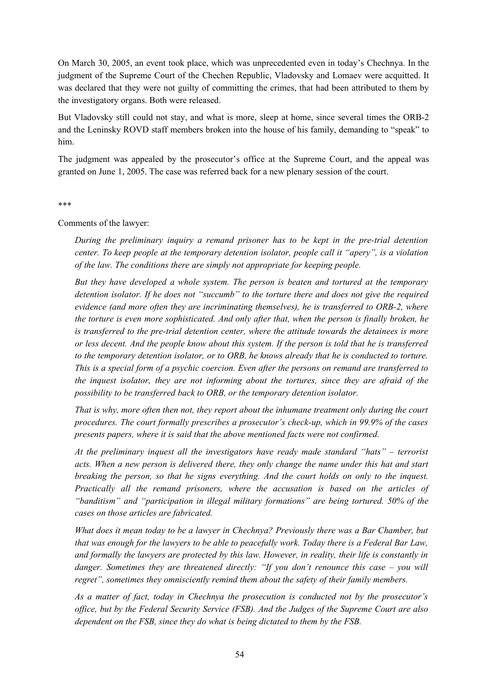On March 30, 2005, an event took place, which was unprecedented even in today's Chechnya. In the judgment of the Supreme Court of the Chechen Republic, Vladovsky and Lomaev were acquitted. It was declared that they were not guilty of committing the crimes, that had been attributed to them by the investigatory organs. Both were released.

But Vladovsky still could not stay, and what is more, sleep at home, since several times the ORB-2 and the Leninsky ROVD staff members broken into the house of his family, demanding to "speak" to him.

The judgment was appealed by the prosecutor's office at the Supreme Court, and the appeal was granted on June 1, 2005. The case was referred back for a new plenary session of the court.

#### \*\*\*

Comments of the lawyer:

*During the preliminary inquiry a remand prisoner has to be kept in the pre-trial detention center. To keep people at the temporary detention isolator, people call it "apery", is a violation of the law. The conditions there are simply not appropriate for keeping people.*

*But they have developed a whole system. The person is beaten and tortured at the temporary detention isolator. If he does not "succumb" to the torture there and does not give the required evidence (and more often they are incriminating themselves), he is transferred to ORB-2, where the torture is even more sophisticated. And only after that, when the person is finally broken, he is transferred to the pre-trial detention center, where the attitude towards the detainees is more* or less decent. And the people know about this system. If the person is told that he is transferred *to the temporary detention isolator, or to ORB, he knows already that he is conducted to torture. This is a special form of a psychic coercion. Even after the persons on remand are transferred to the inquest isolator, they are not informing about the tortures, since they are afraid of the possibility to be transferred back to ORB, or the temporary detention isolator.*

*That is why, more often then not, they report about the inhumane treatment only during the court procedures. The court formally prescribes a prosecutor's check-up, which in 99.9% of the cases presents papers, where it is said that the above mentioned facts were not confirmed.*

*At the preliminary inquest all the investigators have ready made standard "hats" – terrorist acts. When a new person is delivered there, they only change the name under this hat and start breaking the person, so that he signs everything. And the court holds on only to the inquest. Practically all the remand prisoners, where the accusation is based on the articles of "banditism" and "participation in illegal military formations" are being tortured. 50% of the cases on those articles are fabricated.*

*What does it mean today to be a lawyer in Chechnya? Previously there was a Bar Chamber, but that was enough for the lawyers to be able to peacefully work. Today there is a Federal Bar Law, and formally the lawyers are protected by this law. However, in reality, their life is constantly in danger. Sometimes they are threatened directly: "If you don't renounce this case – you will regret", sometimes they omnisciently remind them about the safety of their family members.*

*As a matter of fact, today in Chechnya the prosecution is conducted not by the prosecutor's office, but by the Federal Security Service (FSB). And the Judges of the Supreme Court are also dependent on the FSB, since they do what is being dictated to them by the FSB.*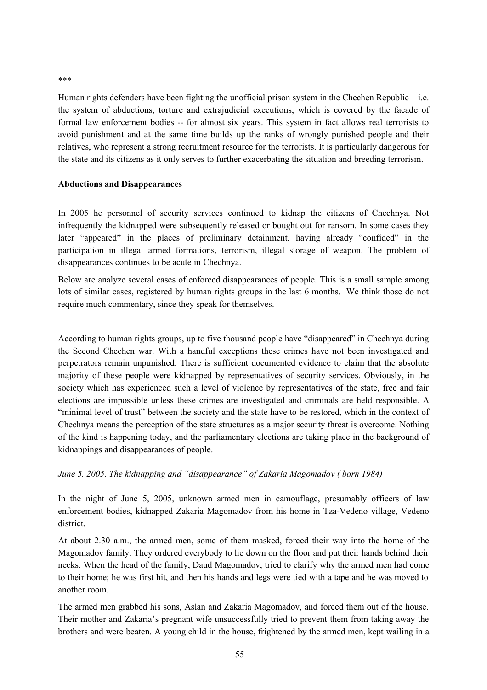Human rights defenders have been fighting the unofficial prison system in the Chechen Republic – i.e. the system of abductions, torture and extrajudicial executions, which is covered by the facade of formal law enforcement bodies -- for almost six years. This system in fact allows real terrorists to avoid punishment and at the same time builds up the ranks of wrongly punished people and their relatives, who represent a strong recruitment resource for the terrorists. It is particularly dangerous for the state and its citizens as it only serves to further exacerbating the situation and breeding terrorism.

#### **Abductions and Disappearances**

In 2005 he personnel of security services continued to kidnap the citizens of Chechnya. Not infrequently the kidnapped were subsequently released or bought out for ransom. In some cases they later "appeared" in the places of preliminary detainment, having already "confided" in the participation in illegal armed formations, terrorism, illegal storage of weapon. The problem of disappearances continues to be acute in Chechnya.

Below are analyze several cases of enforced disappearances of people. This is a small sample among lots of similar cases, registered by human rights groups in the last 6 months. We think those do not require much commentary, since they speak for themselves.

According to human rights groups, up to five thousand people have "disappeared" in Chechnya during the Second Chechen war. With a handful exceptions these crimes have not been investigated and perpetrators remain unpunished. There is sufficient documented evidence to claim that the absolute majority of these people were kidnapped by representatives of security services. Obviously, in the society which has experienced such a level of violence by representatives of the state, free and fair elections are impossible unless these crimes are investigated and criminals are held responsible. A "minimal level of trust" between the society and the state have to be restored, which in the context of Chechnya means the perception of the state structures as a major security threat is overcome. Nothing of the kind is happening today, and the parliamentary elections are taking place in the background of kidnappings and disappearances of people.

*June 5, 2005. The kidnapping and "disappearance" of Zakaria Magomadov ( born 1984)*

In the night of June 5, 2005, unknown armed men in camouflage, presumably officers of law enforcement bodies, kidnapped Zakaria Magomadov from his home in Tza-Vedeno village, Vedeno district.

At about 2.30 a.m., the armed men, some of them masked, forced their way into the home of the Magomadov family. They ordered everybody to lie down on the floor and put their hands behind their necks. When the head of the family, Daud Magomadov, tried to clarify why the armed men had come to their home; he was first hit, and then his hands and legs were tied with a tape and he was moved to another room.

The armed men grabbed his sons, Aslan and Zakaria Magomadov, and forced them out of the house. Their mother and Zakaria's pregnant wife unsuccessfully tried to prevent them from taking away the brothers and were beaten. A young child in the house, frightened by the armed men, kept wailing in a

\*\*\*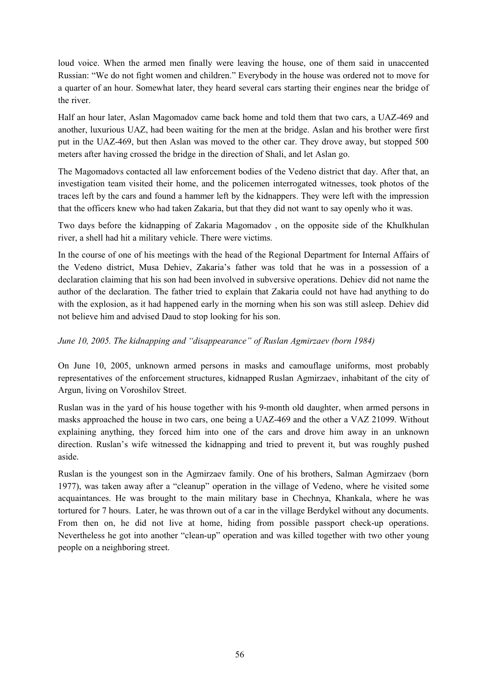loud voice. When the armed men finally were leaving the house, one of them said in unaccented Russian: "We do not fight women and children." Everybody in the house was ordered not to move for a quarter of an hour. Somewhat later, they heard several cars starting their engines near the bridge of the river.

Half an hour later, Aslan Magomadov came back home and told them that two cars, a UAZ-469 and another, luxurious UAZ, had been waiting for the men at the bridge. Aslan and his brother were first put in the UAZ-469, but then Aslan was moved to the other car. They drove away, but stopped 500 meters after having crossed the bridge in the direction of Shali, and let Aslan go.

The Magomadovs contacted all law enforcement bodies of the Vedeno district that day. After that, an investigation team visited their home, and the policemen interrogated witnesses, took photos of the traces left by the cars and found a hammer left by the kidnappers. They were left with the impression that the officers knew who had taken Zakaria, but that they did not want to say openly who it was.

Two days before the kidnapping of Zakaria Magomadov , on the opposite side of the Khulkhulan river, a shell had hit a military vehicle. There were victims.

In the course of one of his meetings with the head of the Regional Department for Internal Affairs of the Vedeno district, Musa Dehiev, Zakaria's father was told that he was in a possession of a declaration claiming that his son had been involved in subversive operations. Dehiev did not name the author of the declaration. The father tried to explain that Zakaria could not have had anything to do with the explosion, as it had happened early in the morning when his son was still asleep. Dehiev did not believe him and advised Daud to stop looking for his son.

### *June 10, 2005. The kidnapping and "disappearance" of Ruslan Agmirzaev (born 1984)*

On June 10, 2005, unknown armed persons in masks and camouflage uniforms, most probably representatives of the enforcement structures, kidnapped Ruslan Agmirzaev, inhabitant of the city of Argun, living on Voroshilov Street.

Ruslan was in the yard of his house together with his 9-month old daughter, when armed persons in masks approached the house in two cars, one being a UAZ-469 and the other a VAZ 21099. Without explaining anything, they forced him into one of the cars and drove him away in an unknown direction. Ruslan's wife witnessed the kidnapping and tried to prevent it, but was roughly pushed aside.

Ruslan is the youngest son in the Agmirzaev family. One of his brothers, Salman Agmirzaev (born 1977), was taken away after a "cleanup" operation in the village of Vedeno, where he visited some acquaintances. He was brought to the main military base in Chechnya, Khankala, where he was tortured for 7 hours. Later, he was thrown out of a car in the village Berdykel without any documents. From then on, he did not live at home, hiding from possible passport check-up operations. Nevertheless he got into another "clean-up" operation and was killed together with two other young people on a neighboring street.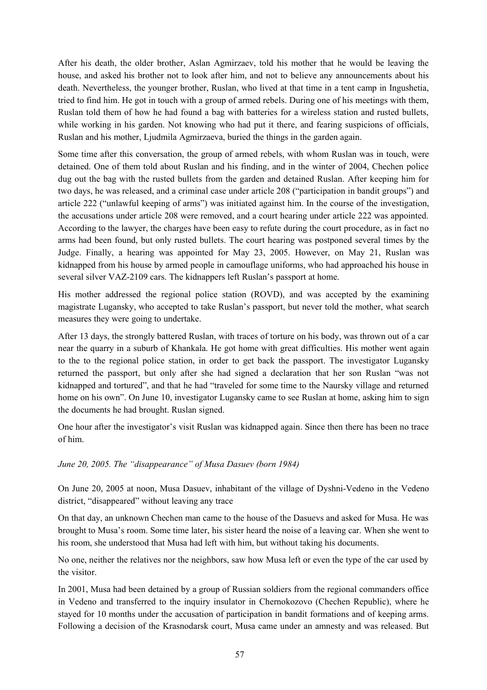After his death, the older brother, Aslan Agmirzaev, told his mother that he would be leaving the house, and asked his brother not to look after him, and not to believe any announcements about his death. Nevertheless, the younger brother, Ruslan, who lived at that time in a tent camp in Ingushetia, tried to find him. He got in touch with a group of armed rebels. During one of his meetings with them, Ruslan told them of how he had found a bag with batteries for a wireless station and rusted bullets, while working in his garden. Not knowing who had put it there, and fearing suspicions of officials, Ruslan and his mother, Ljudmila Agmirzaeva, buried the things in the garden again.

Some time after this conversation, the group of armed rebels, with whom Ruslan was in touch, were detained. One of them told about Ruslan and his finding, and in the winter of 2004, Chechen police dug out the bag with the rusted bullets from the garden and detained Ruslan. After keeping him for two days, he was released, and a criminal case under article 208 ("participation in bandit groups") and article 222 ("unlawful keeping of arms") was initiated against him. In the course of the investigation, the accusations under article 208 were removed, and a court hearing under article 222 was appointed. According to the lawyer, the charges have been easy to refute during the court procedure, as in fact no arms had been found, but only rusted bullets. The court hearing was postponed several times by the Judge. Finally, a hearing was appointed for May 23, 2005. However, on May 21, Ruslan was kidnapped from his house by armed people in camouflage uniforms, who had approached his house in several silver VAZ-2109 cars. The kidnappers left Ruslan's passport at home.

His mother addressed the regional police station (ROVD), and was accepted by the examining magistrate Lugansky, who accepted to take Ruslan's passport, but never told the mother, what search measures they were going to undertake.

After 13 days, the strongly battered Ruslan, with traces of torture on his body, was thrown out of a car near the quarry in a suburb of Khankala. He got home with great difficulties. His mother went again to the to the regional police station, in order to get back the passport. The investigator Lugansky returned the passport, but only after she had signed a declaration that her son Ruslan "was not kidnapped and tortured", and that he had "traveled for some time to the Naursky village and returned home on his own". On June 10, investigator Lugansky came to see Ruslan at home, asking him to sign the documents he had brought. Ruslan signed.

One hour after the investigator's visit Ruslan was kidnapped again. Since then there has been no trace of him.

### *June 20, 2005. The "disappearance" of Musa Dasuev (born 1984)*

On June 20, 2005 at noon, Musa Dasuev, inhabitant of the village of Dyshni-Vedeno in the Vedeno district, "disappeared" without leaving any trace

On that day, an unknown Chechen man came to the house of the Dasuevs and asked for Musa. He was brought to Musa's room. Some time later, his sister heard the noise of a leaving car. When she went to his room, she understood that Musa had left with him, but without taking his documents.

No one, neither the relatives nor the neighbors, saw how Musa left or even the type of the car used by the visitor.

In 2001, Musa had been detained by a group of Russian soldiers from the regional commanders office in Vedeno and transferred to the inquiry insulator in Chernokozovo (Chechen Republic), where he stayed for 10 months under the accusation of participation in bandit formations and of keeping arms. Following a decision of the Krasnodarsk court, Musa came under an amnesty and was released. But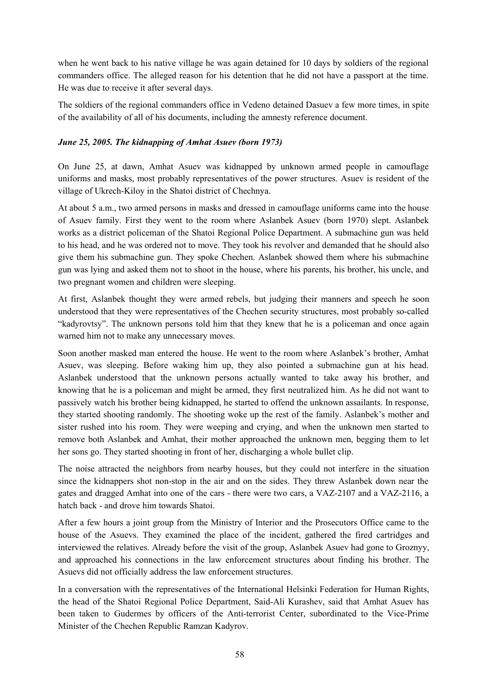when he went back to his native village he was again detained for 10 days by soldiers of the regional commanders office. The alleged reason for his detention that he did not have a passport at the time. He was due to receive it after several days.

The soldiers of the regional commanders office in Vedeno detained Dasuev a few more times, in spite of the availability of all of his documents, including the amnesty reference document.

### *June 25, 2005. The kidnapping of Amhat Asuev (born 1973)*

On June 25, at dawn, Amhat Asuev was kidnapped by unknown armed people in camouflage uniforms and masks, most probably representatives of the power structures. Asuev is resident of the village of Ukrech-Kiloy in the Shatoi district of Chechnya.

At about 5 a.m., two armed persons in masks and dressed in camouflage uniforms came into the house of Asuev family. First they went to the room where Aslanbek Asuev (born 1970) slept. Aslanbek works as a district policeman of the Shatoi Regional Police Department. A submachine gun was held to his head, and he was ordered not to move. They took his revolver and demanded that he should also give them his submachine gun. They spoke Chechen. Aslanbek showed them where his submachine gun was lying and asked them not to shoot in the house, where his parents, his brother, his uncle, and two pregnant women and children were sleeping.

At first, Aslanbek thought they were armed rebels, but judging their manners and speech he soon understood that they were representatives of the Chechen security structures, most probably so-called "kadyrovtsy". The unknown persons told him that they knew that he is a policeman and once again warned him not to make any unnecessary moves.

Soon another masked man entered the house. He went to the room where Aslanbek's brother, Amhat Asuev, was sleeping. Before waking him up, they also pointed a submachine gun at his head. Aslanbek understood that the unknown persons actually wanted to take away his brother, and knowing that he is a policeman and might be armed, they first neutralized him. As he did not want to passively watch his brother being kidnapped, he started to offend the unknown assailants. In response, they started shooting randomly. The shooting woke up the rest of the family. Aslanbek's mother and sister rushed into his room. They were weeping and crying, and when the unknown men started to remove both Aslanbek and Amhat, their mother approached the unknown men, begging them to let her sons go. They started shooting in front of her, discharging a whole bullet clip.

The noise attracted the neighbors from nearby houses, but they could not interfere in the situation since the kidnappers shot non-stop in the air and on the sides. They threw Aslanbek down near the gates and dragged Amhat into one of the cars - there were two cars, a VAZ-2107 and a VAZ-2116, a hatch back - and drove him towards Shatoi.

After a few hours a joint group from the Ministry of Interior and the Prosecutors Office came to the house of the Asuevs. They examined the place of the incident, gathered the fired cartridges and interviewed the relatives. Already before the visit of the group, Aslanbek Asuev had gone to Groznyy, and approached his connections in the law enforcement structures about finding his brother. The Asuevs did not officially address the law enforcement structures.

In a conversation with the representatives of the International Helsinki Federation for Human Rights, the head of the Shatoi Regional Police Department, Said-Ali Kurashev, said that Amhat Asuev has been taken to Gudermes by officers of the Anti-terrorist Center, subordinated to the Vice-Prime Minister of the Chechen Republic Ramzan Kadyrov.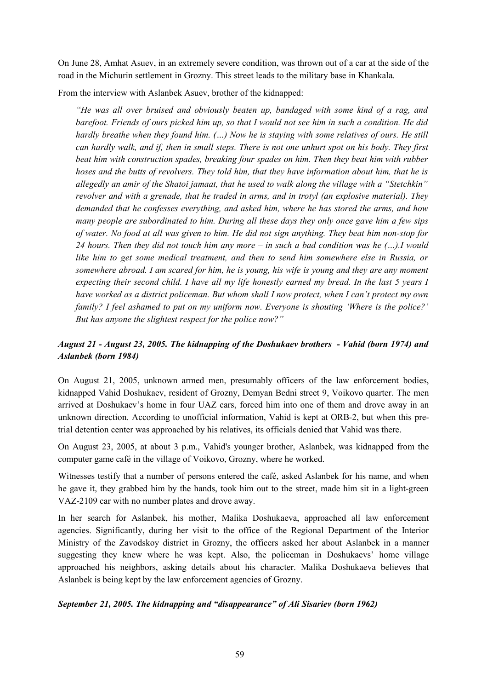On June 28, Amhat Asuev, in an extremely severe condition, was thrown out of a car at the side of the road in the Michurin settlement in Grozny. This street leads to the military base in Khankala.

From the interview with Aslanbek Asuev, brother of the kidnapped:

*"He was all over bruised and obviously beaten up, bandaged with some kind of a rag, and* barefoot. Friends of ours picked him up, so that I would not see him in such a condition. He did *hardly breathe when they found him. (…) Now he is staying with some relatives of ours. He still* can hardly walk, and if, then in small steps. There is not one unhurt spot on his body. They first *beat him with construction spades, breaking four spades on him. Then they beat him with rubber hoses and the butts of revolvers. They told him, that they have information about him, that he is allegedly an amir of the Shatoi jamaat, that he used to walk along the village with a "Stetchkin" revolver and with a grenade, that he traded in arms, and in trotyl (an explosive material). They demanded that he confesses everything, and asked him, where he has stored the arms, and how many people are subordinated to him. During all these days they only once gave him a few sips* of water. No food at all was given to him. He did not sign anything. They beat him non-stop for 24 hours. Then they did not touch him any more – in such a bad condition was he  $(...).I$  would *like him to get some medical treatment, and then to send him somewhere else in Russia, or* somewhere abroad. I am scared for him, he is young, his wife is young and they are any moment expecting their second child. I have all my life honestly earned my bread. In the last 5 years I *have worked as a district policeman. But whom shall I now protect, when I can't protect my own family? I feel ashamed to put on my uniform now. Everyone is shouting 'Where is the police?' But has anyone the slightest respect for the police now?"*

### *August 21 - August 23, 2005. The kidnapping of the Doshukaev brothers - Vahid (born 1974) and Aslanbek (born 1984)*

On August 21, 2005, unknown armed men, presumably officers of the law enforcement bodies, kidnapped Vahid Doshukaev, resident of Grozny, Demyan Bedni street 9, Voikovo quarter. The men arrived at Doshukaev's home in four UAZ cars, forced him into one of them and drove away in an unknown direction. According to unofficial information, Vahid is kept at ORB-2, but when this pretrial detention center was approached by his relatives, its officials denied that Vahid was there.

On August 23, 2005, at about 3 p.m., Vahid's younger brother, Aslanbek, was kidnapped from the computer game café in the village of Voikovo, Grozny, where he worked.

Witnesses testify that a number of persons entered the café, asked Aslanbek for his name, and when he gave it, they grabbed him by the hands, took him out to the street, made him sit in a light-green VAZ-2109 car with no number plates and drove away.

In her search for Aslanbek, his mother, Malika Doshukaeva, approached all law enforcement agencies. Significantly, during her visit to the office of the Regional Department of the Interior Ministry of the Zavodskoy district in Grozny, the officers asked her about Aslanbek in a manner suggesting they knew where he was kept. Also, the policeman in Doshukaevs' home village approached his neighbors, asking details about his character. Malika Doshukaeva believes that Aslanbek is being kept by the law enforcement agencies of Grozny.

### *September 21, 2005. The kidnapping and "disappearance" of Ali Sisariev (born 1962)*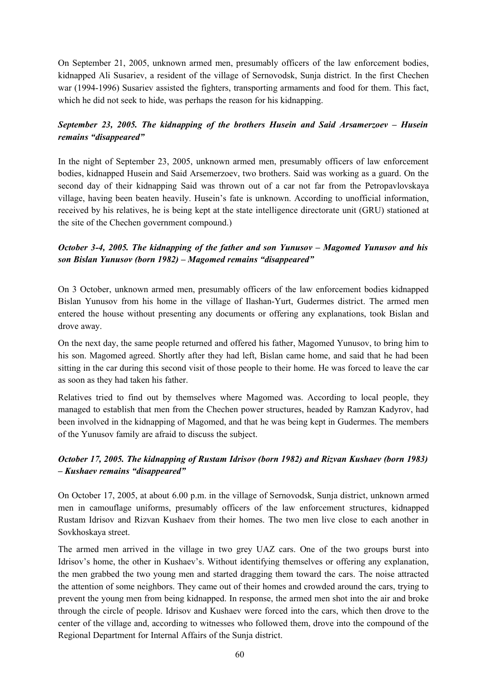On September 21, 2005, unknown armed men, presumably officers of the law enforcement bodies, kidnapped Ali Susariev, a resident of the village of Sernovodsk, Sunja district. In the first Chechen war (1994-1996) Susariev assisted the fighters, transporting armaments and food for them. This fact, which he did not seek to hide, was perhaps the reason for his kidnapping.

### *September 23, 2005. The kidnapping of the brothers Husein and Said Arsamerzoev – Husein remains "disappeared"*

In the night of September 23, 2005, unknown armed men, presumably officers of law enforcement bodies, kidnapped Husein and Said Arsemerzoev, two brothers. Said was working as a guard. On the second day of their kidnapping Said was thrown out of a car not far from the Petropavlovskaya village, having been beaten heavily. Husein's fate is unknown. According to unofficial information, received by his relatives, he is being kept at the state intelligence directorate unit (GRU) stationed at the site of the Chechen government compound.)

### *October 3-4, 2005. The kidnapping of the father and son Yunusov – Magomed Yunusov and his son Bislan Yunusov (born 1982) – Magomed remains "disappeared"*

On 3 October, unknown armed men, presumably officers of the law enforcement bodies kidnapped Bislan Yunusov from his home in the village of Ilashan-Yurt, Gudermes district. The armed men entered the house without presenting any documents or offering any explanations, took Bislan and drove away.

On the next day, the same people returned and offered his father, Magomed Yunusov, to bring him to his son. Magomed agreed. Shortly after they had left, Bislan came home, and said that he had been sitting in the car during this second visit of those people to their home. He was forced to leave the car as soon as they had taken his father.

Relatives tried to find out by themselves where Magomed was. According to local people, they managed to establish that men from the Chechen power structures, headed by Ramzan Kadyrov, had been involved in the kidnapping of Magomed, and that he was being kept in Gudermes. The members of the Yunusov family are afraid to discuss the subject.

### *October 17, 2005. The kidnapping of Rustam Idrisov (born 1982) and Rizvan Kushaev (born 1983) – Kushaev remains "disappeared"*

On October 17, 2005, at about 6.00 p.m. in the village of Sernovodsk, Sunja district, unknown armed men in camouflage uniforms, presumably officers of the law enforcement structures, kidnapped Rustam Idrisov and Rizvan Kushaev from their homes. The two men live close to each another in Sovkhoskaya street.

The armed men arrived in the village in two grey UAZ cars. One of the two groups burst into Idrisov's home, the other in Kushaev's. Without identifying themselves or offering any explanation, the men grabbed the two young men and started dragging them toward the cars. The noise attracted the attention of some neighbors. They came out of their homes and crowded around the cars, trying to prevent the young men from being kidnapped. In response, the armed men shot into the air and broke through the circle of people. Idrisov and Kushaev were forced into the cars, which then drove to the center of the village and, according to witnesses who followed them, drove into the compound of the Regional Department for Internal Affairs of the Sunja district.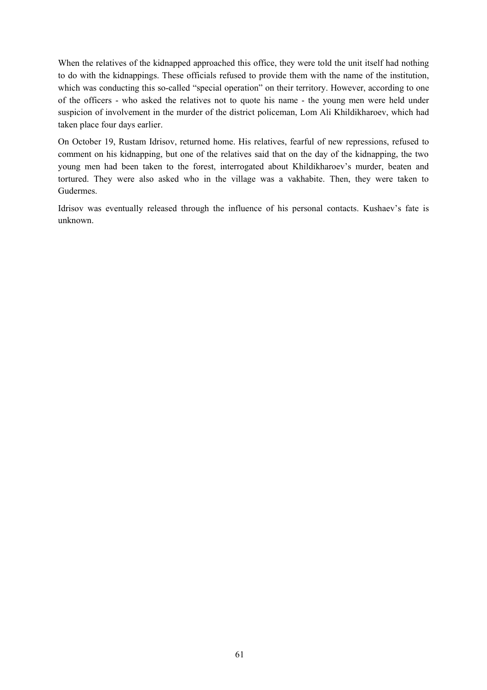When the relatives of the kidnapped approached this office, they were told the unit itself had nothing to do with the kidnappings. These officials refused to provide them with the name of the institution, which was conducting this so-called "special operation" on their territory. However, according to one of the officers - who asked the relatives not to quote his name - the young men were held under suspicion of involvement in the murder of the district policeman, Lom Ali Khildikharoev, which had taken place four days earlier.

On October 19, Rustam Idrisov, returned home. His relatives, fearful of new repressions, refused to comment on his kidnapping, but one of the relatives said that on the day of the kidnapping, the two young men had been taken to the forest, interrogated about Khildikharoev's murder, beaten and tortured. They were also asked who in the village was a vakhabite. Then, they were taken to Gudermes.

Idrisov was eventually released through the influence of his personal contacts. Kushaev's fate is unknown.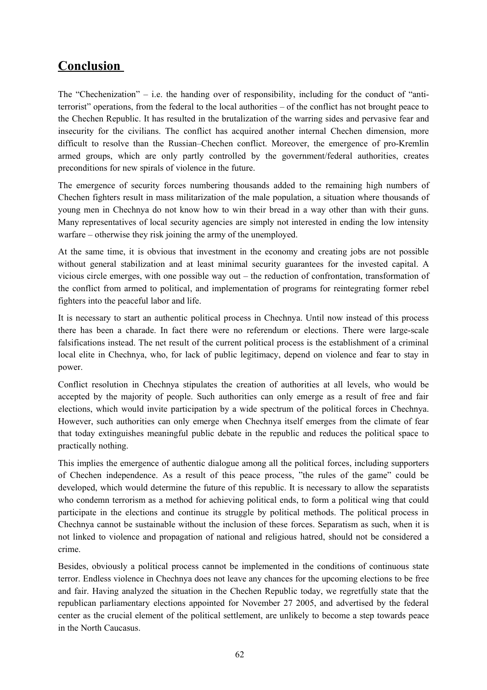# **Conclusion**

The "Chechenization" – i.e. the handing over of responsibility, including for the conduct of "antiterrorist" operations, from the federal to the local authorities – of the conflict has not brought peace to the Chechen Republic. It has resulted in the brutalization of the warring sides and pervasive fear and insecurity for the civilians. The conflict has acquired another internal Chechen dimension, more difficult to resolve than the Russian–Chechen conflict. Moreover, the emergence of pro-Kremlin armed groups, which are only partly controlled by the government/federal authorities, creates preconditions for new spirals of violence in the future.

The emergence of security forces numbering thousands added to the remaining high numbers of Chechen fighters result in mass militarization of the male population, a situation where thousands of young men in Chechnya do not know how to win their bread in a way other than with their guns. Many representatives of local security agencies are simply not interested in ending the low intensity warfare – otherwise they risk joining the army of the unemployed.

At the same time, it is obvious that investment in the economy and creating jobs are not possible without general stabilization and at least minimal security guarantees for the invested capital. A vicious circle emerges, with one possible way out – the reduction of confrontation, transformation of the conflict from armed to political, and implementation of programs for reintegrating former rebel fighters into the peaceful labor and life.

It is necessary to start an authentic political process in Chechnya. Until now instead of this process there has been a charade. In fact there were no referendum or elections. There were large-scale falsifications instead. The net result of the current political process is the establishment of a criminal local elite in Chechnya, who, for lack of public legitimacy, depend on violence and fear to stay in power.

Conflict resolution in Chechnya stipulates the creation of authorities at all levels, who would be accepted by the majority of people. Such authorities can only emerge as a result of free and fair elections, which would invite participation by a wide spectrum of the political forces in Chechnya. However, such authorities can only emerge when Chechnya itself emerges from the climate of fear that today extinguishes meaningful public debate in the republic and reduces the political space to practically nothing.

This implies the emergence of authentic dialogue among all the political forces, including supporters of Chechen independence. As a result of this peace process, "the rules of the game" could be developed, which would determine the future of this republic. It is necessary to allow the separatists who condemn terrorism as a method for achieving political ends, to form a political wing that could participate in the elections and continue its struggle by political methods. The political process in Chechnya cannot be sustainable without the inclusion of these forces. Separatism as such, when it is not linked to violence and propagation of national and religious hatred, should not be considered a crime.

Besides, obviously a political process cannot be implemented in the conditions of continuous state terror. Endless violence in Chechnya does not leave any chances for the upcoming elections to be free and fair. Having analyzed the situation in the Chechen Republic today, we regretfully state that the republican parliamentary elections appointed for November 27 2005, and advertised by the federal center as the crucial element of the political settlement, are unlikely to become a step towards peace in the North Caucasus.